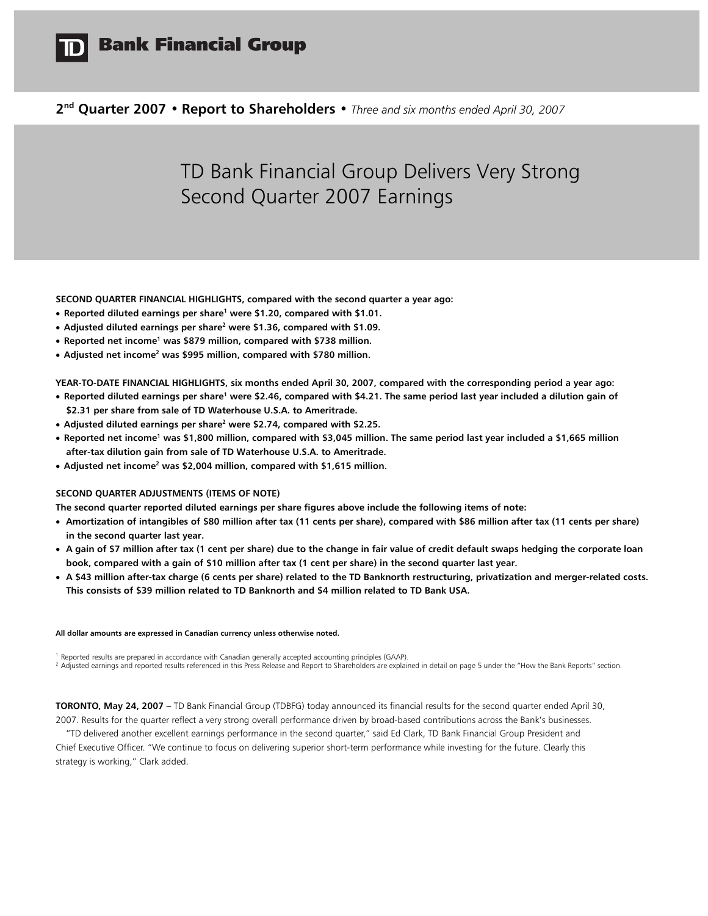

# **Bank Financial Group**

**2nd Quarter 2007 • Report to Shareholders •** *Three and six months ended April 30, 2007* 

# TD Bank Financial Group Delivers Very Strong Second Quarter 2007 Earnings

**SECOND QUARTER FINANCIAL HIGHLIGHTS, compared with the second quarter a year ago:** 

- **Reported diluted earnings per share<sup>1</sup> were \$1.20, compared with \$1.01.**
- **•** Adjusted diluted earnings per share<sup>2</sup> were \$1.36, compared with \$1.09.
- **Reported net income<sup>1</sup> was \$879 million, compared with \$738 million.**
- Adjusted net income<sup>2</sup> was \$995 million, compared with \$780 million.

**YEAR-TO-DATE FINANCIAL HIGHLIGHTS, six months ended April 30, 2007, compared with the corresponding period a year ago:** 

- **•** Reported diluted earnings per share<sup>1</sup> were \$2.46, compared with \$4.21. The same period last year included a dilution gain of **\$2.31 per share from sale of TD Waterhouse U.S.A. to Ameritrade.**
- Adjusted diluted earnings per share<sup>2</sup> were \$2.74, compared with \$2.25.
- **•** Reported net income<sup>1</sup> was \$1,800 million, compared with \$3,045 million. The same period last year included a \$1,665 million **after-tax dilution gain from sale of TD Waterhouse U.S.A. to Ameritrade.**
- **•** Adjusted net income<sup>2</sup> was \$2,004 million, compared with \$1,615 million.

### **SECOND QUARTER ADJUSTMENTS (ITEMS OF NOTE)**

**The second quarter reported diluted earnings per share figures above include the following items of note:** 

- **Amortization of intangibles of \$80 million after tax (11 cents per share), compared with \$86 million after tax (11 cents per share) in the second quarter last year.**
- **A gain of \$7 million after tax (1 cent per share) due to the change in fair value of credit default swaps hedging the corporate loan book, compared with a gain of \$10 million after tax (1 cent per share) in the second quarter last year.**
- **A \$43 million after-tax charge (6 cents per share) related to the TD Banknorth restructuring, privatization and merger-related costs. This consists of \$39 million related to TD Banknorth and \$4 million related to TD Bank USA.**

#### **All dollar amounts are expressed in Canadian currency unless otherwise noted.**

<sup>1</sup> Reported results are prepared in accordance with Canadian generally accepted accounting principles (GAAP).

<sup>2</sup> Adjusted earnings and reported results referenced in this Press Release and Report to Shareholders are explained in detail on page 5 under the "How the Bank Reports" section.

**TORONTO, May 24, 2007 –** TD Bank Financial Group (TDBFG) today announced its financial results for the second quarter ended April 30, 2007. Results for the quarter reflect a very strong overall performance driven by broad-based contributions across the Bank's businesses.

"TD delivered another excellent earnings performance in the second quarter," said Ed Clark, TD Bank Financial Group President and Chief Executive Officer. "We continue to focus on delivering superior short-term performance while investing for the future. Clearly this strategy is working," Clark added.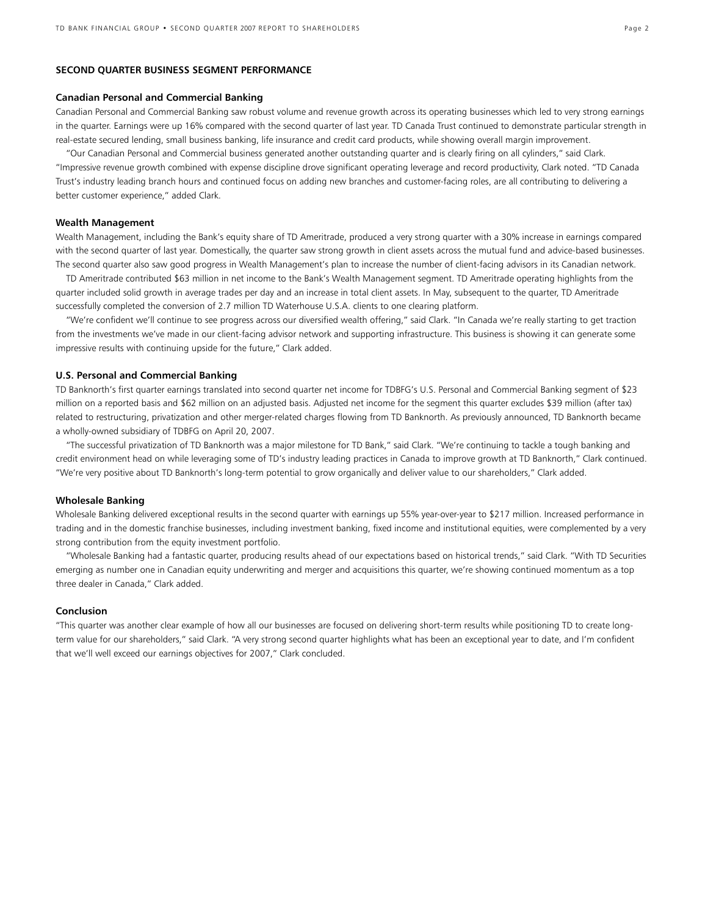### **SECOND QUARTER BUSINESS SEGMENT PERFORMANCE**

### **Canadian Personal and Commercial Banking**

Canadian Personal and Commercial Banking saw robust volume and revenue growth across its operating businesses which led to very strong earnings in the quarter. Earnings were up 16% compared with the second quarter of last year. TD Canada Trust continued to demonstrate particular strength in real-estate secured lending, small business banking, life insurance and credit card products, while showing overall margin improvement.

"Our Canadian Personal and Commercial business generated another outstanding quarter and is clearly firing on all cylinders," said Clark. "Impressive revenue growth combined with expense discipline drove significant operating leverage and record productivity, Clark noted. "TD Canada Trust's industry leading branch hours and continued focus on adding new branches and customer-facing roles, are all contributing to delivering a better customer experience," added Clark.

### **Wealth Management**

Wealth Management, including the Bank's equity share of TD Ameritrade, produced a very strong quarter with a 30% increase in earnings compared with the second quarter of last year. Domestically, the quarter saw strong growth in client assets across the mutual fund and advice-based businesses. The second quarter also saw good progress in Wealth Management's plan to increase the number of client-facing advisors in its Canadian network.

TD Ameritrade contributed \$63 million in net income to the Bank's Wealth Management segment. TD Ameritrade operating highlights from the quarter included solid growth in average trades per day and an increase in total client assets. In May, subsequent to the quarter, TD Ameritrade successfully completed the conversion of 2.7 million TD Waterhouse U.S.A. clients to one clearing platform.

"We're confident we'll continue to see progress across our diversified wealth offering," said Clark. "In Canada we're really starting to get traction from the investments we've made in our client-facing advisor network and supporting infrastructure. This business is showing it can generate some impressive results with continuing upside for the future," Clark added.

### **U.S. Personal and Commercial Banking**

TD Banknorth's first quarter earnings translated into second quarter net income for TDBFG's U.S. Personal and Commercial Banking segment of \$23 million on a reported basis and \$62 million on an adjusted basis. Adjusted net income for the segment this quarter excludes \$39 million (after tax) related to restructuring, privatization and other merger-related charges flowing from TD Banknorth. As previously announced, TD Banknorth became a wholly-owned subsidiary of TDBFG on April 20, 2007.

"The successful privatization of TD Banknorth was a major milestone for TD Bank," said Clark. "We're continuing to tackle a tough banking and credit environment head on while leveraging some of TD's industry leading practices in Canada to improve growth at TD Banknorth," Clark continued. "We're very positive about TD Banknorth's long-term potential to grow organically and deliver value to our shareholders," Clark added.

#### **Wholesale Banking**

Wholesale Banking delivered exceptional results in the second quarter with earnings up 55% year-over-year to \$217 million. Increased performance in trading and in the domestic franchise businesses, including investment banking, fixed income and institutional equities, were complemented by a very strong contribution from the equity investment portfolio.

"Wholesale Banking had a fantastic quarter, producing results ahead of our expectations based on historical trends," said Clark. "With TD Securities emerging as number one in Canadian equity underwriting and merger and acquisitions this quarter, we're showing continued momentum as a top three dealer in Canada," Clark added.

### **Conclusion**

"This quarter was another clear example of how all our businesses are focused on delivering short-term results while positioning TD to create longterm value for our shareholders," said Clark. "A very strong second quarter highlights what has been an exceptional year to date, and I'm confident that we'll well exceed our earnings objectives for 2007," Clark concluded.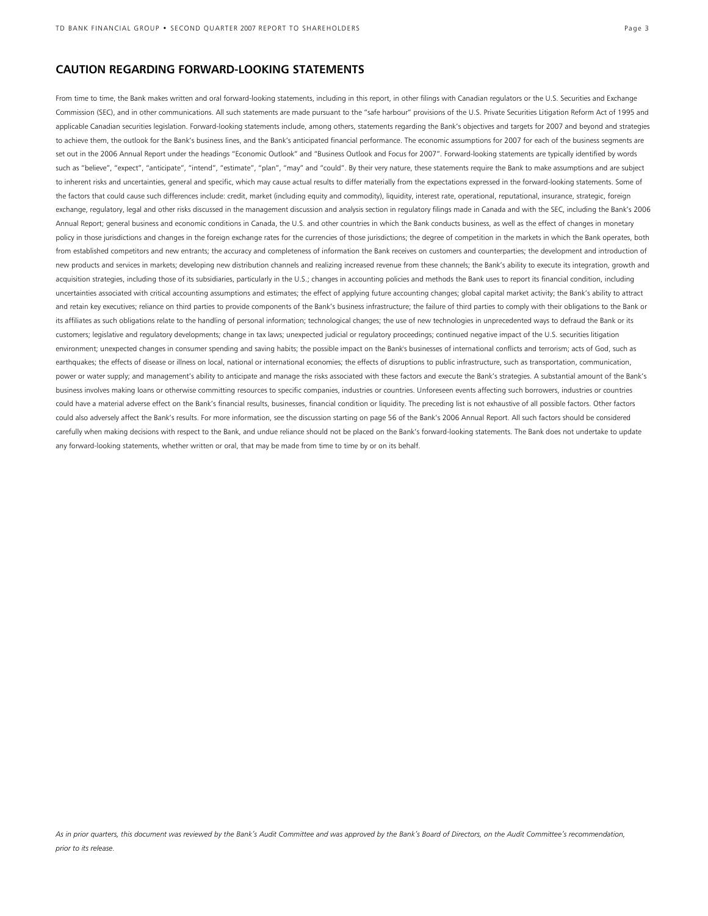### **CAUTION REGARDING FORWARD-LOOKING STATEMENTS**

From time to time, the Bank makes written and oral forward-looking statements, including in this report, in other filings with Canadian regulators or the U.S. Securities and Exchange Commission (SEC), and in other communications. All such statements are made pursuant to the "safe harbour" provisions of the U.S. Private Securities Litigation Reform Act of 1995 and applicable Canadian securities legislation. Forward-looking statements include, among others, statements regarding the Bank's objectives and targets for 2007 and beyond and strategies to achieve them, the outlook for the Bank's business lines, and the Bank's anticipated financial performance. The economic assumptions for 2007 for each of the business segments are set out in the 2006 Annual Report under the headings "Economic Outlook" and "Business Outlook and Focus for 2007". Forward-looking statements are typically identified by words such as "believe", "expect", "anticipate", "intend", "estimate", "plan", "may" and "could". By their very nature, these statements require the Bank to make assumptions and are subject to inherent risks and uncertainties, general and specific, which may cause actual results to differ materially from the expectations expressed in the forward-looking statements. Some of the factors that could cause such differences include: credit, market (including equity and commodity), liquidity, interest rate, operational, reputational, insurance, strategic, foreign exchange, regulatory, legal and other risks discussed in the management discussion and analysis section in regulatory filings made in Canada and with the SEC, including the Bank's 2006 Annual Report; general business and economic conditions in Canada, the U.S. and other countries in which the Bank conducts business, as well as the effect of changes in monetary policy in those jurisdictions and changes in the foreign exchange rates for the currencies of those jurisdictions; the degree of competition in the markets in which the Bank operates, both from established competitors and new entrants; the accuracy and completeness of information the Bank receives on customers and counterparties; the development and introduction of new products and services in markets; developing new distribution channels and realizing increased revenue from these channels; the Bank's ability to execute its integration, growth and acquisition strategies, including those of its subsidiaries, particularly in the U.S.; changes in accounting policies and methods the Bank uses to report its financial condition, including uncertainties associated with critical accounting assumptions and estimates; the effect of applying future accounting changes; global capital market activity; the Bank's ability to attract and retain key executives; reliance on third parties to provide components of the Bank's business infrastructure; the failure of third parties to comply with their obligations to the Bank or its affiliates as such obligations relate to the handling of personal information; technological changes; the use of new technologies in unprecedented ways to defraud the Bank or its customers; legislative and regulatory developments; change in tax laws; unexpected judicial or regulatory proceedings; continued negative impact of the U.S. securities litigation environment; unexpected changes in consumer spending and saving habits; the possible impact on the Bank's businesses of international conflicts and terrorism; acts of God, such as earthquakes; the effects of disease or illness on local, national or international economies; the effects of disruptions to public infrastructure, such as transportation, communication, power or water supply; and management's ability to anticipate and manage the risks associated with these factors and execute the Bank's strategies. A substantial amount of the Bank's business involves making loans or otherwise committing resources to specific companies, industries or countries. Unforeseen events affecting such borrowers, industries or countries could have a material adverse effect on the Bank's financial results, businesses, financial condition or liquidity. The preceding list is not exhaustive of all possible factors. Other factors could also adversely affect the Bank's results. For more information, see the discussion starting on page 56 of the Bank's 2006 Annual Report. All such factors should be considered carefully when making decisions with respect to the Bank, and undue reliance should not be placed on the Bank's forward-looking statements. The Bank does not undertake to update any forward-looking statements, whether written or oral, that may be made from time to time by or on its behalf.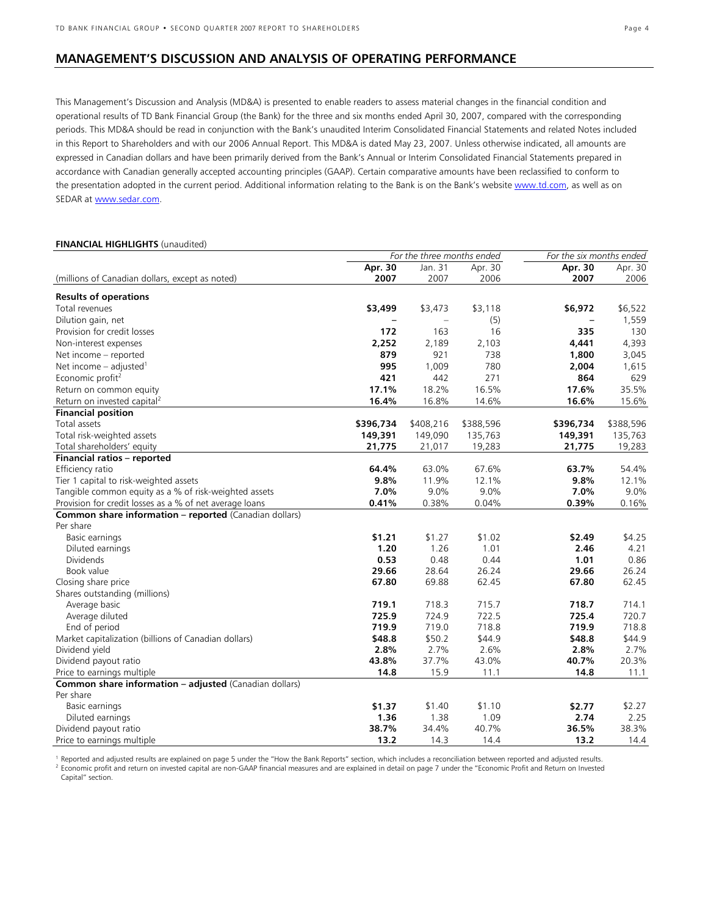### **MANAGEMENT'S DISCUSSION AND ANALYSIS OF OPERATING PERFORMANCE**

This Management's Discussion and Analysis (MD&A) is presented to enable readers to assess material changes in the financial condition and operational results of TD Bank Financial Group (the Bank) for the three and six months ended April 30, 2007, compared with the corresponding periods. This MD&A should be read in conjunction with the Bank's unaudited Interim Consolidated Financial Statements and related Notes included in this Report to Shareholders and with our 2006 Annual Report. This MD&A is dated May 23, 2007. Unless otherwise indicated, all amounts are expressed in Canadian dollars and have been primarily derived from the Bank's Annual or Interim Consolidated Financial Statements prepared in accordance with Canadian generally accepted accounting principles (GAAP). Certain comparative amounts have been reclassified to conform to the presentation adopted in the current period. Additional information relating to the Bank is on the Bank's website www.td.com, as well as on SEDAR at www.sedar.com.

### **FINANCIAL HIGHLIGHTS** (unaudited)

|                                                               |           | For the three months ended |           | For the six months ended |           |
|---------------------------------------------------------------|-----------|----------------------------|-----------|--------------------------|-----------|
|                                                               | Apr. 30   | Jan. 31                    | Apr. 30   | Apr. 30                  | Apr. 30   |
| (millions of Canadian dollars, except as noted)               | 2007      | 2007                       | 2006      | 2007                     | 2006      |
| <b>Results of operations</b>                                  |           |                            |           |                          |           |
| Total revenues                                                | \$3,499   | \$3,473                    | \$3,118   | \$6,972                  | \$6,522   |
| Dilution gain, net                                            |           | $\qquad \qquad -$          | (5)       |                          | 1,559     |
| Provision for credit losses                                   | 172       | 163                        | 16        | 335                      | 130       |
| Non-interest expenses                                         | 2,252     | 2,189                      | 2,103     | 4,441                    | 4,393     |
| Net income - reported                                         | 879       | 921                        | 738       | 1,800                    | 3,045     |
| Net income $-$ adjusted <sup>1</sup>                          | 995       | 1,009                      | 780       | 2,004                    | 1,615     |
| Economic profit <sup>2</sup>                                  | 421       | 442                        | 271       | 864                      | 629       |
| Return on common equity                                       | 17.1%     | 18.2%                      | 16.5%     | 17.6%                    | 35.5%     |
| Return on invested capital <sup>2</sup>                       | 16.4%     | 16.8%                      | 14.6%     | 16.6%                    | 15.6%     |
| <b>Financial position</b>                                     |           |                            |           |                          |           |
| Total assets                                                  | \$396,734 | \$408,216                  | \$388,596 | \$396,734                | \$388,596 |
| Total risk-weighted assets                                    | 149,391   | 149,090                    | 135,763   | 149,391                  | 135,763   |
| Total shareholders' equity                                    | 21,775    | 21,017                     | 19,283    | 21,775                   | 19,283    |
| Financial ratios - reported                                   |           |                            |           |                          |           |
| Efficiency ratio                                              | 64.4%     | 63.0%                      | 67.6%     | 63.7%                    | 54.4%     |
| Tier 1 capital to risk-weighted assets                        | 9.8%      | 11.9%                      | 12.1%     | 9.8%                     | 12.1%     |
| Tangible common equity as a % of risk-weighted assets         | 7.0%      | 9.0%                       | 9.0%      | 7.0%                     | 9.0%      |
| Provision for credit losses as a % of net average loans       | 0.41%     | 0.38%                      | 0.04%     | 0.39%                    | 0.16%     |
| <b>Common share information - reported</b> (Canadian dollars) |           |                            |           |                          |           |
| Per share                                                     |           |                            |           |                          |           |
| Basic earnings                                                | \$1.21    | \$1.27                     | \$1.02    | \$2.49                   | \$4.25    |
| Diluted earnings                                              | 1.20      | 1.26                       | 1.01      | 2.46                     | 4.21      |
| <b>Dividends</b>                                              | 0.53      | 0.48                       | 0.44      | 1.01                     | 0.86      |
| Book value                                                    | 29.66     | 28.64                      | 26.24     | 29.66                    | 26.24     |
| Closing share price                                           | 67.80     | 69.88                      | 62.45     | 67.80                    | 62.45     |
| Shares outstanding (millions)                                 |           |                            |           |                          |           |
| Average basic                                                 | 719.1     | 718.3                      | 715.7     | 718.7                    | 714.1     |
| Average diluted                                               | 725.9     | 724.9                      | 722.5     | 725.4                    | 720.7     |
| End of period                                                 | 719.9     | 719.0                      | 718.8     | 719.9                    | 718.8     |
| Market capitalization (billions of Canadian dollars)          | \$48.8    | \$50.2                     | \$44.9    | \$48.8                   | \$44.9    |
| Dividend yield                                                | 2.8%      | 2.7%                       | 2.6%      | 2.8%                     | 2.7%      |
| Dividend payout ratio                                         | 43.8%     | 37.7%                      | 43.0%     | 40.7%                    | 20.3%     |
| Price to earnings multiple                                    | 14.8      | 15.9                       | 11.1      | 14.8                     | 11.1      |
| <b>Common share information - adjusted (Canadian dollars)</b> |           |                            |           |                          |           |
| Per share                                                     |           |                            |           |                          |           |
| Basic earnings                                                | \$1.37    | \$1.40                     | \$1.10    | \$2.77                   | \$2.27    |
| Diluted earnings                                              | 1.36      | 1.38                       | 1.09      | 2.74                     | 2.25      |
| Dividend payout ratio                                         | 38.7%     | 34.4%                      | 40.7%     | 36.5%                    | 38.3%     |
| Price to earnings multiple                                    | 13.2      | 14.3                       | 14.4      | 13.2                     | 14.4      |

<sup>1</sup> Reported and adjusted results are explained on page 5 under the "How the Bank Reports" section, which includes a reconciliation between reported and adjusted results.<br><sup>2</sup> Economic profit and return on invested capital Capital" section.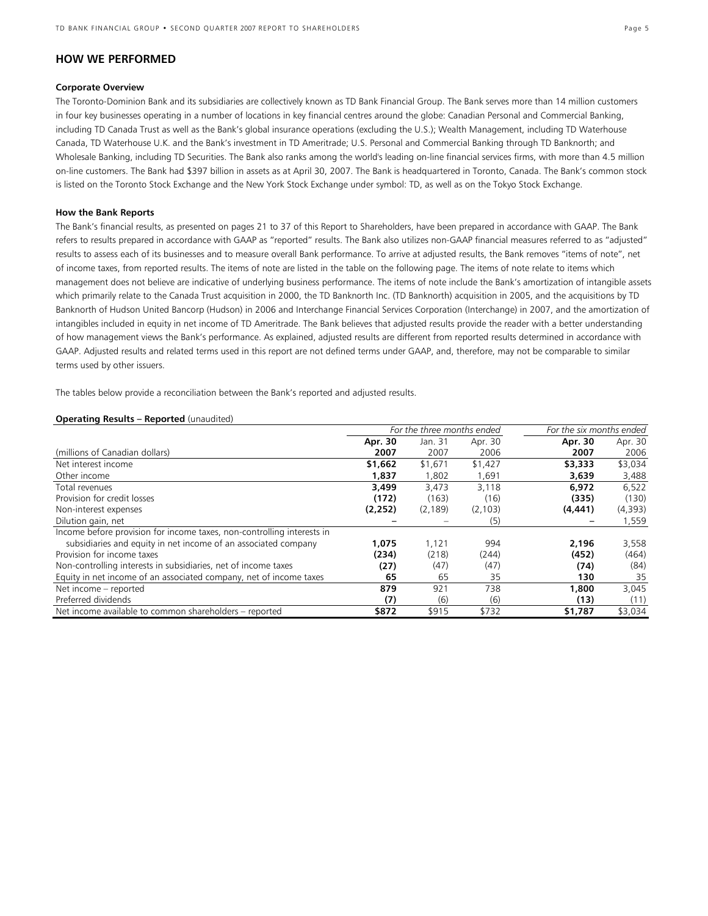### **HOW WE PERFORMED**

### **Corporate Overview**

The Toronto-Dominion Bank and its subsidiaries are collectively known as TD Bank Financial Group. The Bank serves more than 14 million customers in four key businesses operating in a number of locations in key financial centres around the globe: Canadian Personal and Commercial Banking, including TD Canada Trust as well as the Bank's global insurance operations (excluding the U.S.); Wealth Management, including TD Waterhouse Canada, TD Waterhouse U.K. and the Bank's investment in TD Ameritrade; U.S. Personal and Commercial Banking through TD Banknorth; and Wholesale Banking, including TD Securities. The Bank also ranks among the world's leading on-line financial services firms, with more than 4.5 million on-line customers. The Bank had \$397 billion in assets as at April 30, 2007. The Bank is headquartered in Toronto, Canada. The Bank's common stock is listed on the Toronto Stock Exchange and the New York Stock Exchange under symbol: TD, as well as on the Tokyo Stock Exchange.

### **How the Bank Reports**

The Bank's financial results, as presented on pages 21 to 37 of this Report to Shareholders, have been prepared in accordance with GAAP. The Bank refers to results prepared in accordance with GAAP as "reported" results. The Bank also utilizes non-GAAP financial measures referred to as "adjusted" results to assess each of its businesses and to measure overall Bank performance. To arrive at adjusted results, the Bank removes "items of note", net of income taxes, from reported results. The items of note are listed in the table on the following page. The items of note relate to items which management does not believe are indicative of underlying business performance. The items of note include the Bank's amortization of intangible assets which primarily relate to the Canada Trust acquisition in 2000, the TD Banknorth Inc. (TD Banknorth) acquisition in 2005, and the acquisitions by TD Banknorth of Hudson United Bancorp (Hudson) in 2006 and Interchange Financial Services Corporation (Interchange) in 2007, and the amortization of intangibles included in equity in net income of TD Ameritrade. The Bank believes that adjusted results provide the reader with a better understanding of how management views the Bank's performance. As explained, adjusted results are different from reported results determined in accordance with GAAP. Adjusted results and related terms used in this report are not defined terms under GAAP, and, therefore, may not be comparable to similar terms used by other issuers.

The tables below provide a reconciliation between the Bank's reported and adjusted results.

### **Operating Results – Reported** (unaudited)

|                                                                        | For the three months ended |          |          | For the six months ended |         |  |
|------------------------------------------------------------------------|----------------------------|----------|----------|--------------------------|---------|--|
|                                                                        | Apr. 30                    | Jan. 31  | Apr. 30  | Apr. 30                  | Apr. 30 |  |
| (millions of Canadian dollars)                                         | 2007                       | 2007     | 2006     | 2007                     | 2006    |  |
| Net interest income                                                    | \$1,662                    | \$1,671  | \$1,427  | \$3,333                  | \$3,034 |  |
| Other income                                                           | 1,837                      | 1,802    | 1,691    | 3,639                    | 3,488   |  |
| Total revenues                                                         | 3,499                      | 3,473    | 3,118    | 6,972                    | 6,522   |  |
| Provision for credit losses                                            | (172)                      | (163)    | (16)     | (335)                    | (130)   |  |
| Non-interest expenses                                                  | (2, 252)                   | (2, 189) | (2, 103) | (4, 441)                 | (4,393) |  |
| Dilution gain, net                                                     |                            |          | (5)      |                          | 559, ا  |  |
| Income before provision for income taxes, non-controlling interests in |                            |          |          |                          |         |  |
| subsidiaries and equity in net income of an associated company         | 1,075                      | 1,121    | 994      | 2,196                    | 3,558   |  |
| Provision for income taxes                                             | (234)                      | (218)    | (244)    | (452)                    | (464)   |  |
| Non-controlling interests in subsidiaries, net of income taxes         | (27)                       | (47)     | (47)     | (74)                     | (84)    |  |
| Equity in net income of an associated company, net of income taxes     | 65                         | 65       | 35       | 130                      | 35      |  |
| Net income – reported                                                  | 879                        | 921      | 738      | 1,800                    | 3,045   |  |
| Preferred dividends                                                    | (7)                        | (6)      | (6)      | (13)                     | (11)    |  |
| Net income available to common shareholders - reported                 | \$872                      | \$915    | \$732    | \$1,787                  | \$3,034 |  |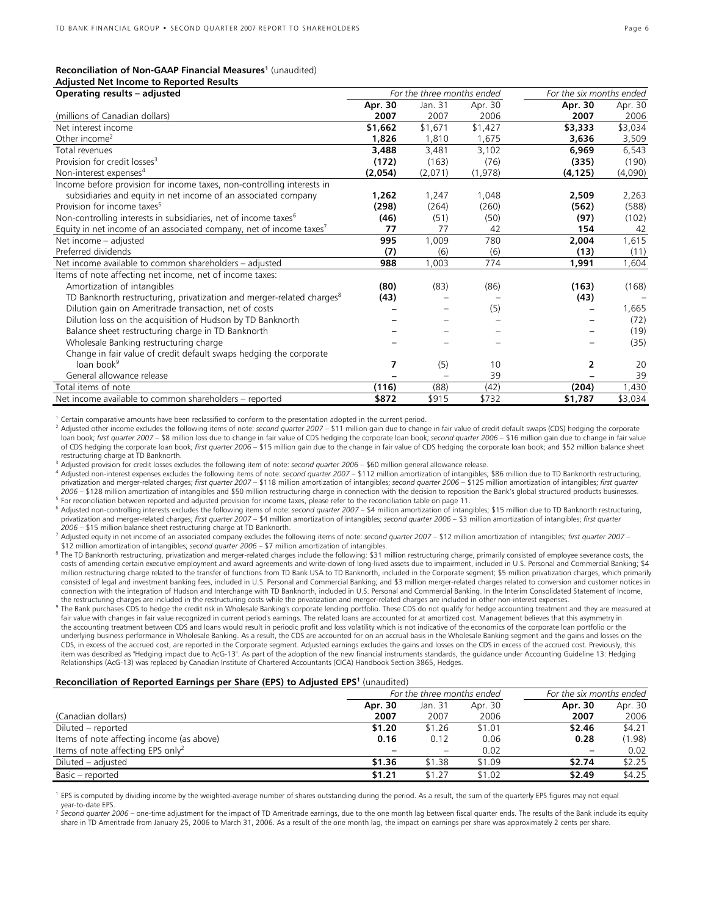### **Reconciliation of Non-GAAP Financial Measures<sup>1</sup> (unaudited)**

|  |  | <b>Adjusted Net Income to Reported Results</b> |  |
|--|--|------------------------------------------------|--|
|  |  |                                                |  |

| Operating results - adjusted                                                      |         | For the three months ended |          | For the six months ended |         |
|-----------------------------------------------------------------------------------|---------|----------------------------|----------|--------------------------|---------|
|                                                                                   | Apr. 30 | Jan. 31                    | Apr. 30  | Apr. 30                  | Apr. 30 |
| (millions of Canadian dollars)                                                    | 2007    | 2007                       | 2006     | 2007                     | 2006    |
| Net interest income                                                               | \$1,662 | \$1,671                    | \$1,427  | \$3,333                  | \$3,034 |
| Other income <sup>2</sup>                                                         | 1,826   | 1,810                      | 1,675    | 3,636                    | 3,509   |
| Total revenues                                                                    | 3,488   | 3,481                      | 3,102    | 6,969                    | 6,543   |
| Provision for credit losses <sup>3</sup>                                          | (172)   | (163)                      | (76)     | (335)                    | (190)   |
| Non-interest expenses <sup>4</sup>                                                | (2,054) | (2,071)                    | (1, 978) | (4, 125)                 | (4,090) |
| Income before provision for income taxes, non-controlling interests in            |         |                            |          |                          |         |
| subsidiaries and equity in net income of an associated company                    | 1,262   | 1,247                      | 1,048    | 2,509                    | 2,263   |
| Provision for income taxes <sup>5</sup>                                           | (298)   | (264)                      | (260)    | (562)                    | (588)   |
| Non-controlling interests in subsidiaries, net of income taxes <sup>6</sup>       | (46)    | (51)                       | (50)     | (97)                     | (102)   |
| Equity in net income of an associated company, net of income taxes <sup>7</sup>   | 77      | 77                         | 42       | 154                      | 42      |
| Net income - adiusted                                                             | 995     | 1,009                      | 780      | 2,004                    | 1,615   |
| Preferred dividends                                                               | (7)     | (6)                        | (6)      | (13)                     | (11)    |
| Net income available to common shareholders - adjusted                            | 988     | 1,003                      | 774      | 1,991                    | 1,604   |
| Items of note affecting net income, net of income taxes:                          |         |                            |          |                          |         |
| Amortization of intangibles                                                       | (80)    | (83)                       | (86)     | (163)                    | (168)   |
| TD Banknorth restructuring, privatization and merger-related charges <sup>8</sup> | (43)    |                            |          | (43)                     |         |
| Dilution gain on Ameritrade transaction, net of costs                             |         |                            | (5)      |                          | 1,665   |
| Dilution loss on the acquisition of Hudson by TD Banknorth                        |         |                            |          |                          | (72)    |
| Balance sheet restructuring charge in TD Banknorth                                |         |                            |          |                          | (19)    |
| Wholesale Banking restructuring charge                                            |         |                            |          |                          | (35)    |
| Change in fair value of credit default swaps hedging the corporate                |         |                            |          |                          |         |
| loan book <sup>9</sup>                                                            | 7       | (5)                        | 10       | 2                        | 20      |
| General allowance release                                                         |         |                            | 39       |                          | 39      |
| Total items of note                                                               | (116)   | (88)                       | (42)     | (204)                    | 1,430   |
| Net income available to common shareholders – reported                            | \$872   | \$915                      | \$732    | \$1,787                  | \$3,034 |

 $1$  Certain comparative amounts have been reclassified to conform to the presentation adopted in the current period.

<sup>2</sup> Adjusted other income excludes the following items of note: *second quarter 2007 –* \$11 million gain due to change in fair value of credit default swaps (CDS) hedging the corporate loan book; *first quarter 2007 –* \$8 million loss due to change in fair value of CDS hedging the corporate loan book; *second quarter 2006 –* \$16 million gain due to change in fair value of CDS hedging the corporate loan book; *first quarter 2006 –* \$15 million gain due to the change in fair value of CDS hedging the corporate loan book; and \$52 million balance sheet restructuring charge at TD Banknorth.<br>Adjusted provision for credit losses excludes the following item of note: second quarter 2006 – \$60 million general allowance release.

4 Adjusted non-interest expenses excludes the following items of note: second quarter 2007 - \$112 million amortization of intangibles; \$86 million due to TD Banknorth restructuring, privatization and merger-related charges; *first quarter 2007* – \$118 million amortization of intangibles; *second quarter 2006* – \$125 million amortization of intangibles; *first quarter*  For reconciliation between reported and adjusted provision for income taxes, please refer to the reconciliation table on page 11.<br>Fadjusted non-controlling interests excludes the following items of note: second quarter 200

privatization and merger-related charges; *first quarter 2007* – \$4 million amortization of intangibles; *second quarter 2006* – \$3 million amortization of intangibles; *first quarter* 

Adjusted equity in net income of an associated company excludes the following items of note: second quarter 2007 – \$12 million amortization of intangibles; first quarter 2007 –<br>\$12 million amortization of intangibles; seco

The TD Banknorth restructuring, privatization and merger-related charges include the following: \$31 million restructuring charge, primarily consisted of employee severance costs, the costs of amending certain executive employment and award agreements and write-down of long-lived assets due to impairment, included in U.S. Personal and Commercial Banking; \$4 million restructuring charge related to the transfer of functions from TD Bank USA to TD Banknorth, included in the Corporate segment; \$5 million privatization charges, which primarily consisted of legal and investment banking fees, included in U.S. Personal and Commercial Banking; and \$3 million merger-related charges related to conversion and customer notices in connection with the integration of Hudson and Interchange with TD Banknorth, included in U.S. Personal and Commercial Banking. In the Interim Consolidated Statement of Income,

the restructuring charges are included in the restructuring costs while the privatization and merger-related charges are included in other non-interest expenses.<br><sup>9</sup> The Bank purchases CDS to hedge the credit risk in Whole fair value with changes in fair value recognized in current period's earnings. The related loans are accounted for at amortized cost. Management believes that this asymmetry in the accounting treatment between CDS and loans would result in periodic profit and loss volatility which is not indicative of the economics of the corporate loan portfolio or the underlying business performance in Wholesale Banking. As a result, the CDS are accounted for on an accrual basis in the Wholesale Banking segment and the gains and losses on the CDS, in excess of the accrued cost, are reported in the Corporate segment. Adjusted earnings excludes the gains and losses on the CDS in excess of the accrued cost. Previously, this item was described as "Hedging impact due to AcG-13". As part of the adoption of the new financial instruments standards, the guidance under Accounting Guideline 13: Hedging Relationships (AcG-13) was replaced by Canadian Institute of Chartered Accountants (CICA) Handbook Section 3865, Hedges.

### Reconciliation of Reported Earnings per Share (EPS) to Adjusted EPS<sup>1</sup> (unaudited)

|                                               | For the three months ended |         |         | For the six months ended |         |  |
|-----------------------------------------------|----------------------------|---------|---------|--------------------------|---------|--|
|                                               | Apr. 30                    | Jan. 31 | Apr. 30 | Apr. 30                  | Apr. 30 |  |
| (Canadian dollars)                            | 2007                       | 2007    | 2006    | 2007                     | 2006    |  |
| Diluted – reported                            | \$1.20                     | \$1.26  | \$1.01  | \$2.46                   | \$4.21  |  |
| Items of note affecting income (as above)     | 0.16                       | 0.12    | 0.06    | 0.28                     | (1.98)  |  |
| Items of note affecting EPS only <sup>2</sup> |                            |         | 0.02    | $\overline{\phantom{0}}$ | 0.02    |  |
| Diluted – adjusted                            | \$1.36                     | \$1.38  | \$1.09  | \$2.74                   | \$2.25  |  |
| Basic – reported                              | \$1.21                     | \$1.27  | \$1.02  | \$2.49                   | \$4.25  |  |

 $1$  EPS is computed by dividing income by the weighted-average number of shares outstanding during the period. As a result, the sum of the quarterly EPS figures may not equal year-to-date EPS.

<sup>2</sup> *Second quarter 2006* – one-time adjustment for the impact of TD Ameritrade earnings, due to the one month lag between fiscal quarter ends. The results of the Bank include its equity share in TD Ameritrade from January 25, 2006 to March 31, 2006. As a result of the one month lag, the impact on earnings per share was approximately 2 cents per share.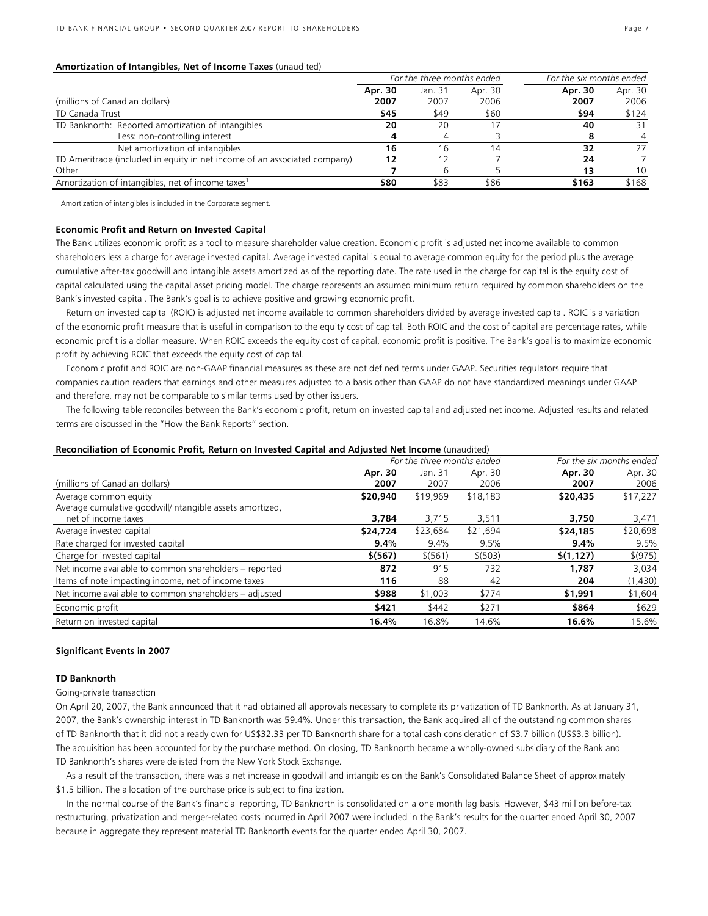### **Amortization of Intangibles, Net of Income Taxes** (unaudited)

|                                                                           | For the three months ended |         | For the six months ended |         |         |
|---------------------------------------------------------------------------|----------------------------|---------|--------------------------|---------|---------|
|                                                                           | Apr. 30                    | Jan. 31 | Apr. 30                  | Apr. 30 | Apr. 30 |
| (millions of Canadian dollars)                                            | 2007                       | 2007    | 2006                     | 2007    | 2006    |
| TD Canada Trust                                                           | \$45                       | \$49    | \$60                     | \$94    | \$124   |
| TD Banknorth: Reported amortization of intangibles                        | 20                         | 20      |                          | 40      | 31      |
| Less: non-controlling interest                                            |                            |         |                          |         |         |
| Net amortization of intangibles                                           | 16                         | 16      | 14                       | 32      | 27      |
| TD Ameritrade (included in equity in net income of an associated company) | 12                         |         |                          | 24      |         |
| Other                                                                     |                            |         |                          | 13      | 10      |
| Amortization of intangibles, net of income taxes <sup>1</sup>             | \$80                       | \$83    | \$86                     | \$163   | \$168   |

<sup>1</sup> Amortization of intangibles is included in the Corporate segment.

### **Economic Profit and Return on Invested Capital**

The Bank utilizes economic profit as a tool to measure shareholder value creation. Economic profit is adjusted net income available to common shareholders less a charge for average invested capital. Average invested capital is equal to average common equity for the period plus the average cumulative after-tax goodwill and intangible assets amortized as of the reporting date. The rate used in the charge for capital is the equity cost of capital calculated using the capital asset pricing model. The charge represents an assumed minimum return required by common shareholders on the Bank's invested capital. The Bank's goal is to achieve positive and growing economic profit.

Return on invested capital (ROIC) is adjusted net income available to common shareholders divided by average invested capital. ROIC is a variation of the economic profit measure that is useful in comparison to the equity cost of capital. Both ROIC and the cost of capital are percentage rates, while economic profit is a dollar measure. When ROIC exceeds the equity cost of capital, economic profit is positive. The Bank's goal is to maximize economic profit by achieving ROIC that exceeds the equity cost of capital.

Economic profit and ROIC are non-GAAP financial measures as these are not defined terms under GAAP. Securities regulators require that companies caution readers that earnings and other measures adjusted to a basis other than GAAP do not have standardized meanings under GAAP and therefore, may not be comparable to similar terms used by other issuers.

The following table reconciles between the Bank's economic profit, return on invested capital and adjusted net income. Adjusted results and related terms are discussed in the "How the Bank Reports" section.

#### **Reconciliation of Economic Profit, Return on Invested Capital and Adjusted Net Income** (unaudited)

|                                                          | For the three months ended |          |          | For the six months ended |          |  |
|----------------------------------------------------------|----------------------------|----------|----------|--------------------------|----------|--|
|                                                          | Apr. 30                    | Jan. 31  | Apr. 30  | Apr. 30                  | Apr. 30  |  |
| (millions of Canadian dollars)                           | 2007                       | 2007     | 2006     | 2007                     | 2006     |  |
| Average common equity                                    | \$20,940                   | \$19,969 | \$18,183 | \$20,435                 | \$17,227 |  |
| Average cumulative goodwill/intangible assets amortized, |                            |          |          |                          |          |  |
| net of income taxes                                      | 3,784                      | 3,715    | 3,511    | 3,750                    | 3,471    |  |
| Average invested capital                                 | \$24,724                   | \$23,684 | \$21,694 | \$24,185                 | \$20,698 |  |
| Rate charged for invested capital                        | 9.4%                       | 9.4%     | 9.5%     | 9.4%                     | 9.5%     |  |
| Charge for invested capital                              | \$(567)                    | \$ (561) | \$ (503) | \$(1,127)                | \$(975)  |  |
| Net income available to common shareholders - reported   | 872                        | 915      | 732      | 1,787                    | 3,034    |  |
| Items of note impacting income, net of income taxes      | 116                        | 88       | 42       | 204                      | (1,430)  |  |
| Net income available to common shareholders - adjusted   | \$988                      | \$1,003  | \$774    | \$1,991                  | \$1,604  |  |
| Economic profit                                          | \$421                      | \$442    | \$271    | \$864                    | \$629    |  |
| Return on invested capital                               | 16.4%                      | 16.8%    | 14.6%    | 16.6%                    | 15.6%    |  |

### **Significant Events in 2007**

### **TD Banknorth**

### Going-private transaction

On April 20, 2007, the Bank announced that it had obtained all approvals necessary to complete its privatization of TD Banknorth. As at January 31, 2007, the Bank's ownership interest in TD Banknorth was 59.4%. Under this transaction, the Bank acquired all of the outstanding common shares of TD Banknorth that it did not already own for US\$32.33 per TD Banknorth share for a total cash consideration of \$3.7 billion (US\$3.3 billion). The acquisition has been accounted for by the purchase method. On closing, TD Banknorth became a wholly-owned subsidiary of the Bank and TD Banknorth's shares were delisted from the New York Stock Exchange.

As a result of the transaction, there was a net increase in goodwill and intangibles on the Bank's Consolidated Balance Sheet of approximately \$1.5 billion. The allocation of the purchase price is subject to finalization.

In the normal course of the Bank's financial reporting, TD Banknorth is consolidated on a one month lag basis. However, \$43 million before-tax restructuring, privatization and merger-related costs incurred in April 2007 were included in the Bank's results for the quarter ended April 30, 2007 because in aggregate they represent material TD Banknorth events for the quarter ended April 30, 2007.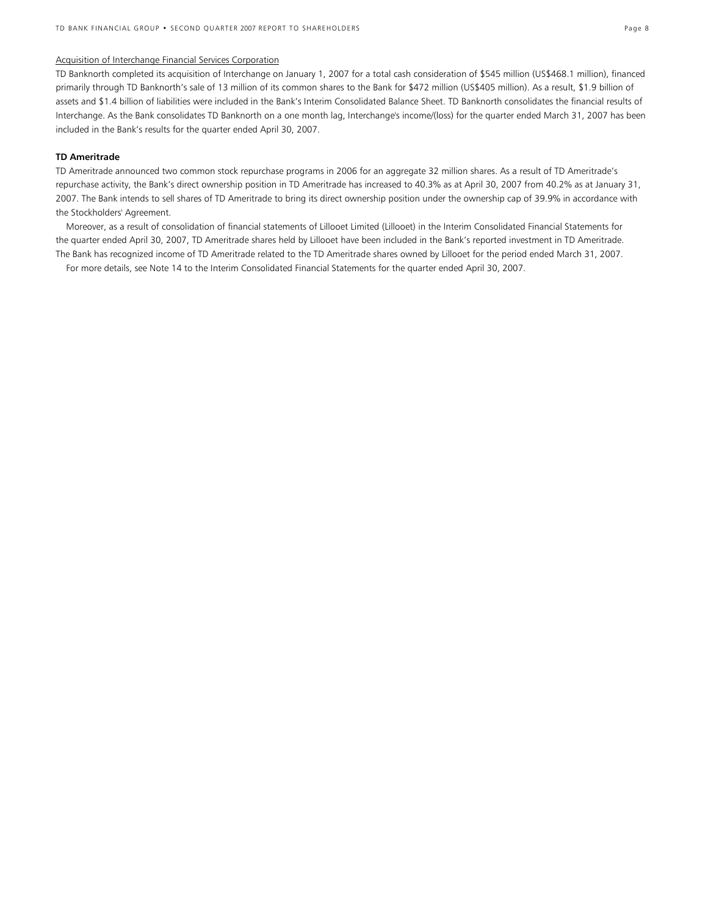### Acquisition of Interchange Financial Services Corporation

TD Banknorth completed its acquisition of Interchange on January 1, 2007 for a total cash consideration of \$545 million (US\$468.1 million), financed primarily through TD Banknorth's sale of 13 million of its common shares to the Bank for \$472 million (US\$405 million). As a result, \$1.9 billion of assets and \$1.4 billion of liabilities were included in the Bank's Interim Consolidated Balance Sheet. TD Banknorth consolidates the financial results of Interchange. As the Bank consolidates TD Banknorth on a one month lag, Interchange's income/(loss) for the quarter ended March 31, 2007 has been included in the Bank's results for the quarter ended April 30, 2007.

### **TD Ameritrade**

TD Ameritrade announced two common stock repurchase programs in 2006 for an aggregate 32 million shares. As a result of TD Ameritrade's repurchase activity, the Bank's direct ownership position in TD Ameritrade has increased to 40.3% as at April 30, 2007 from 40.2% as at January 31, 2007. The Bank intends to sell shares of TD Ameritrade to bring its direct ownership position under the ownership cap of 39.9% in accordance with the Stockholders' Agreement.

Moreover, as a result of consolidation of financial statements of Lillooet Limited (Lillooet) in the Interim Consolidated Financial Statements for the quarter ended April 30, 2007, TD Ameritrade shares held by Lillooet have been included in the Bank's reported investment in TD Ameritrade. The Bank has recognized income of TD Ameritrade related to the TD Ameritrade shares owned by Lillooet for the period ended March 31, 2007.

For more details, see Note 14 to the Interim Consolidated Financial Statements for the quarter ended April 30, 2007.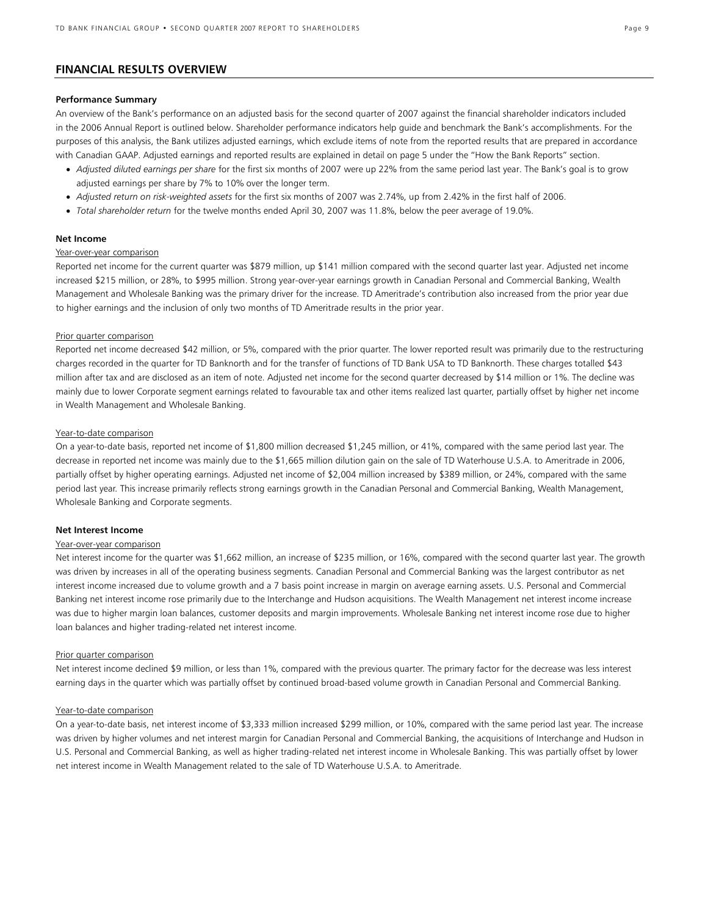### **FINANCIAL RESULTS OVERVIEW**

### **Performance Summary**

An overview of the Bank's performance on an adjusted basis for the second quarter of 2007 against the financial shareholder indicators included in the 2006 Annual Report is outlined below. Shareholder performance indicators help guide and benchmark the Bank's accomplishments. For the purposes of this analysis, the Bank utilizes adjusted earnings, which exclude items of note from the reported results that are prepared in accordance with Canadian GAAP. Adjusted earnings and reported results are explained in detail on page 5 under the "How the Bank Reports" section.

- *Adjusted diluted earnings per share* for the first six months of 2007 were up 22% from the same period last year. The Bank's goal is to grow adjusted earnings per share by 7% to 10% over the longer term.
- *Adjusted return on risk-weighted assets* for the first six months of 2007 was 2.74%, up from 2.42% in the first half of 2006.
- *Total shareholder return* for the twelve months ended April 30, 2007 was 11.8%, below the peer average of 19.0%.

### **Net Income**

### Year-over-year comparison

Reported net income for the current quarter was \$879 million, up \$141 million compared with the second quarter last year. Adjusted net income increased \$215 million, or 28%, to \$995 million. Strong year-over-year earnings growth in Canadian Personal and Commercial Banking, Wealth Management and Wholesale Banking was the primary driver for the increase. TD Ameritrade's contribution also increased from the prior year due to higher earnings and the inclusion of only two months of TD Ameritrade results in the prior year.

### Prior quarter comparison

Reported net income decreased \$42 million, or 5%, compared with the prior quarter. The lower reported result was primarily due to the restructuring charges recorded in the quarter for TD Banknorth and for the transfer of functions of TD Bank USA to TD Banknorth. These charges totalled \$43 million after tax and are disclosed as an item of note. Adjusted net income for the second quarter decreased by \$14 million or 1%. The decline was mainly due to lower Corporate segment earnings related to favourable tax and other items realized last quarter, partially offset by higher net income in Wealth Management and Wholesale Banking.

#### Year-to-date comparison

On a year-to-date basis, reported net income of \$1,800 million decreased \$1,245 million, or 41%, compared with the same period last year. The decrease in reported net income was mainly due to the \$1,665 million dilution gain on the sale of TD Waterhouse U.S.A. to Ameritrade in 2006, partially offset by higher operating earnings. Adjusted net income of \$2,004 million increased by \$389 million, or 24%, compared with the same period last year. This increase primarily reflects strong earnings growth in the Canadian Personal and Commercial Banking, Wealth Management, Wholesale Banking and Corporate segments.

#### **Net Interest Income**

### Year-over-year comparison

Net interest income for the quarter was \$1,662 million, an increase of \$235 million, or 16%, compared with the second quarter last year. The growth was driven by increases in all of the operating business segments. Canadian Personal and Commercial Banking was the largest contributor as net interest income increased due to volume growth and a 7 basis point increase in margin on average earning assets. U.S. Personal and Commercial Banking net interest income rose primarily due to the Interchange and Hudson acquisitions. The Wealth Management net interest income increase was due to higher margin loan balances, customer deposits and margin improvements. Wholesale Banking net interest income rose due to higher loan balances and higher trading-related net interest income.

#### Prior quarter comparison

Net interest income declined \$9 million, or less than 1%, compared with the previous quarter. The primary factor for the decrease was less interest earning days in the quarter which was partially offset by continued broad-based volume growth in Canadian Personal and Commercial Banking.

### Year-to-date comparison

On a year-to-date basis, net interest income of \$3,333 million increased \$299 million, or 10%, compared with the same period last year. The increase was driven by higher volumes and net interest margin for Canadian Personal and Commercial Banking, the acquisitions of Interchange and Hudson in U.S. Personal and Commercial Banking, as well as higher trading-related net interest income in Wholesale Banking. This was partially offset by lower net interest income in Wealth Management related to the sale of TD Waterhouse U.S.A. to Ameritrade.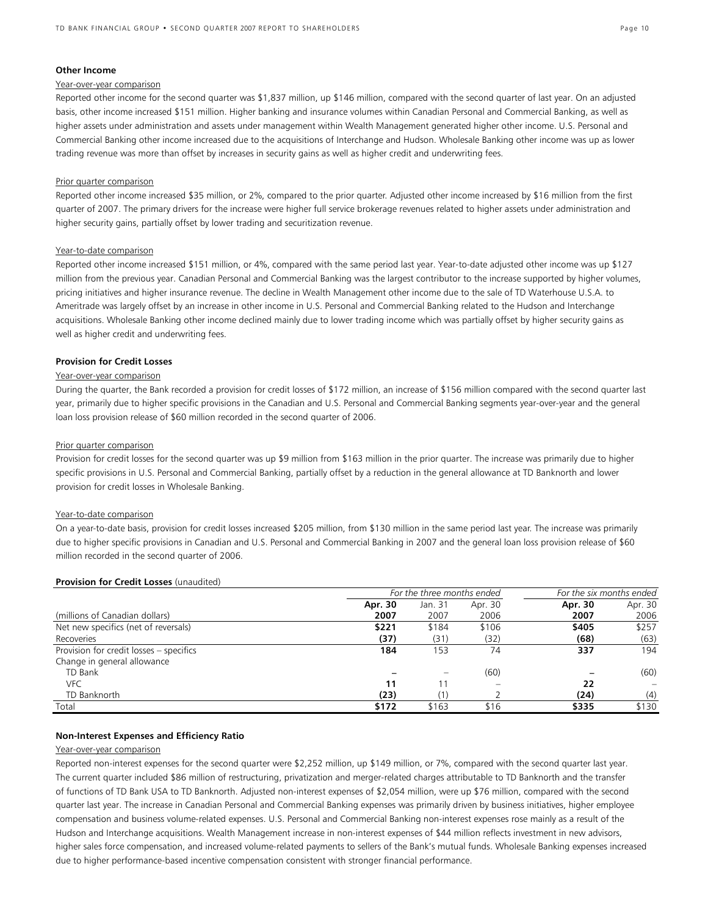### **Other Income**

#### Year-over-year comparison

Reported other income for the second quarter was \$1,837 million, up \$146 million, compared with the second quarter of last year. On an adjusted basis, other income increased \$151 million. Higher banking and insurance volumes within Canadian Personal and Commercial Banking, as well as higher assets under administration and assets under management within Wealth Management generated higher other income. U.S. Personal and Commercial Banking other income increased due to the acquisitions of Interchange and Hudson. Wholesale Banking other income was up as lower trading revenue was more than offset by increases in security gains as well as higher credit and underwriting fees.

#### Prior quarter comparison

Reported other income increased \$35 million, or 2%, compared to the prior quarter. Adjusted other income increased by \$16 million from the first quarter of 2007. The primary drivers for the increase were higher full service brokerage revenues related to higher assets under administration and higher security gains, partially offset by lower trading and securitization revenue.

#### Year-to-date comparison

Reported other income increased \$151 million, or 4%, compared with the same period last year. Year-to-date adjusted other income was up \$127 million from the previous year. Canadian Personal and Commercial Banking was the largest contributor to the increase supported by higher volumes, pricing initiatives and higher insurance revenue. The decline in Wealth Management other income due to the sale of TD Waterhouse U.S.A. to Ameritrade was largely offset by an increase in other income in U.S. Personal and Commercial Banking related to the Hudson and Interchange acquisitions. Wholesale Banking other income declined mainly due to lower trading income which was partially offset by higher security gains as well as higher credit and underwriting fees.

### **Provision for Credit Losses**

### Year-over-year comparison

During the quarter, the Bank recorded a provision for credit losses of \$172 million, an increase of \$156 million compared with the second quarter last year, primarily due to higher specific provisions in the Canadian and U.S. Personal and Commercial Banking segments year-over-year and the general loan loss provision release of \$60 million recorded in the second quarter of 2006.

### Prior quarter comparison

Provision for credit losses for the second quarter was up \$9 million from \$163 million in the prior quarter. The increase was primarily due to higher specific provisions in U.S. Personal and Commercial Banking, partially offset by a reduction in the general allowance at TD Banknorth and lower provision for credit losses in Wholesale Banking.

#### Year-to-date comparison

On a year-to-date basis, provision for credit losses increased \$205 million, from \$130 million in the same period last year. The increase was primarily due to higher specific provisions in Canadian and U.S. Personal and Commercial Banking in 2007 and the general loan loss provision release of \$60 million recorded in the second quarter of 2006.

#### **Provision for Credit Losses** (unaudited)

|                                         | For the three months ended |         |         | For the six months ended |         |  |
|-----------------------------------------|----------------------------|---------|---------|--------------------------|---------|--|
|                                         | Apr. 30                    | Jan. 31 | Apr. 30 | Apr. 30                  | Apr. 30 |  |
| (millions of Canadian dollars)          | 2007                       | 2007    | 2006    | 2007                     | 2006    |  |
| Net new specifics (net of reversals)    | \$221                      | \$184   | \$106   | \$405                    | \$257   |  |
| Recoveries                              | (37)                       | (31)    | (32)    | (68)                     | (63)    |  |
| Provision for credit losses - specifics | 184                        | 153     | 74      | 337                      | 194     |  |
| Change in general allowance             |                            |         |         |                          |         |  |
| TD Bank                                 |                            |         | (60)    |                          | (60)    |  |
| <b>VFC</b>                              | 11                         |         |         | 22                       |         |  |
| TD Banknorth                            | (23)                       | (1)     |         | (24)                     | (4)     |  |
| Total                                   | \$172                      | \$163   | \$16    | \$335                    | \$130   |  |

### **Non-Interest Expenses and Efficiency Ratio**

### Year-over-year comparison

Reported non-interest expenses for the second quarter were \$2,252 million, up \$149 million, or 7%, compared with the second quarter last year. The current quarter included \$86 million of restructuring, privatization and merger-related charges attributable to TD Banknorth and the transfer of functions of TD Bank USA to TD Banknorth. Adjusted non-interest expenses of \$2,054 million, were up \$76 million, compared with the second quarter last year. The increase in Canadian Personal and Commercial Banking expenses was primarily driven by business initiatives, higher employee compensation and business volume-related expenses. U.S. Personal and Commercial Banking non-interest expenses rose mainly as a result of the Hudson and Interchange acquisitions. Wealth Management increase in non-interest expenses of \$44 million reflects investment in new advisors, higher sales force compensation, and increased volume-related payments to sellers of the Bank's mutual funds. Wholesale Banking expenses increased due to higher performance-based incentive compensation consistent with stronger financial performance.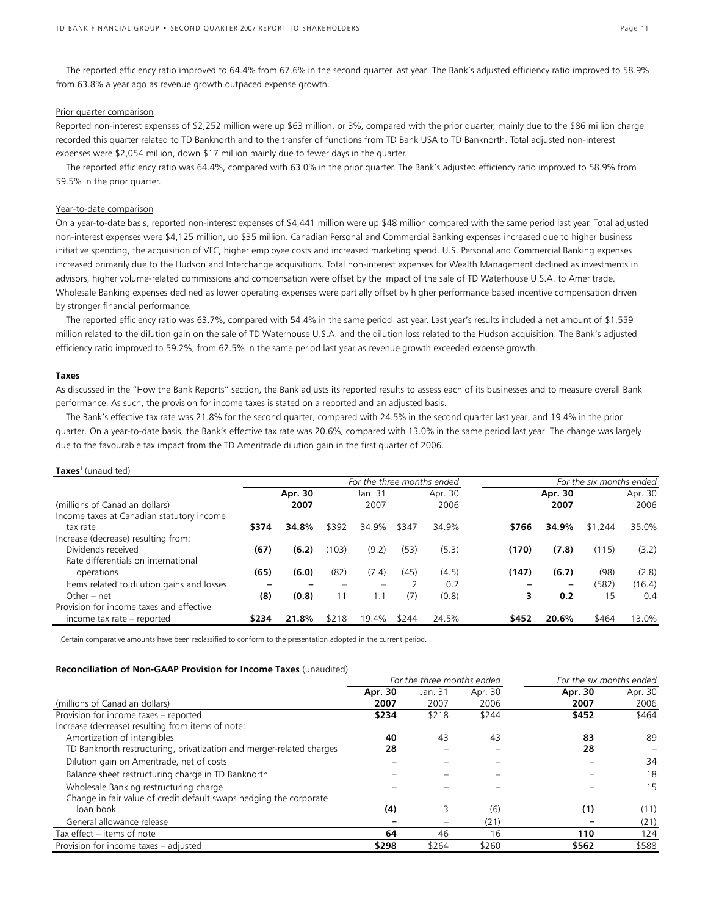The reported efficiency ratio improved to 64.4% from 67.6% in the second quarter last year. The Bank's adjusted efficiency ratio improved to 58.9% from 63.8% a year ago as revenue growth outpaced expense growth.

### Prior quarter comparison

Reported non-interest expenses of \$2,252 million were up \$63 million, or 3%, compared with the prior quarter, mainly due to the \$86 million charge recorded this quarter related to TD Banknorth and to the transfer of functions from TD Bank USA to TD Banknorth. Total adjusted non-interest expenses were \$2,054 million, down \$17 million mainly due to fewer days in the quarter.

The reported efficiency ratio was 64.4%, compared with 63.0% in the prior quarter. The Bank's adjusted efficiency ratio improved to 58.9% from 59.5% in the prior quarter.

### Year-to-date comparison

On a year-to-date basis, reported non-interest expenses of \$4,441 million were up \$48 million compared with the same period last year. Total adjusted non-interest expenses were \$4,125 million, up \$35 million. Canadian Personal and Commercial Banking expenses increased due to higher business initiative spending, the acquisition of VFC, higher employee costs and increased marketing spend. U.S. Personal and Commercial Banking expenses increased primarily due to the Hudson and Interchange acquisitions. Total non-interest expenses for Wealth Management declined as investments in advisors, higher volume-related commissions and compensation were offset by the impact of the sale of TD Waterhouse U.S.A. to Ameritrade. Wholesale Banking expenses declined as lower operating expenses were partially offset by higher performance based incentive compensation driven by stronger financial performance.

The reported efficiency ratio was 63.7%, compared with 54.4% in the same period last year. Last year's results included a net amount of \$1,559 million related to the dilution gain on the sale of TD Waterhouse U.S.A. and the dilution loss related to the Hudson acquisition. The Bank's adjusted efficiency ratio improved to 59.2%, from 62.5% in the same period last year as revenue growth exceeded expense growth.

### **Taxes**

**Taxes**1 (unaudited)

As discussed in the "How the Bank Reports" section, the Bank adjusts its reported results to assess each of its businesses and to measure overall Bank performance. As such, the provision for income taxes is stated on a reported and an adjusted basis.

The Bank's effective tax rate was 21.8% for the second quarter, compared with 24.5% in the second quarter last year, and 19.4% in the prior quarter. On a year-to-date basis, the Bank's effective tax rate was 20.6%, compared with 13.0% in the same period last year. The change was largely due to the favourable tax impact from the TD Ameritrade dilution gain in the first quarter of 2006.

|                                            |       |         |       | For the three months ended |       |         |       |         | For the six months ended |         |
|--------------------------------------------|-------|---------|-------|----------------------------|-------|---------|-------|---------|--------------------------|---------|
|                                            |       | Apr. 30 |       | Jan. 31                    |       | Apr. 30 |       | Apr. 30 |                          | Apr. 30 |
| (millions of Canadian dollars)             |       | 2007    |       | 2007                       |       | 2006    |       | 2007    |                          | 2006    |
| Income taxes at Canadian statutory income  |       |         |       |                            |       |         |       |         |                          |         |
| tax rate                                   | \$374 | 34.8%   | \$392 | 34.9%                      | \$347 | 34.9%   | \$766 | 34.9%   | \$1,244                  | 35.0%   |
| Increase (decrease) resulting from:        |       |         |       |                            |       |         |       |         |                          |         |
| Dividends received                         | (67)  | (6.2)   | (103) | (9.2)                      | (53)  | (5.3)   | (170) | (7.8)   | (115)                    | (3.2)   |
| Rate differentials on international        |       |         |       |                            |       |         |       |         |                          |         |
| operations                                 | (65)  | (6.0)   | (82)  | (7.4)                      | (45)  | (4.5)   | (147) | (6.7)   | (98)                     | (2.8)   |
| Items related to dilution gains and losses |       |         |       |                            |       | 0.2     |       |         | (582)                    | (16.4)  |
| Other $-$ net                              | (8)   | (0.8)   | 11    | 1.1                        | (7)   | (0.8)   | 3     | 0.2     | 15                       | 0.4     |
| Provision for income taxes and effective   |       |         |       |                            |       |         |       |         |                          |         |
| income tax rate – reported                 | \$234 | 21.8%   | \$218 | 19.4%                      | \$244 | 24.5%   | \$452 | 20.6%   | \$464                    | 13.0%   |

<sup>1</sup> Certain comparative amounts have been reclassified to conform to the presentation adopted in the current period.

### **Reconciliation of Non-GAAP Provision for Income Taxes** (unaudited)

|                                                                      |         | For the three months ended |         | For the six months ended |         |
|----------------------------------------------------------------------|---------|----------------------------|---------|--------------------------|---------|
|                                                                      | Apr. 30 | Jan. 31                    | Apr. 30 | Apr. 30                  | Apr. 30 |
| (millions of Canadian dollars)                                       | 2007    | 2007                       | 2006    | 2007                     | 2006    |
| Provision for income taxes - reported                                | \$234   | \$218                      | \$244   | \$452                    | \$464   |
| Increase (decrease) resulting from items of note:                    |         |                            |         |                          |         |
| Amortization of intangibles                                          | 40      | 43                         | 43      | 83                       | 89      |
| TD Banknorth restructuring, privatization and merger-related charges | 28      |                            |         | 28                       |         |
| Dilution gain on Ameritrade, net of costs                            |         |                            |         |                          | 34      |
| Balance sheet restructuring charge in TD Banknorth                   |         |                            |         |                          | 18      |
| Wholesale Banking restructuring charge                               |         |                            |         |                          | 15      |
| Change in fair value of credit default swaps hedging the corporate   |         |                            |         |                          |         |
| loan book                                                            | (4)     | 3                          | (6)     | (1)                      | (11)    |
| General allowance release                                            |         |                            | (21)    |                          | (21)    |
| Tax effect – items of note                                           | 64      | 46                         | 16      | 110                      | 124     |
| Provision for income taxes - adjusted                                | \$298   | \$264                      | \$260   | \$562                    | \$588   |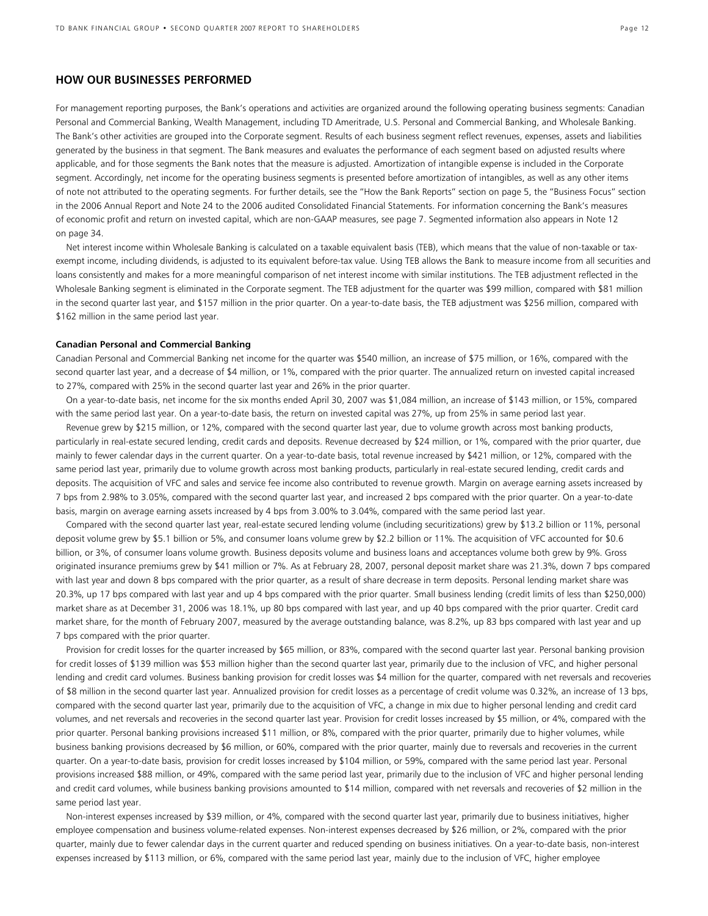### **HOW OUR BUSINESSES PERFORMED**

For management reporting purposes, the Bank's operations and activities are organized around the following operating business segments: Canadian Personal and Commercial Banking, Wealth Management, including TD Ameritrade, U.S. Personal and Commercial Banking, and Wholesale Banking. The Bank's other activities are grouped into the Corporate segment. Results of each business segment reflect revenues, expenses, assets and liabilities generated by the business in that segment. The Bank measures and evaluates the performance of each segment based on adjusted results where applicable, and for those segments the Bank notes that the measure is adjusted. Amortization of intangible expense is included in the Corporate segment. Accordingly, net income for the operating business segments is presented before amortization of intangibles, as well as any other items of note not attributed to the operating segments. For further details, see the "How the Bank Reports" section on page 5, the "Business Focus" section in the 2006 Annual Report and Note 24 to the 2006 audited Consolidated Financial Statements. For information concerning the Bank's measures of economic profit and return on invested capital, which are non-GAAP measures, see page 7. Segmented information also appears in Note 12 on page 34.

Net interest income within Wholesale Banking is calculated on a taxable equivalent basis (TEB), which means that the value of non-taxable or taxexempt income, including dividends, is adjusted to its equivalent before-tax value. Using TEB allows the Bank to measure income from all securities and loans consistently and makes for a more meaningful comparison of net interest income with similar institutions. The TEB adjustment reflected in the Wholesale Banking segment is eliminated in the Corporate segment. The TEB adjustment for the quarter was \$99 million, compared with \$81 million in the second quarter last year, and \$157 million in the prior quarter. On a year-to-date basis, the TEB adjustment was \$256 million, compared with \$162 million in the same period last year.

### **Canadian Personal and Commercial Banking**

Canadian Personal and Commercial Banking net income for the quarter was \$540 million, an increase of \$75 million, or 16%, compared with the second quarter last year, and a decrease of \$4 million, or 1%, compared with the prior quarter. The annualized return on invested capital increased to 27%, compared with 25% in the second quarter last year and 26% in the prior quarter.

On a year-to-date basis, net income for the six months ended April 30, 2007 was \$1,084 million, an increase of \$143 million, or 15%, compared with the same period last year. On a year-to-date basis, the return on invested capital was 27%, up from 25% in same period last year.

Revenue grew by \$215 million, or 12%, compared with the second quarter last year, due to volume growth across most banking products, particularly in real-estate secured lending, credit cards and deposits. Revenue decreased by \$24 million, or 1%, compared with the prior quarter, due mainly to fewer calendar days in the current quarter. On a year-to-date basis, total revenue increased by \$421 million, or 12%, compared with the same period last year, primarily due to volume growth across most banking products, particularly in real-estate secured lending, credit cards and deposits. The acquisition of VFC and sales and service fee income also contributed to revenue growth. Margin on average earning assets increased by 7 bps from 2.98% to 3.05%, compared with the second quarter last year, and increased 2 bps compared with the prior quarter. On a year-to-date basis, margin on average earning assets increased by 4 bps from 3.00% to 3.04%, compared with the same period last year.

Compared with the second quarter last year, real-estate secured lending volume (including securitizations) grew by \$13.2 billion or 11%, personal deposit volume grew by \$5.1 billion or 5%, and consumer loans volume grew by \$2.2 billion or 11%. The acquisition of VFC accounted for \$0.6 billion, or 3%, of consumer loans volume growth. Business deposits volume and business loans and acceptances volume both grew by 9%. Gross originated insurance premiums grew by \$41 million or 7%. As at February 28, 2007, personal deposit market share was 21.3%, down 7 bps compared with last year and down 8 bps compared with the prior quarter, as a result of share decrease in term deposits. Personal lending market share was 20.3%, up 17 bps compared with last year and up 4 bps compared with the prior quarter. Small business lending (credit limits of less than \$250,000) market share as at December 31, 2006 was 18.1%, up 80 bps compared with last year, and up 40 bps compared with the prior quarter. Credit card market share, for the month of February 2007, measured by the average outstanding balance, was 8.2%, up 83 bps compared with last year and up 7 bps compared with the prior quarter.

Provision for credit losses for the quarter increased by \$65 million, or 83%, compared with the second quarter last year. Personal banking provision for credit losses of \$139 million was \$53 million higher than the second quarter last year, primarily due to the inclusion of VFC, and higher personal lending and credit card volumes. Business banking provision for credit losses was \$4 million for the quarter, compared with net reversals and recoveries of \$8 million in the second quarter last year. Annualized provision for credit losses as a percentage of credit volume was 0.32%, an increase of 13 bps, compared with the second quarter last year, primarily due to the acquisition of VFC, a change in mix due to higher personal lending and credit card volumes, and net reversals and recoveries in the second quarter last year. Provision for credit losses increased by \$5 million, or 4%, compared with the prior quarter. Personal banking provisions increased \$11 million, or 8%, compared with the prior quarter, primarily due to higher volumes, while business banking provisions decreased by \$6 million, or 60%, compared with the prior quarter, mainly due to reversals and recoveries in the current quarter. On a year-to-date basis, provision for credit losses increased by \$104 million, or 59%, compared with the same period last year. Personal provisions increased \$88 million, or 49%, compared with the same period last year, primarily due to the inclusion of VFC and higher personal lending and credit card volumes, while business banking provisions amounted to \$14 million, compared with net reversals and recoveries of \$2 million in the same period last year.

Non-interest expenses increased by \$39 million, or 4%, compared with the second quarter last year, primarily due to business initiatives, higher employee compensation and business volume-related expenses. Non-interest expenses decreased by \$26 million, or 2%, compared with the prior quarter, mainly due to fewer calendar days in the current quarter and reduced spending on business initiatives. On a year-to-date basis, non-interest expenses increased by \$113 million, or 6%, compared with the same period last year, mainly due to the inclusion of VFC, higher employee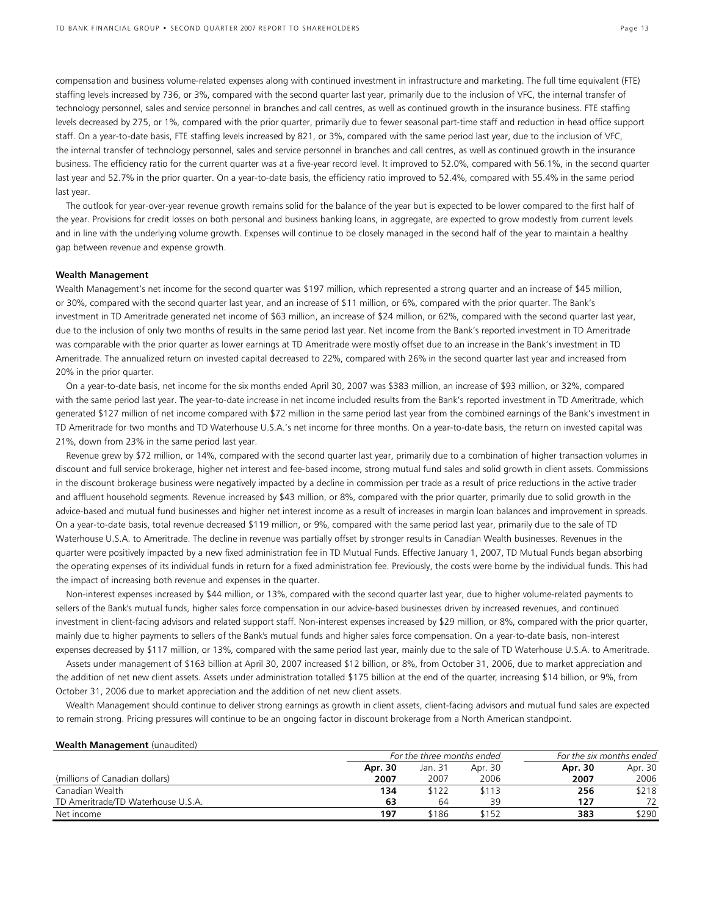compensation and business volume-related expenses along with continued investment in infrastructure and marketing. The full time equivalent (FTE) staffing levels increased by 736, or 3%, compared with the second quarter last year, primarily due to the inclusion of VFC, the internal transfer of technology personnel, sales and service personnel in branches and call centres, as well as continued growth in the insurance business. FTE staffing levels decreased by 275, or 1%, compared with the prior quarter, primarily due to fewer seasonal part-time staff and reduction in head office support staff. On a year-to-date basis, FTE staffing levels increased by 821, or 3%, compared with the same period last year, due to the inclusion of VFC, the internal transfer of technology personnel, sales and service personnel in branches and call centres, as well as continued growth in the insurance business. The efficiency ratio for the current quarter was at a five-year record level. It improved to 52.0%, compared with 56.1%, in the second quarter last year and 52.7% in the prior quarter. On a year-to-date basis, the efficiency ratio improved to 52.4%, compared with 55.4% in the same period last year.

The outlook for year-over-year revenue growth remains solid for the balance of the year but is expected to be lower compared to the first half of the year. Provisions for credit losses on both personal and business banking loans, in aggregate, are expected to grow modestly from current levels and in line with the underlying volume growth. Expenses will continue to be closely managed in the second half of the year to maintain a healthy gap between revenue and expense growth.

### **Wealth Management**

Wealth Management's net income for the second quarter was \$197 million, which represented a strong quarter and an increase of \$45 million, or 30%, compared with the second quarter last year, and an increase of \$11 million, or 6%, compared with the prior quarter. The Bank's investment in TD Ameritrade generated net income of \$63 million, an increase of \$24 million, or 62%, compared with the second quarter last year, due to the inclusion of only two months of results in the same period last year. Net income from the Bank's reported investment in TD Ameritrade was comparable with the prior quarter as lower earnings at TD Ameritrade were mostly offset due to an increase in the Bank's investment in TD Ameritrade. The annualized return on invested capital decreased to 22%, compared with 26% in the second quarter last year and increased from 20% in the prior quarter.

On a year-to-date basis, net income for the six months ended April 30, 2007 was \$383 million, an increase of \$93 million, or 32%, compared with the same period last year. The year-to-date increase in net income included results from the Bank's reported investment in TD Ameritrade, which generated \$127 million of net income compared with \$72 million in the same period last year from the combined earnings of the Bank's investment in TD Ameritrade for two months and TD Waterhouse U.S.A.'s net income for three months. On a year-to-date basis, the return on invested capital was 21%, down from 23% in the same period last year.

Revenue grew by \$72 million, or 14%, compared with the second quarter last year, primarily due to a combination of higher transaction volumes in discount and full service brokerage, higher net interest and fee-based income, strong mutual fund sales and solid growth in client assets. Commissions in the discount brokerage business were negatively impacted by a decline in commission per trade as a result of price reductions in the active trader and affluent household segments. Revenue increased by \$43 million, or 8%, compared with the prior quarter, primarily due to solid growth in the advice-based and mutual fund businesses and higher net interest income as a result of increases in margin loan balances and improvement in spreads. On a year-to-date basis, total revenue decreased \$119 million, or 9%, compared with the same period last year, primarily due to the sale of TD Waterhouse U.S.A. to Ameritrade. The decline in revenue was partially offset by stronger results in Canadian Wealth businesses. Revenues in the quarter were positively impacted by a new fixed administration fee in TD Mutual Funds. Effective January 1, 2007, TD Mutual Funds began absorbing the operating expenses of its individual funds in return for a fixed administration fee. Previously, the costs were borne by the individual funds. This had the impact of increasing both revenue and expenses in the quarter.

Non-interest expenses increased by \$44 million, or 13%, compared with the second quarter last year, due to higher volume-related payments to sellers of the Bank's mutual funds, higher sales force compensation in our advice-based businesses driven by increased revenues, and continued investment in client-facing advisors and related support staff. Non-interest expenses increased by \$29 million, or 8%, compared with the prior quarter, mainly due to higher payments to sellers of the Bank's mutual funds and higher sales force compensation. On a year-to-date basis, non-interest expenses decreased by \$117 million, or 13%, compared with the same period last year, mainly due to the sale of TD Waterhouse U.S.A. to Ameritrade.

Assets under management of \$163 billion at April 30, 2007 increased \$12 billion, or 8%, from October 31, 2006, due to market appreciation and the addition of net new client assets. Assets under administration totalled \$175 billion at the end of the quarter, increasing \$14 billion, or 9%, from October 31, 2006 due to market appreciation and the addition of net new client assets.

Wealth Management should continue to deliver strong earnings as growth in client assets, client-facing advisors and mutual fund sales are expected to remain strong. Pricing pressures will continue to be an ongoing factor in discount brokerage from a North American standpoint.

| <b>Wealth Management</b> (unaudited) |         |                            |         |                          |         |
|--------------------------------------|---------|----------------------------|---------|--------------------------|---------|
|                                      |         | For the three months ended |         | For the six months ended |         |
|                                      | Apr. 30 | Jan. 31                    | Apr. 30 | Apr. 30                  | Apr. 30 |
| (millions of Canadian dollars)       | 2007    | 2007                       | 2006    | 2007                     | 2006    |
| Canadian Wealth                      | 134     | \$122                      | \$113   | 256                      | \$218   |
| TD Ameritrade/TD Waterhouse U.S.A.   | 63      | 64                         | 39      | 127                      | 72      |
| Net income                           | 197     | \$186                      | \$152   | 383                      | \$290   |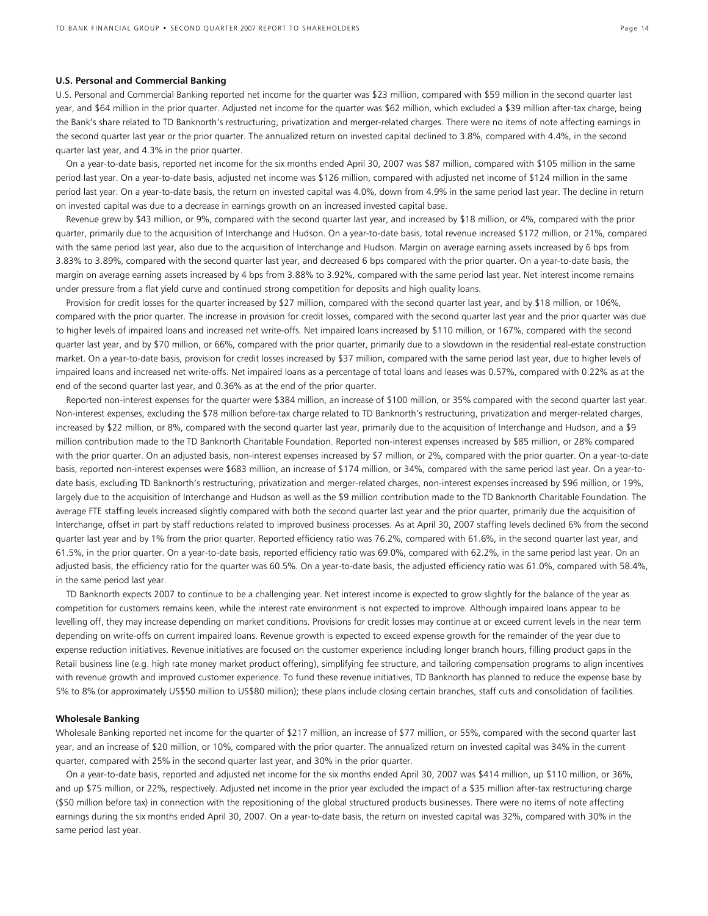#### **U.S. Personal and Commercial Banking**

U.S. Personal and Commercial Banking reported net income for the quarter was \$23 million, compared with \$59 million in the second quarter last year, and \$64 million in the prior quarter. Adjusted net income for the quarter was \$62 million, which excluded a \$39 million after-tax charge, being the Bank's share related to TD Banknorth's restructuring, privatization and merger-related charges. There were no items of note affecting earnings in the second quarter last year or the prior quarter. The annualized return on invested capital declined to 3.8%, compared with 4.4%, in the second quarter last year, and 4.3% in the prior quarter.

On a year-to-date basis, reported net income for the six months ended April 30, 2007 was \$87 million, compared with \$105 million in the same period last year. On a year-to-date basis, adjusted net income was \$126 million, compared with adjusted net income of \$124 million in the same period last year. On a year-to-date basis, the return on invested capital was 4.0%, down from 4.9% in the same period last year. The decline in return on invested capital was due to a decrease in earnings growth on an increased invested capital base.

Revenue grew by \$43 million, or 9%, compared with the second quarter last year, and increased by \$18 million, or 4%, compared with the prior quarter, primarily due to the acquisition of Interchange and Hudson. On a year-to-date basis, total revenue increased \$172 million, or 21%, compared with the same period last year, also due to the acquisition of Interchange and Hudson. Margin on average earning assets increased by 6 bps from 3.83% to 3.89%, compared with the second quarter last year, and decreased 6 bps compared with the prior quarter. On a year-to-date basis, the margin on average earning assets increased by 4 bps from 3.88% to 3.92%, compared with the same period last year. Net interest income remains under pressure from a flat yield curve and continued strong competition for deposits and high quality loans.

Provision for credit losses for the quarter increased by \$27 million, compared with the second quarter last year, and by \$18 million, or 106%, compared with the prior quarter. The increase in provision for credit losses, compared with the second quarter last year and the prior quarter was due to higher levels of impaired loans and increased net write-offs. Net impaired loans increased by \$110 million, or 167%, compared with the second quarter last year, and by \$70 million, or 66%, compared with the prior quarter, primarily due to a slowdown in the residential real-estate construction market. On a year-to-date basis, provision for credit losses increased by \$37 million, compared with the same period last year, due to higher levels of impaired loans and increased net write-offs. Net impaired loans as a percentage of total loans and leases was 0.57%, compared with 0.22% as at the end of the second quarter last year, and 0.36% as at the end of the prior quarter.

Reported non-interest expenses for the quarter were \$384 million, an increase of \$100 million, or 35% compared with the second quarter last year. Non-interest expenses, excluding the \$78 million before-tax charge related to TD Banknorth's restructuring, privatization and merger-related charges, increased by \$22 million, or 8%, compared with the second quarter last year, primarily due to the acquisition of Interchange and Hudson, and a \$9 million contribution made to the TD Banknorth Charitable Foundation. Reported non-interest expenses increased by \$85 million, or 28% compared with the prior quarter. On an adjusted basis, non-interest expenses increased by \$7 million, or 2%, compared with the prior quarter. On a year-to-date basis, reported non-interest expenses were \$683 million, an increase of \$174 million, or 34%, compared with the same period last year. On a year-todate basis, excluding TD Banknorth's restructuring, privatization and merger-related charges, non-interest expenses increased by \$96 million, or 19%, largely due to the acquisition of Interchange and Hudson as well as the \$9 million contribution made to the TD Banknorth Charitable Foundation. The average FTE staffing levels increased slightly compared with both the second quarter last year and the prior quarter, primarily due the acquisition of Interchange, offset in part by staff reductions related to improved business processes. As at April 30, 2007 staffing levels declined 6% from the second quarter last year and by 1% from the prior quarter. Reported efficiency ratio was 76.2%, compared with 61.6%, in the second quarter last year, and 61.5%, in the prior quarter. On a year-to-date basis, reported efficiency ratio was 69.0%, compared with 62.2%, in the same period last year. On an adjusted basis, the efficiency ratio for the quarter was 60.5%. On a year-to-date basis, the adjusted efficiency ratio was 61.0%, compared with 58.4%, in the same period last year.

TD Banknorth expects 2007 to continue to be a challenging year. Net interest income is expected to grow slightly for the balance of the year as competition for customers remains keen, while the interest rate environment is not expected to improve. Although impaired loans appear to be levelling off, they may increase depending on market conditions. Provisions for credit losses may continue at or exceed current levels in the near term depending on write-offs on current impaired loans. Revenue growth is expected to exceed expense growth for the remainder of the year due to expense reduction initiatives. Revenue initiatives are focused on the customer experience including longer branch hours, filling product gaps in the Retail business line (e.g. high rate money market product offering), simplifying fee structure, and tailoring compensation programs to align incentives with revenue growth and improved customer experience. To fund these revenue initiatives, TD Banknorth has planned to reduce the expense base by 5% to 8% (or approximately US\$50 million to US\$80 million); these plans include closing certain branches, staff cuts and consolidation of facilities.

### **Wholesale Banking**

Wholesale Banking reported net income for the quarter of \$217 million, an increase of \$77 million, or 55%, compared with the second quarter last year, and an increase of \$20 million, or 10%, compared with the prior quarter. The annualized return on invested capital was 34% in the current quarter, compared with 25% in the second quarter last year, and 30% in the prior quarter.

On a year-to-date basis, reported and adjusted net income for the six months ended April 30, 2007 was \$414 million, up \$110 million, or 36%, and up \$75 million, or 22%, respectively. Adjusted net income in the prior year excluded the impact of a \$35 million after-tax restructuring charge (\$50 million before tax) in connection with the repositioning of the global structured products businesses. There were no items of note affecting earnings during the six months ended April 30, 2007. On a year-to-date basis, the return on invested capital was 32%, compared with 30% in the same period last year.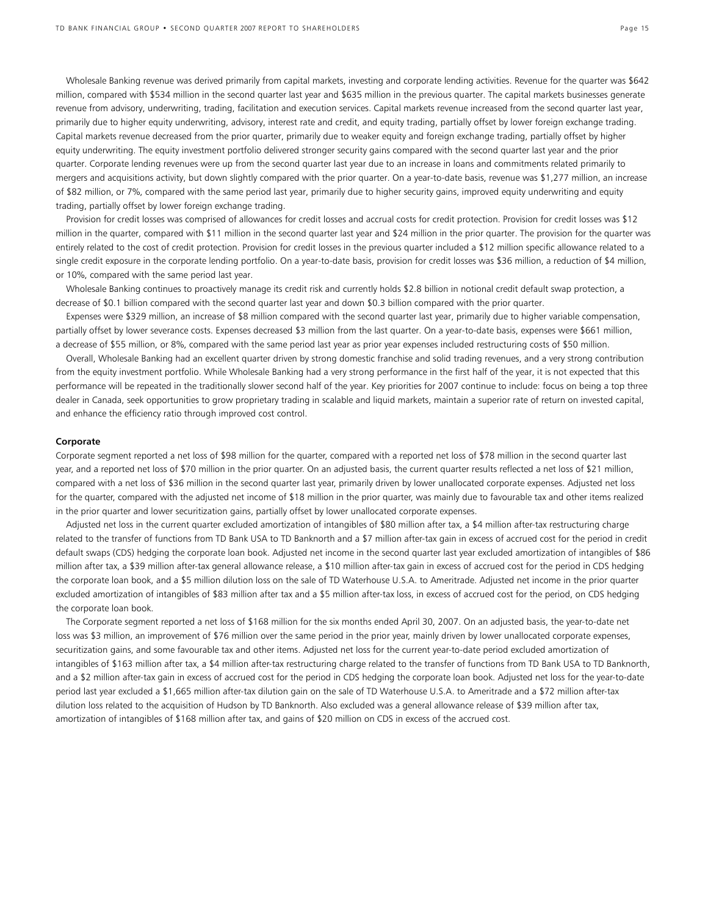Wholesale Banking revenue was derived primarily from capital markets, investing and corporate lending activities. Revenue for the quarter was \$642 million, compared with \$534 million in the second quarter last year and \$635 million in the previous quarter. The capital markets businesses generate revenue from advisory, underwriting, trading, facilitation and execution services. Capital markets revenue increased from the second quarter last year, primarily due to higher equity underwriting, advisory, interest rate and credit, and equity trading, partially offset by lower foreign exchange trading. Capital markets revenue decreased from the prior quarter, primarily due to weaker equity and foreign exchange trading, partially offset by higher equity underwriting. The equity investment portfolio delivered stronger security gains compared with the second quarter last year and the prior quarter. Corporate lending revenues were up from the second quarter last year due to an increase in loans and commitments related primarily to mergers and acquisitions activity, but down slightly compared with the prior quarter. On a year-to-date basis, revenue was \$1,277 million, an increase of \$82 million, or 7%, compared with the same period last year, primarily due to higher security gains, improved equity underwriting and equity trading, partially offset by lower foreign exchange trading.

Provision for credit losses was comprised of allowances for credit losses and accrual costs for credit protection. Provision for credit losses was \$12 million in the quarter, compared with \$11 million in the second quarter last year and \$24 million in the prior quarter. The provision for the quarter was entirely related to the cost of credit protection. Provision for credit losses in the previous quarter included a \$12 million specific allowance related to a single credit exposure in the corporate lending portfolio. On a year-to-date basis, provision for credit losses was \$36 million, a reduction of \$4 million, or 10%, compared with the same period last year.

Wholesale Banking continues to proactively manage its credit risk and currently holds \$2.8 billion in notional credit default swap protection, a decrease of \$0.1 billion compared with the second quarter last year and down \$0.3 billion compared with the prior quarter.

Expenses were \$329 million, an increase of \$8 million compared with the second quarter last year, primarily due to higher variable compensation, partially offset by lower severance costs. Expenses decreased \$3 million from the last quarter. On a year-to-date basis, expenses were \$661 million, a decrease of \$55 million, or 8%, compared with the same period last year as prior year expenses included restructuring costs of \$50 million.

Overall, Wholesale Banking had an excellent quarter driven by strong domestic franchise and solid trading revenues, and a very strong contribution from the equity investment portfolio. While Wholesale Banking had a very strong performance in the first half of the year, it is not expected that this performance will be repeated in the traditionally slower second half of the year. Key priorities for 2007 continue to include: focus on being a top three dealer in Canada, seek opportunities to grow proprietary trading in scalable and liquid markets, maintain a superior rate of return on invested capital, and enhance the efficiency ratio through improved cost control.

#### **Corporate**

Corporate segment reported a net loss of \$98 million for the quarter, compared with a reported net loss of \$78 million in the second quarter last year, and a reported net loss of \$70 million in the prior quarter. On an adjusted basis, the current quarter results reflected a net loss of \$21 million, compared with a net loss of \$36 million in the second quarter last year, primarily driven by lower unallocated corporate expenses. Adjusted net loss for the quarter, compared with the adjusted net income of \$18 million in the prior quarter, was mainly due to favourable tax and other items realized in the prior quarter and lower securitization gains, partially offset by lower unallocated corporate expenses.

Adjusted net loss in the current quarter excluded amortization of intangibles of \$80 million after tax, a \$4 million after-tax restructuring charge related to the transfer of functions from TD Bank USA to TD Banknorth and a \$7 million after-tax gain in excess of accrued cost for the period in credit default swaps (CDS) hedging the corporate loan book. Adjusted net income in the second quarter last year excluded amortization of intangibles of \$86 million after tax, a \$39 million after-tax general allowance release, a \$10 million after-tax gain in excess of accrued cost for the period in CDS hedging the corporate loan book, and a \$5 million dilution loss on the sale of TD Waterhouse U.S.A. to Ameritrade. Adjusted net income in the prior quarter excluded amortization of intangibles of \$83 million after tax and a \$5 million after-tax loss, in excess of accrued cost for the period, on CDS hedging the corporate loan book.

The Corporate segment reported a net loss of \$168 million for the six months ended April 30, 2007. On an adjusted basis, the year-to-date net loss was \$3 million, an improvement of \$76 million over the same period in the prior year, mainly driven by lower unallocated corporate expenses, securitization gains, and some favourable tax and other items. Adjusted net loss for the current year-to-date period excluded amortization of intangibles of \$163 million after tax, a \$4 million after-tax restructuring charge related to the transfer of functions from TD Bank USA to TD Banknorth, and a \$2 million after-tax gain in excess of accrued cost for the period in CDS hedging the corporate loan book. Adjusted net loss for the year-to-date period last year excluded a \$1,665 million after-tax dilution gain on the sale of TD Waterhouse U.S.A. to Ameritrade and a \$72 million after-tax dilution loss related to the acquisition of Hudson by TD Banknorth. Also excluded was a general allowance release of \$39 million after tax, amortization of intangibles of \$168 million after tax, and gains of \$20 million on CDS in excess of the accrued cost.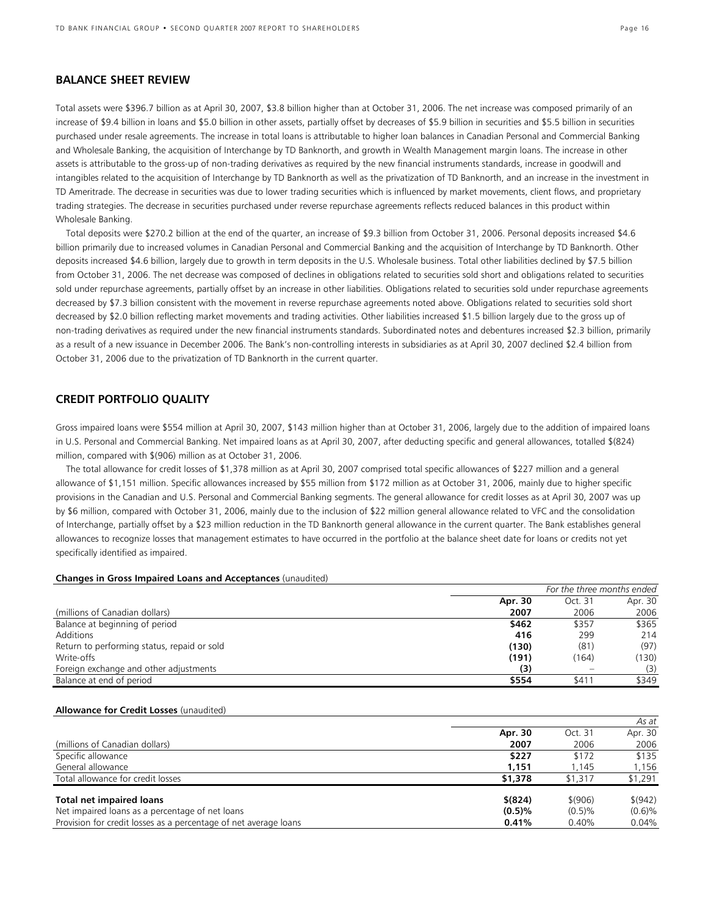### **BALANCE SHEET REVIEW**

Total assets were \$396.7 billion as at April 30, 2007, \$3.8 billion higher than at October 31, 2006. The net increase was composed primarily of an increase of \$9.4 billion in loans and \$5.0 billion in other assets, partially offset by decreases of \$5.9 billion in securities and \$5.5 billion in securities purchased under resale agreements. The increase in total loans is attributable to higher loan balances in Canadian Personal and Commercial Banking and Wholesale Banking, the acquisition of Interchange by TD Banknorth, and growth in Wealth Management margin loans. The increase in other assets is attributable to the gross-up of non-trading derivatives as required by the new financial instruments standards, increase in goodwill and intangibles related to the acquisition of Interchange by TD Banknorth as well as the privatization of TD Banknorth, and an increase in the investment in TD Ameritrade. The decrease in securities was due to lower trading securities which is influenced by market movements, client flows, and proprietary trading strategies. The decrease in securities purchased under reverse repurchase agreements reflects reduced balances in this product within Wholesale Banking.

Total deposits were \$270.2 billion at the end of the quarter, an increase of \$9.3 billion from October 31, 2006. Personal deposits increased \$4.6 billion primarily due to increased volumes in Canadian Personal and Commercial Banking and the acquisition of Interchange by TD Banknorth. Other deposits increased \$4.6 billion, largely due to growth in term deposits in the U.S. Wholesale business. Total other liabilities declined by \$7.5 billion from October 31, 2006. The net decrease was composed of declines in obligations related to securities sold short and obligations related to securities sold under repurchase agreements, partially offset by an increase in other liabilities. Obligations related to securities sold under repurchase agreements decreased by \$7.3 billion consistent with the movement in reverse repurchase agreements noted above. Obligations related to securities sold short decreased by \$2.0 billion reflecting market movements and trading activities. Other liabilities increased \$1.5 billion largely due to the gross up of non-trading derivatives as required under the new financial instruments standards. Subordinated notes and debentures increased \$2.3 billion, primarily as a result of a new issuance in December 2006. The Bank's non-controlling interests in subsidiaries as at April 30, 2007 declined \$2.4 billion from October 31, 2006 due to the privatization of TD Banknorth in the current quarter.

### **CREDIT PORTFOLIO QUALITY**

Gross impaired loans were \$554 million at April 30, 2007, \$143 million higher than at October 31, 2006, largely due to the addition of impaired loans in U.S. Personal and Commercial Banking. Net impaired loans as at April 30, 2007, after deducting specific and general allowances, totalled \$(824) million, compared with \$(906) million as at October 31, 2006.

The total allowance for credit losses of \$1,378 million as at April 30, 2007 comprised total specific allowances of \$227 million and a general allowance of \$1,151 million. Specific allowances increased by \$55 million from \$172 million as at October 31, 2006, mainly due to higher specific provisions in the Canadian and U.S. Personal and Commercial Banking segments. The general allowance for credit losses as at April 30, 2007 was up by \$6 million, compared with October 31, 2006, mainly due to the inclusion of \$22 million general allowance related to VFC and the consolidation of Interchange, partially offset by a \$23 million reduction in the TD Banknorth general allowance in the current quarter. The Bank establishes general allowances to recognize losses that management estimates to have occurred in the portfolio at the balance sheet date for loans or credits not yet specifically identified as impaired.

#### **Changes in Gross Impaired Loans and Acceptances** (unaudited)

|                                             |         | For the three months ended |         |
|---------------------------------------------|---------|----------------------------|---------|
|                                             | Apr. 30 | Oct. 31                    | Apr. 30 |
| (millions of Canadian dollars)              | 2007    | 2006                       | 2006    |
| Balance at beginning of period              | \$462   | \$357                      | \$365   |
| Additions                                   | 416     | 299                        | 214     |
| Return to performing status, repaid or sold | (130)   | (81)                       | (97)    |
| Write-offs                                  | (191)   | (164)                      | (130)   |
| Foreign exchange and other adjustments      | (3)     | $\overline{\phantom{0}}$   | (3)     |
| Balance at end of period                    | \$554   | \$411                      | \$349   |

#### **Allowance for Credit Losses** (unaudited)

|                                                                  |           |         | As at    |
|------------------------------------------------------------------|-----------|---------|----------|
|                                                                  | Apr. 30   | Oct. 31 | Apr. 30  |
| (millions of Canadian dollars)                                   | 2007      | 2006    | 2006     |
| Specific allowance                                               | \$227     | \$172   | \$135    |
| General allowance                                                | 1.151     | 1.145   | 1,156    |
| Total allowance for credit losses                                | \$1,378   | \$1,317 | \$1,291  |
| <b>Total net impaired loans</b>                                  | \$ (824)  | \$(906) | \$ (942) |
| Net impaired loans as a percentage of net loans                  | $(0.5)\%$ | (0.5)%  | (0.6)%   |
| Provision for credit losses as a percentage of net average loans | 0.41%     | 0.40%   | 0.04%    |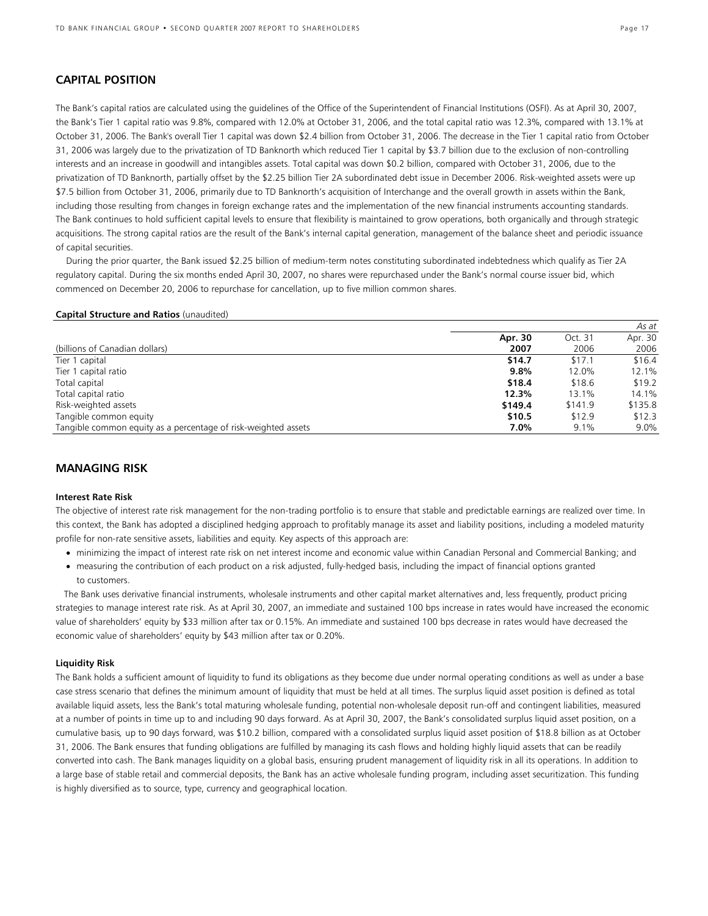## **CAPITAL POSITION**

The Bank's capital ratios are calculated using the guidelines of the Office of the Superintendent of Financial Institutions (OSFI). As at April 30, 2007, the Bank's Tier 1 capital ratio was 9.8%, compared with 12.0% at October 31, 2006, and the total capital ratio was 12.3%, compared with 13.1% at October 31, 2006. The Bank's overall Tier 1 capital was down \$2.4 billion from October 31, 2006. The decrease in the Tier 1 capital ratio from October 31, 2006 was largely due to the privatization of TD Banknorth which reduced Tier 1 capital by \$3.7 billion due to the exclusion of non-controlling interests and an increase in goodwill and intangibles assets. Total capital was down \$0.2 billion, compared with October 31, 2006, due to the privatization of TD Banknorth, partially offset by the \$2.25 billion Tier 2A subordinated debt issue in December 2006. Risk-weighted assets were up \$7.5 billion from October 31, 2006, primarily due to TD Banknorth's acquisition of Interchange and the overall growth in assets within the Bank, including those resulting from changes in foreign exchange rates and the implementation of the new financial instruments accounting standards. The Bank continues to hold sufficient capital levels to ensure that flexibility is maintained to grow operations, both organically and through strategic acquisitions. The strong capital ratios are the result of the Bank's internal capital generation, management of the balance sheet and periodic issuance of capital securities.

During the prior quarter, the Bank issued \$2.25 billion of medium-term notes constituting subordinated indebtedness which qualify as Tier 2A regulatory capital. During the six months ended April 30, 2007, no shares were repurchased under the Bank's normal course issuer bid, which commenced on December 20, 2006 to repurchase for cancellation, up to five million common shares.

### **Capital Structure and Ratios** (unaudited)

|                                                                |         |         | As at   |
|----------------------------------------------------------------|---------|---------|---------|
|                                                                | Apr. 30 | Oct. 31 | Apr. 30 |
| (billions of Canadian dollars)                                 | 2007    | 2006    | 2006    |
| Tier 1 capital                                                 | \$14.7  | \$17.1  | \$16.4  |
| Tier 1 capital ratio                                           | 9.8%    | 12.0%   | 12.1%   |
| Total capital                                                  | \$18.4  | \$18.6  | \$19.2  |
| Total capital ratio                                            | 12.3%   | 13.1%   | 14.1%   |
| Risk-weighted assets                                           | \$149.4 | \$141.9 | \$135.8 |
| Tangible common equity                                         | \$10.5  | \$12.9  | \$12.3  |
| Tangible common equity as a percentage of risk-weighted assets | 7.0%    | 9.1%    | $9.0\%$ |

### **MANAGING RISK**

### **Interest Rate Risk**

The objective of interest rate risk management for the non-trading portfolio is to ensure that stable and predictable earnings are realized over time. In this context, the Bank has adopted a disciplined hedging approach to profitably manage its asset and liability positions, including a modeled maturity profile for non-rate sensitive assets, liabilities and equity. Key aspects of this approach are:

- minimizing the impact of interest rate risk on net interest income and economic value within Canadian Personal and Commercial Banking; and
- measuring the contribution of each product on a risk adjusted, fully-hedged basis, including the impact of financial options granted to customers.

The Bank uses derivative financial instruments, wholesale instruments and other capital market alternatives and, less frequently, product pricing strategies to manage interest rate risk. As at April 30, 2007, an immediate and sustained 100 bps increase in rates would have increased the economic value of shareholders' equity by \$33 million after tax or 0.15%. An immediate and sustained 100 bps decrease in rates would have decreased the economic value of shareholders' equity by \$43 million after tax or 0.20%.

### **Liquidity Risk**

The Bank holds a sufficient amount of liquidity to fund its obligations as they become due under normal operating conditions as well as under a base case stress scenario that defines the minimum amount of liquidity that must be held at all times. The surplus liquid asset position is defined as total available liquid assets, less the Bank's total maturing wholesale funding, potential non-wholesale deposit run-off and contingent liabilities, measured at a number of points in time up to and including 90 days forward. As at April 30, 2007, the Bank's consolidated surplus liquid asset position, on a cumulative basis*,* up to 90 days forward, was \$10.2 billion, compared with a consolidated surplus liquid asset position of \$18.8 billion as at October 31, 2006. The Bank ensures that funding obligations are fulfilled by managing its cash flows and holding highly liquid assets that can be readily converted into cash. The Bank manages liquidity on a global basis, ensuring prudent management of liquidity risk in all its operations. In addition to a large base of stable retail and commercial deposits, the Bank has an active wholesale funding program, including asset securitization. This funding is highly diversified as to source, type, currency and geographical location.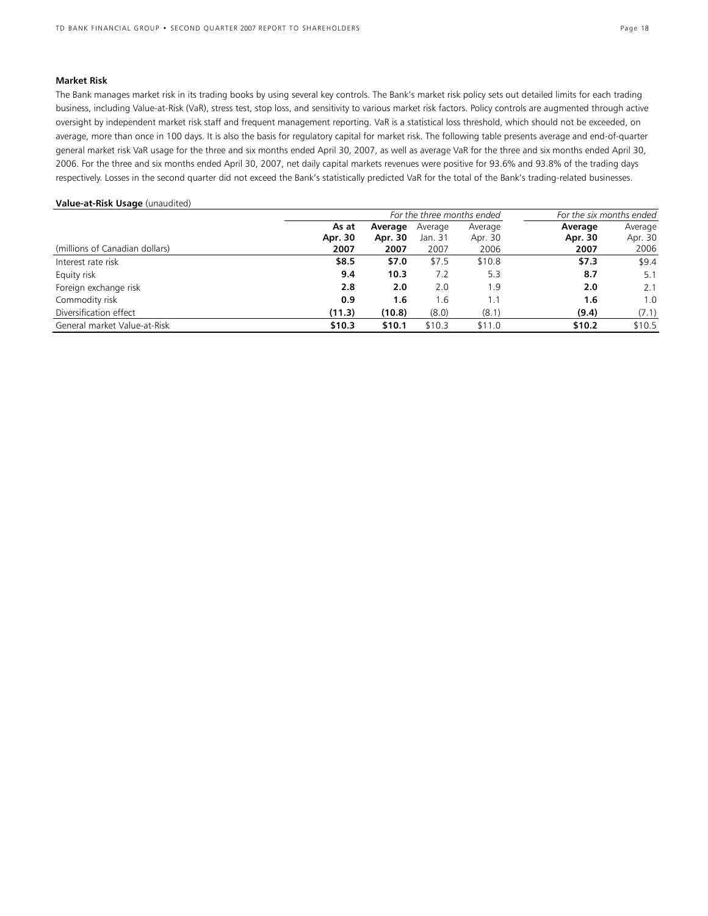### **Market Risk**

The Bank manages market risk in its trading books by using several key controls. The Bank's market risk policy sets out detailed limits for each trading business, including Value-at-Risk (VaR), stress test, stop loss, and sensitivity to various market risk factors. Policy controls are augmented through active oversight by independent market risk staff and frequent management reporting. VaR is a statistical loss threshold, which should not be exceeded, on average, more than once in 100 days. It is also the basis for regulatory capital for market risk. The following table presents average and end-of-quarter general market risk VaR usage for the three and six months ended April 30, 2007, as well as average VaR for the three and six months ended April 30, 2006. For the three and six months ended April 30, 2007, net daily capital markets revenues were positive for 93.6% and 93.8% of the trading days respectively. Losses in the second quarter did not exceed the Bank's statistically predicted VaR for the total of the Bank's trading-related businesses.

### **Value-at-Risk Usage** (unaudited)

|                                | For the three months ended |         |         |         | For the six months ended |         |  |
|--------------------------------|----------------------------|---------|---------|---------|--------------------------|---------|--|
|                                | As at                      | Average | Average | Average | Average                  | Average |  |
|                                | Apr. 30                    | Apr. 30 | Jan. 31 | Apr. 30 | Apr. 30                  | Apr. 30 |  |
| (millions of Canadian dollars) | 2007                       | 2007    | 2007    | 2006    | 2007                     | 2006    |  |
| Interest rate risk             | \$8.5                      | \$7.0   | \$7.5   | \$10.8  | \$7.3                    | \$9.4   |  |
| Equity risk                    | 9.4                        | 10.3    | 7.2     | 5.3     | 8.7                      | 5.1     |  |
| Foreign exchange risk          | 2.8                        | 2.0     | 2.0     | 1.9     | 2.0                      | 2.1     |  |
| Commodity risk                 | 0.9                        | 1.6     | l.6     | 1.1     | 1.6                      | 1.0     |  |
| Diversification effect         | (11.3)                     | (10.8)  | (8.0)   | (8.1)   | (9.4)                    | (7.1)   |  |
| General market Value-at-Risk   | \$10.3                     | \$10.1  | \$10.3  | \$11.0  | \$10.2                   | \$10.5  |  |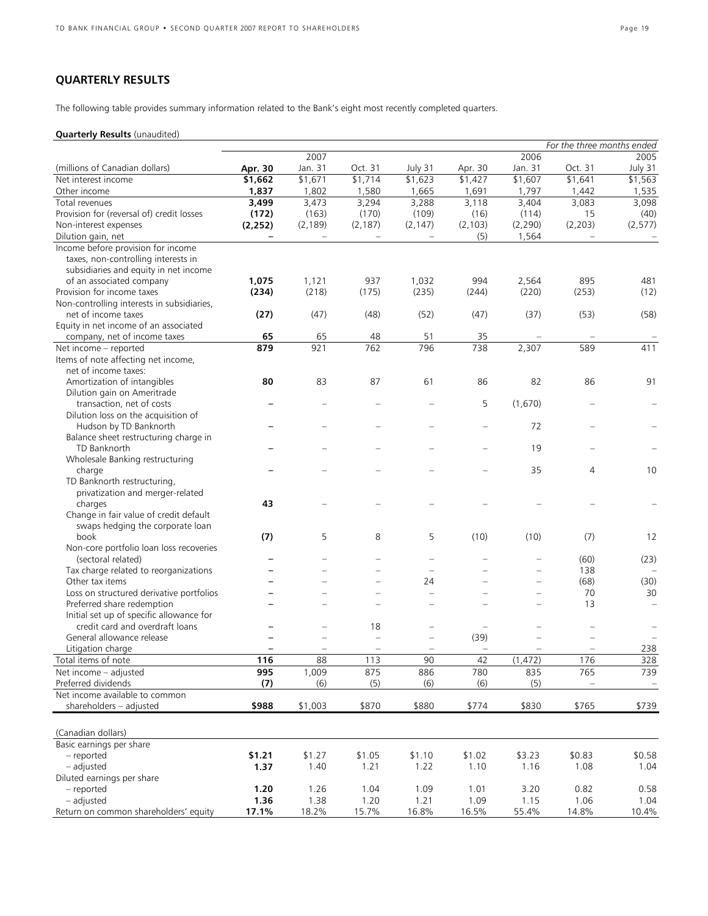# **QUARTERLY RESULTS**

The following table provides summary information related to the Bank's eight most recently completed quarters.

### **Quarterly Results** (unaudited)

|                                            |                          |                          |                          |                          |                          |          | For the three months ended |          |
|--------------------------------------------|--------------------------|--------------------------|--------------------------|--------------------------|--------------------------|----------|----------------------------|----------|
|                                            |                          | 2007                     |                          |                          |                          | 2006     |                            | 2005     |
| (millions of Canadian dollars)             | Apr. 30                  | Jan. 31                  | Oct. 31                  | July 31                  | Apr. 30                  | Jan. 31  | Oct. 31                    | July 31  |
| Net interest income                        | \$1,662                  | \$1,671                  | \$1,714                  | \$1,623                  | \$1,427                  | \$1,607  | \$1,641                    | \$1,563  |
| Other income                               | 1,837                    | 1,802                    | 1,580                    | 1,665                    | 1,691                    | 1,797    | 1,442                      | 1,535    |
| Total revenues                             | 3,499                    | 3,473                    | 3,294                    | 3,288                    | 3,118                    | 3,404    | 3,083                      | 3,098    |
| Provision for (reversal of) credit losses  | (172)                    | (163)                    | (170)                    | (109)                    | (16)                     | (114)    | 15                         | (40)     |
| Non-interest expenses                      | (2, 252)                 | (2, 189)                 | (2, 187)                 | (2, 147)                 | (2, 103)                 | (2, 290) | (2, 203)                   | (2, 577) |
| Dilution gain, net                         |                          |                          |                          |                          | (5)                      | 1,564    |                            |          |
| Income before provision for income         |                          |                          |                          |                          |                          |          |                            |          |
| taxes, non-controlling interests in        |                          |                          |                          |                          |                          |          |                            |          |
| subsidiaries and equity in net income      |                          |                          |                          |                          |                          |          |                            |          |
|                                            |                          |                          |                          |                          |                          |          |                            |          |
| of an associated company                   | 1,075                    | 1,121                    | 937                      | 1,032                    | 994                      | 2,564    | 895                        | 481      |
| Provision for income taxes                 | (234)                    | (218)                    | (175)                    | (235)                    | (244)                    | (220)    | (253)                      | (12)     |
| Non-controlling interests in subsidiaries, |                          |                          |                          |                          |                          |          |                            |          |
| net of income taxes                        | (27)                     | (47)                     | (48)                     | (52)                     | (47)                     | (37)     | (53)                       | (58)     |
| Equity in net income of an associated      |                          |                          |                          |                          |                          |          |                            |          |
| company, net of income taxes               | 65                       | 65                       | 48                       | 51                       | 35                       |          |                            |          |
| Net income - reported                      | 879                      | 921                      | 762                      | 796                      | 738                      | 2,307    | 589                        | 411      |
| Items of note affecting net income,        |                          |                          |                          |                          |                          |          |                            |          |
| net of income taxes:                       |                          |                          |                          |                          |                          |          |                            |          |
| Amortization of intangibles                | 80                       | 83                       | 87                       | 61                       | 86                       | 82       | 86                         | 91       |
| Dilution gain on Ameritrade                |                          |                          |                          |                          |                          |          |                            |          |
| transaction, net of costs                  |                          |                          |                          |                          | 5                        | (1,670)  |                            |          |
| Dilution loss on the acquisition of        |                          |                          |                          |                          |                          |          |                            |          |
| Hudson by TD Banknorth                     |                          |                          |                          |                          |                          | 72       |                            |          |
| Balance sheet restructuring charge in      |                          |                          |                          |                          |                          |          |                            |          |
| TD Banknorth                               |                          |                          |                          |                          |                          | 19       |                            |          |
| Wholesale Banking restructuring            |                          |                          |                          |                          |                          |          |                            |          |
| charge                                     |                          |                          |                          |                          |                          | 35       | 4                          | 10       |
| TD Banknorth restructuring,                |                          |                          |                          |                          |                          |          |                            |          |
| privatization and merger-related           |                          |                          |                          |                          |                          |          |                            |          |
| charges                                    | 43                       |                          |                          |                          |                          |          |                            |          |
| Change in fair value of credit default     |                          |                          |                          |                          |                          |          |                            |          |
| swaps hedging the corporate loan           |                          |                          |                          |                          |                          |          |                            |          |
| book                                       | (7)                      | 5                        | 8                        | 5                        | (10)                     | (10)     | (7)                        | 12       |
| Non-core portfolio loan loss recoveries    |                          |                          |                          |                          |                          |          |                            |          |
| (sectoral related)                         |                          | $\overline{\phantom{0}}$ | -                        |                          | $\overline{\phantom{0}}$ |          | (60)                       | (23)     |
| Tax charge related to reorganizations      |                          |                          |                          |                          | ÷                        |          | 138                        |          |
| Other tax items                            |                          |                          |                          | 24                       |                          |          | (68)                       | (30)     |
| Loss on structured derivative portfolios   |                          | $\equiv$                 | $\equiv$                 |                          | $\overline{\phantom{0}}$ |          | 70                         | 30       |
| Preferred share redemption                 |                          |                          | $\overline{\phantom{0}}$ |                          |                          |          | 13                         |          |
| Initial set up of specific allowance for   |                          |                          |                          |                          |                          |          |                            |          |
| credit card and overdraft loans            |                          |                          | 18                       | $\overline{\phantom{0}}$ | $\overline{\phantom{m}}$ |          |                            |          |
| General allowance release                  |                          |                          | $\overline{\phantom{0}}$ |                          | (39)                     |          |                            |          |
| Litigation charge                          | $\overline{\phantom{0}}$ | $\equiv$                 | $\overline{\phantom{m}}$ | $\overline{\phantom{0}}$ | $\qquad \qquad -$        |          |                            | 238      |
| Total items of note                        | 116                      | 88                       | 113                      | 90                       | 42                       | (1, 472) | 176                        | 328      |
| Net income - adjusted                      | 995                      | 1,009                    | 875                      | 886                      | 780                      | 835      | 765                        | 739      |
| Preferred dividends                        | (7)                      | (6)                      | (5)                      | (6)                      | (6)                      | (5)      |                            |          |
| Net income available to common             |                          |                          |                          |                          |                          |          |                            | $\equiv$ |
| shareholders - adjusted                    | \$988                    | \$1,003                  | \$870                    | \$880                    | \$774                    | \$830    | \$765                      | \$739    |
|                                            |                          |                          |                          |                          |                          |          |                            |          |
|                                            |                          |                          |                          |                          |                          |          |                            |          |
| (Canadian dollars)                         |                          |                          |                          |                          |                          |          |                            |          |
| Basic earnings per share                   |                          |                          |                          |                          |                          |          |                            |          |
| - reported                                 | \$1.21                   | \$1.27                   | \$1.05                   | \$1.10                   | \$1.02                   | \$3.23   | \$0.83                     | \$0.58   |
| - adjusted                                 | 1.37                     | 1.40                     | 1.21                     | 1.22                     | 1.10                     | 1.16     | 1.08                       | 1.04     |
| Diluted earnings per share                 |                          |                          |                          |                          |                          |          |                            |          |
| - reported                                 | 1.20                     | 1.26                     | 1.04                     | 1.09                     | 1.01                     | 3.20     | 0.82                       | 0.58     |
| - adjusted                                 | 1.36                     | 1.38                     | 1.20                     | 1.21                     | 1.09                     | 1.15     | 1.06                       | 1.04     |
| Return on common shareholders' equity      | 17.1%                    | 18.2%                    | 15.7%                    | 16.8%                    | 16.5%                    | 55.4%    | 14.8%                      | 10.4%    |
|                                            |                          |                          |                          |                          |                          |          |                            |          |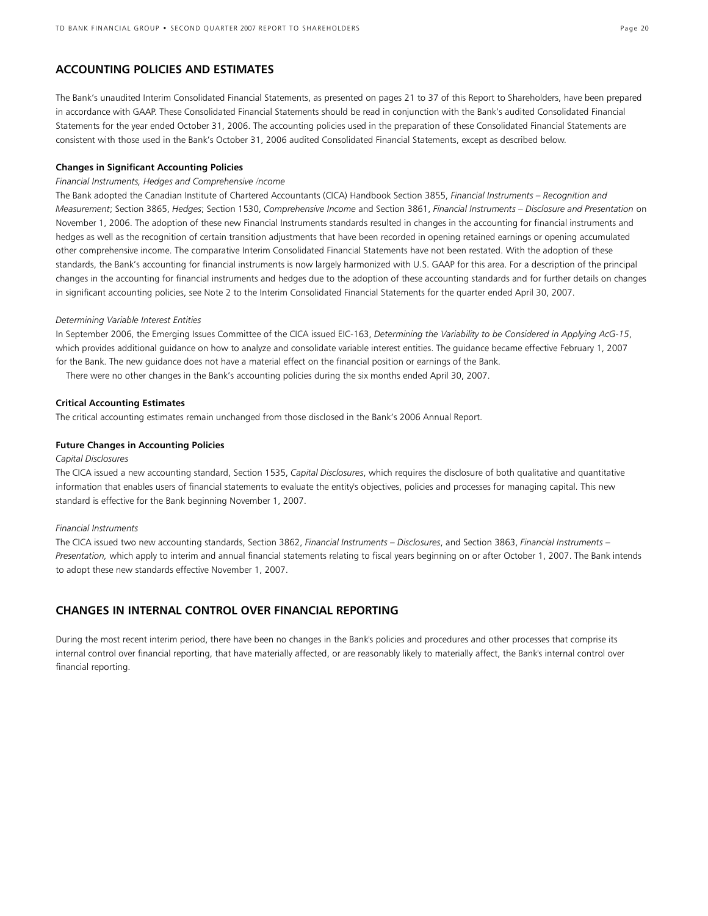### **ACCOUNTING POLICIES AND ESTIMATES**

The Bank's unaudited Interim Consolidated Financial Statements, as presented on pages 21 to 37 of this Report to Shareholders, have been prepared in accordance with GAAP. These Consolidated Financial Statements should be read in conjunction with the Bank's audited Consolidated Financial Statements for the year ended October 31, 2006. The accounting policies used in the preparation of these Consolidated Financial Statements are consistent with those used in the Bank's October 31, 2006 audited Consolidated Financial Statements, except as described below.

### **Changes in Significant Accounting Policies**

### *Financial Instruments, Hedges and Comprehensive /ncome*

The Bank adopted the Canadian Institute of Chartered Accountants (CICA) Handbook Section 3855, *Financial Instruments – Recognition and Measurement*; Section 3865, *Hedges*; Section 1530, *Comprehensive Income* and Section 3861, *Financial Instruments – Disclosure and Presentation* on November 1, 2006. The adoption of these new Financial Instruments standards resulted in changes in the accounting for financial instruments and hedges as well as the recognition of certain transition adjustments that have been recorded in opening retained earnings or opening accumulated other comprehensive income. The comparative Interim Consolidated Financial Statements have not been restated. With the adoption of these standards, the Bank's accounting for financial instruments is now largely harmonized with U.S. GAAP for this area. For a description of the principal changes in the accounting for financial instruments and hedges due to the adoption of these accounting standards and for further details on changes in significant accounting policies, see Note 2 to the Interim Consolidated Financial Statements for the quarter ended April 30, 2007.

### *Determining Variable Interest Entities*

In September 2006, the Emerging Issues Committee of the CICA issued EIC-163, *Determining the Variability to be Considered in Applying AcG-15*, which provides additional guidance on how to analyze and consolidate variable interest entities. The guidance became effective February 1, 2007 for the Bank. The new guidance does not have a material effect on the financial position or earnings of the Bank.

There were no other changes in the Bank's accounting policies during the six months ended April 30, 2007.

### **Critical Accounting Estimates**

The critical accounting estimates remain unchanged from those disclosed in the Bank's 2006 Annual Report.

### **Future Changes in Accounting Policies**

### *Capital Disclosures*

The CICA issued a new accounting standard, Section 1535, *Capital Disclosures*, which requires the disclosure of both qualitative and quantitative information that enables users of financial statements to evaluate the entity's objectives, policies and processes for managing capital. This new standard is effective for the Bank beginning November 1, 2007.

### *Financial Instruments*

The CICA issued two new accounting standards, Section 3862, *Financial Instruments – Disclosures*, and Section 3863, *Financial Instruments – Presentation,* which apply to interim and annual financial statements relating to fiscal years beginning on or after October 1, 2007. The Bank intends to adopt these new standards effective November 1, 2007.

### **CHANGES IN INTERNAL CONTROL OVER FINANCIAL REPORTING**

During the most recent interim period, there have been no changes in the Bank's policies and procedures and other processes that comprise its internal control over financial reporting, that have materially affected, or are reasonably likely to materially affect, the Bank's internal control over financial reporting.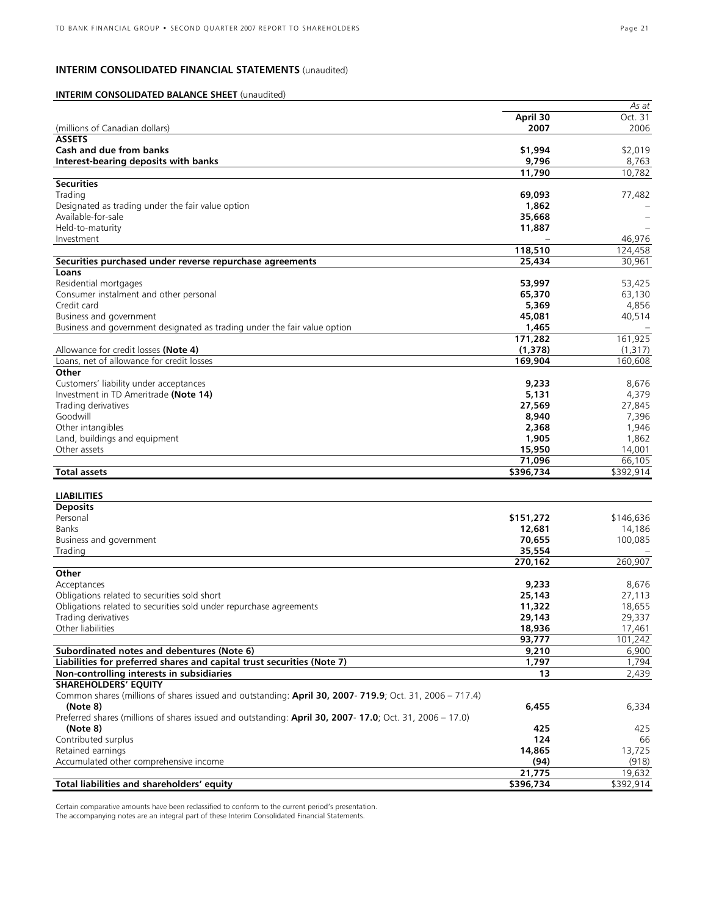### **INTERIM CONSOLIDATED FINANCIAL STATEMENTS** (unaudited)

### **INTERIM CONSOLIDATED BALANCE SHEET** (unaudited)

| April 30<br>2007<br>(millions of Canadian dollars)<br><b>ASSETS</b><br>Cash and due from banks<br>\$1,994<br>\$2,019<br>Interest-bearing deposits with banks<br>9,796<br>8,763<br>11,790<br>10,782<br><b>Securities</b><br>Trading<br>69,093<br>77,482<br>1,862<br>Designated as trading under the fair value option<br>Available-for-sale<br>35,668<br>Held-to-maturity<br>11,887<br>Investment<br>118,510<br>124,458<br>30,961<br>Securities purchased under reverse repurchase agreements<br>25,434<br>Loans<br>53,997<br>Residential mortgages<br>53,425<br>Consumer instalment and other personal<br>65,370<br>63,130<br>Credit card<br>5,369<br>4,856<br>45,081<br>Business and government<br>40,514<br>1,465<br>Business and government designated as trading under the fair value option<br>171,282<br>161,925<br>(1, 378)<br>Allowance for credit losses (Note 4)<br>(1,317)<br>Loans, net of allowance for credit losses<br>169,904<br>160,608<br>Other<br>Customers' liability under acceptances<br>9,233<br>8,676<br>Investment in TD Ameritrade (Note 14)<br>5,131<br>4,379<br>27,569<br>Trading derivatives<br>27,845<br>Goodwill<br>8,940<br>7,396<br>Other intangibles<br>2,368<br>1,946<br>Land, buildings and equipment<br>1,905<br>1,862<br>15,950<br>Other assets<br>71,096<br>66,105<br><b>Total assets</b><br>\$396,734<br>\$392,914<br><b>LIABILITIES</b><br><b>Deposits</b><br>Personal<br>\$151,272<br>\$146,636<br><b>Banks</b><br>12,681<br>14,186<br>70,655<br>Business and government<br>35,554<br>Trading<br>270,162<br>260,907<br>Other<br>Acceptances<br>9,233<br>8,676<br>Obligations related to securities sold short<br>25,143<br>27,113<br>11,322<br>18,655<br>Obligations related to securities sold under repurchase agreements<br>29,143<br>29,337<br>Trading derivatives<br>Other liabilities<br>18,936<br>93,777<br>Subordinated notes and debentures (Note 6)<br>9,210<br>6,900<br>Liabilities for preferred shares and capital trust securities (Note 7)<br>1,794<br>1,797<br>Non-controlling interests in subsidiaries<br>2,439<br>13<br><b>SHAREHOLDERS' EQUITY</b><br>Common shares (millions of shares issued and outstanding: April 30, 2007- 719.9; Oct. 31, 2006 - 717.4)<br>(Note 8)<br>6,455<br>6,334<br>Preferred shares (millions of shares issued and outstanding: April 30, 2007-17.0; Oct. 31, 2006 - 17.0)<br>(Note 8)<br>425<br>425<br>Contributed surplus<br>124<br>66<br>Retained earnings<br>14,865<br>13,725<br>Accumulated other comprehensive income<br>(94)<br>21,775<br>Total liabilities and shareholders' equity<br>\$396,734 |  | As at     |
|----------------------------------------------------------------------------------------------------------------------------------------------------------------------------------------------------------------------------------------------------------------------------------------------------------------------------------------------------------------------------------------------------------------------------------------------------------------------------------------------------------------------------------------------------------------------------------------------------------------------------------------------------------------------------------------------------------------------------------------------------------------------------------------------------------------------------------------------------------------------------------------------------------------------------------------------------------------------------------------------------------------------------------------------------------------------------------------------------------------------------------------------------------------------------------------------------------------------------------------------------------------------------------------------------------------------------------------------------------------------------------------------------------------------------------------------------------------------------------------------------------------------------------------------------------------------------------------------------------------------------------------------------------------------------------------------------------------------------------------------------------------------------------------------------------------------------------------------------------------------------------------------------------------------------------------------------------------------------------------------------------------------------------------------------------------------------------------------------------------------------------------------------------------------------------------------------------------------------------------------------------------------------------------------------------------------------------------------------------------------------------------------------------------------------------------------------------------------------------------------------------------------------------------------------------------------------------------------------|--|-----------|
|                                                                                                                                                                                                                                                                                                                                                                                                                                                                                                                                                                                                                                                                                                                                                                                                                                                                                                                                                                                                                                                                                                                                                                                                                                                                                                                                                                                                                                                                                                                                                                                                                                                                                                                                                                                                                                                                                                                                                                                                                                                                                                                                                                                                                                                                                                                                                                                                                                                                                                                                                                                                    |  | Oct. 31   |
|                                                                                                                                                                                                                                                                                                                                                                                                                                                                                                                                                                                                                                                                                                                                                                                                                                                                                                                                                                                                                                                                                                                                                                                                                                                                                                                                                                                                                                                                                                                                                                                                                                                                                                                                                                                                                                                                                                                                                                                                                                                                                                                                                                                                                                                                                                                                                                                                                                                                                                                                                                                                    |  | 2006      |
|                                                                                                                                                                                                                                                                                                                                                                                                                                                                                                                                                                                                                                                                                                                                                                                                                                                                                                                                                                                                                                                                                                                                                                                                                                                                                                                                                                                                                                                                                                                                                                                                                                                                                                                                                                                                                                                                                                                                                                                                                                                                                                                                                                                                                                                                                                                                                                                                                                                                                                                                                                                                    |  |           |
|                                                                                                                                                                                                                                                                                                                                                                                                                                                                                                                                                                                                                                                                                                                                                                                                                                                                                                                                                                                                                                                                                                                                                                                                                                                                                                                                                                                                                                                                                                                                                                                                                                                                                                                                                                                                                                                                                                                                                                                                                                                                                                                                                                                                                                                                                                                                                                                                                                                                                                                                                                                                    |  |           |
|                                                                                                                                                                                                                                                                                                                                                                                                                                                                                                                                                                                                                                                                                                                                                                                                                                                                                                                                                                                                                                                                                                                                                                                                                                                                                                                                                                                                                                                                                                                                                                                                                                                                                                                                                                                                                                                                                                                                                                                                                                                                                                                                                                                                                                                                                                                                                                                                                                                                                                                                                                                                    |  |           |
|                                                                                                                                                                                                                                                                                                                                                                                                                                                                                                                                                                                                                                                                                                                                                                                                                                                                                                                                                                                                                                                                                                                                                                                                                                                                                                                                                                                                                                                                                                                                                                                                                                                                                                                                                                                                                                                                                                                                                                                                                                                                                                                                                                                                                                                                                                                                                                                                                                                                                                                                                                                                    |  |           |
|                                                                                                                                                                                                                                                                                                                                                                                                                                                                                                                                                                                                                                                                                                                                                                                                                                                                                                                                                                                                                                                                                                                                                                                                                                                                                                                                                                                                                                                                                                                                                                                                                                                                                                                                                                                                                                                                                                                                                                                                                                                                                                                                                                                                                                                                                                                                                                                                                                                                                                                                                                                                    |  |           |
|                                                                                                                                                                                                                                                                                                                                                                                                                                                                                                                                                                                                                                                                                                                                                                                                                                                                                                                                                                                                                                                                                                                                                                                                                                                                                                                                                                                                                                                                                                                                                                                                                                                                                                                                                                                                                                                                                                                                                                                                                                                                                                                                                                                                                                                                                                                                                                                                                                                                                                                                                                                                    |  |           |
|                                                                                                                                                                                                                                                                                                                                                                                                                                                                                                                                                                                                                                                                                                                                                                                                                                                                                                                                                                                                                                                                                                                                                                                                                                                                                                                                                                                                                                                                                                                                                                                                                                                                                                                                                                                                                                                                                                                                                                                                                                                                                                                                                                                                                                                                                                                                                                                                                                                                                                                                                                                                    |  |           |
|                                                                                                                                                                                                                                                                                                                                                                                                                                                                                                                                                                                                                                                                                                                                                                                                                                                                                                                                                                                                                                                                                                                                                                                                                                                                                                                                                                                                                                                                                                                                                                                                                                                                                                                                                                                                                                                                                                                                                                                                                                                                                                                                                                                                                                                                                                                                                                                                                                                                                                                                                                                                    |  |           |
|                                                                                                                                                                                                                                                                                                                                                                                                                                                                                                                                                                                                                                                                                                                                                                                                                                                                                                                                                                                                                                                                                                                                                                                                                                                                                                                                                                                                                                                                                                                                                                                                                                                                                                                                                                                                                                                                                                                                                                                                                                                                                                                                                                                                                                                                                                                                                                                                                                                                                                                                                                                                    |  |           |
|                                                                                                                                                                                                                                                                                                                                                                                                                                                                                                                                                                                                                                                                                                                                                                                                                                                                                                                                                                                                                                                                                                                                                                                                                                                                                                                                                                                                                                                                                                                                                                                                                                                                                                                                                                                                                                                                                                                                                                                                                                                                                                                                                                                                                                                                                                                                                                                                                                                                                                                                                                                                    |  |           |
|                                                                                                                                                                                                                                                                                                                                                                                                                                                                                                                                                                                                                                                                                                                                                                                                                                                                                                                                                                                                                                                                                                                                                                                                                                                                                                                                                                                                                                                                                                                                                                                                                                                                                                                                                                                                                                                                                                                                                                                                                                                                                                                                                                                                                                                                                                                                                                                                                                                                                                                                                                                                    |  | 46,976    |
|                                                                                                                                                                                                                                                                                                                                                                                                                                                                                                                                                                                                                                                                                                                                                                                                                                                                                                                                                                                                                                                                                                                                                                                                                                                                                                                                                                                                                                                                                                                                                                                                                                                                                                                                                                                                                                                                                                                                                                                                                                                                                                                                                                                                                                                                                                                                                                                                                                                                                                                                                                                                    |  |           |
|                                                                                                                                                                                                                                                                                                                                                                                                                                                                                                                                                                                                                                                                                                                                                                                                                                                                                                                                                                                                                                                                                                                                                                                                                                                                                                                                                                                                                                                                                                                                                                                                                                                                                                                                                                                                                                                                                                                                                                                                                                                                                                                                                                                                                                                                                                                                                                                                                                                                                                                                                                                                    |  |           |
|                                                                                                                                                                                                                                                                                                                                                                                                                                                                                                                                                                                                                                                                                                                                                                                                                                                                                                                                                                                                                                                                                                                                                                                                                                                                                                                                                                                                                                                                                                                                                                                                                                                                                                                                                                                                                                                                                                                                                                                                                                                                                                                                                                                                                                                                                                                                                                                                                                                                                                                                                                                                    |  |           |
|                                                                                                                                                                                                                                                                                                                                                                                                                                                                                                                                                                                                                                                                                                                                                                                                                                                                                                                                                                                                                                                                                                                                                                                                                                                                                                                                                                                                                                                                                                                                                                                                                                                                                                                                                                                                                                                                                                                                                                                                                                                                                                                                                                                                                                                                                                                                                                                                                                                                                                                                                                                                    |  |           |
|                                                                                                                                                                                                                                                                                                                                                                                                                                                                                                                                                                                                                                                                                                                                                                                                                                                                                                                                                                                                                                                                                                                                                                                                                                                                                                                                                                                                                                                                                                                                                                                                                                                                                                                                                                                                                                                                                                                                                                                                                                                                                                                                                                                                                                                                                                                                                                                                                                                                                                                                                                                                    |  |           |
|                                                                                                                                                                                                                                                                                                                                                                                                                                                                                                                                                                                                                                                                                                                                                                                                                                                                                                                                                                                                                                                                                                                                                                                                                                                                                                                                                                                                                                                                                                                                                                                                                                                                                                                                                                                                                                                                                                                                                                                                                                                                                                                                                                                                                                                                                                                                                                                                                                                                                                                                                                                                    |  |           |
|                                                                                                                                                                                                                                                                                                                                                                                                                                                                                                                                                                                                                                                                                                                                                                                                                                                                                                                                                                                                                                                                                                                                                                                                                                                                                                                                                                                                                                                                                                                                                                                                                                                                                                                                                                                                                                                                                                                                                                                                                                                                                                                                                                                                                                                                                                                                                                                                                                                                                                                                                                                                    |  |           |
|                                                                                                                                                                                                                                                                                                                                                                                                                                                                                                                                                                                                                                                                                                                                                                                                                                                                                                                                                                                                                                                                                                                                                                                                                                                                                                                                                                                                                                                                                                                                                                                                                                                                                                                                                                                                                                                                                                                                                                                                                                                                                                                                                                                                                                                                                                                                                                                                                                                                                                                                                                                                    |  |           |
|                                                                                                                                                                                                                                                                                                                                                                                                                                                                                                                                                                                                                                                                                                                                                                                                                                                                                                                                                                                                                                                                                                                                                                                                                                                                                                                                                                                                                                                                                                                                                                                                                                                                                                                                                                                                                                                                                                                                                                                                                                                                                                                                                                                                                                                                                                                                                                                                                                                                                                                                                                                                    |  |           |
|                                                                                                                                                                                                                                                                                                                                                                                                                                                                                                                                                                                                                                                                                                                                                                                                                                                                                                                                                                                                                                                                                                                                                                                                                                                                                                                                                                                                                                                                                                                                                                                                                                                                                                                                                                                                                                                                                                                                                                                                                                                                                                                                                                                                                                                                                                                                                                                                                                                                                                                                                                                                    |  |           |
|                                                                                                                                                                                                                                                                                                                                                                                                                                                                                                                                                                                                                                                                                                                                                                                                                                                                                                                                                                                                                                                                                                                                                                                                                                                                                                                                                                                                                                                                                                                                                                                                                                                                                                                                                                                                                                                                                                                                                                                                                                                                                                                                                                                                                                                                                                                                                                                                                                                                                                                                                                                                    |  |           |
|                                                                                                                                                                                                                                                                                                                                                                                                                                                                                                                                                                                                                                                                                                                                                                                                                                                                                                                                                                                                                                                                                                                                                                                                                                                                                                                                                                                                                                                                                                                                                                                                                                                                                                                                                                                                                                                                                                                                                                                                                                                                                                                                                                                                                                                                                                                                                                                                                                                                                                                                                                                                    |  |           |
|                                                                                                                                                                                                                                                                                                                                                                                                                                                                                                                                                                                                                                                                                                                                                                                                                                                                                                                                                                                                                                                                                                                                                                                                                                                                                                                                                                                                                                                                                                                                                                                                                                                                                                                                                                                                                                                                                                                                                                                                                                                                                                                                                                                                                                                                                                                                                                                                                                                                                                                                                                                                    |  |           |
|                                                                                                                                                                                                                                                                                                                                                                                                                                                                                                                                                                                                                                                                                                                                                                                                                                                                                                                                                                                                                                                                                                                                                                                                                                                                                                                                                                                                                                                                                                                                                                                                                                                                                                                                                                                                                                                                                                                                                                                                                                                                                                                                                                                                                                                                                                                                                                                                                                                                                                                                                                                                    |  |           |
|                                                                                                                                                                                                                                                                                                                                                                                                                                                                                                                                                                                                                                                                                                                                                                                                                                                                                                                                                                                                                                                                                                                                                                                                                                                                                                                                                                                                                                                                                                                                                                                                                                                                                                                                                                                                                                                                                                                                                                                                                                                                                                                                                                                                                                                                                                                                                                                                                                                                                                                                                                                                    |  |           |
|                                                                                                                                                                                                                                                                                                                                                                                                                                                                                                                                                                                                                                                                                                                                                                                                                                                                                                                                                                                                                                                                                                                                                                                                                                                                                                                                                                                                                                                                                                                                                                                                                                                                                                                                                                                                                                                                                                                                                                                                                                                                                                                                                                                                                                                                                                                                                                                                                                                                                                                                                                                                    |  |           |
|                                                                                                                                                                                                                                                                                                                                                                                                                                                                                                                                                                                                                                                                                                                                                                                                                                                                                                                                                                                                                                                                                                                                                                                                                                                                                                                                                                                                                                                                                                                                                                                                                                                                                                                                                                                                                                                                                                                                                                                                                                                                                                                                                                                                                                                                                                                                                                                                                                                                                                                                                                                                    |  |           |
|                                                                                                                                                                                                                                                                                                                                                                                                                                                                                                                                                                                                                                                                                                                                                                                                                                                                                                                                                                                                                                                                                                                                                                                                                                                                                                                                                                                                                                                                                                                                                                                                                                                                                                                                                                                                                                                                                                                                                                                                                                                                                                                                                                                                                                                                                                                                                                                                                                                                                                                                                                                                    |  |           |
|                                                                                                                                                                                                                                                                                                                                                                                                                                                                                                                                                                                                                                                                                                                                                                                                                                                                                                                                                                                                                                                                                                                                                                                                                                                                                                                                                                                                                                                                                                                                                                                                                                                                                                                                                                                                                                                                                                                                                                                                                                                                                                                                                                                                                                                                                                                                                                                                                                                                                                                                                                                                    |  |           |
|                                                                                                                                                                                                                                                                                                                                                                                                                                                                                                                                                                                                                                                                                                                                                                                                                                                                                                                                                                                                                                                                                                                                                                                                                                                                                                                                                                                                                                                                                                                                                                                                                                                                                                                                                                                                                                                                                                                                                                                                                                                                                                                                                                                                                                                                                                                                                                                                                                                                                                                                                                                                    |  |           |
|                                                                                                                                                                                                                                                                                                                                                                                                                                                                                                                                                                                                                                                                                                                                                                                                                                                                                                                                                                                                                                                                                                                                                                                                                                                                                                                                                                                                                                                                                                                                                                                                                                                                                                                                                                                                                                                                                                                                                                                                                                                                                                                                                                                                                                                                                                                                                                                                                                                                                                                                                                                                    |  | 14,001    |
|                                                                                                                                                                                                                                                                                                                                                                                                                                                                                                                                                                                                                                                                                                                                                                                                                                                                                                                                                                                                                                                                                                                                                                                                                                                                                                                                                                                                                                                                                                                                                                                                                                                                                                                                                                                                                                                                                                                                                                                                                                                                                                                                                                                                                                                                                                                                                                                                                                                                                                                                                                                                    |  |           |
|                                                                                                                                                                                                                                                                                                                                                                                                                                                                                                                                                                                                                                                                                                                                                                                                                                                                                                                                                                                                                                                                                                                                                                                                                                                                                                                                                                                                                                                                                                                                                                                                                                                                                                                                                                                                                                                                                                                                                                                                                                                                                                                                                                                                                                                                                                                                                                                                                                                                                                                                                                                                    |  |           |
|                                                                                                                                                                                                                                                                                                                                                                                                                                                                                                                                                                                                                                                                                                                                                                                                                                                                                                                                                                                                                                                                                                                                                                                                                                                                                                                                                                                                                                                                                                                                                                                                                                                                                                                                                                                                                                                                                                                                                                                                                                                                                                                                                                                                                                                                                                                                                                                                                                                                                                                                                                                                    |  |           |
|                                                                                                                                                                                                                                                                                                                                                                                                                                                                                                                                                                                                                                                                                                                                                                                                                                                                                                                                                                                                                                                                                                                                                                                                                                                                                                                                                                                                                                                                                                                                                                                                                                                                                                                                                                                                                                                                                                                                                                                                                                                                                                                                                                                                                                                                                                                                                                                                                                                                                                                                                                                                    |  |           |
|                                                                                                                                                                                                                                                                                                                                                                                                                                                                                                                                                                                                                                                                                                                                                                                                                                                                                                                                                                                                                                                                                                                                                                                                                                                                                                                                                                                                                                                                                                                                                                                                                                                                                                                                                                                                                                                                                                                                                                                                                                                                                                                                                                                                                                                                                                                                                                                                                                                                                                                                                                                                    |  |           |
|                                                                                                                                                                                                                                                                                                                                                                                                                                                                                                                                                                                                                                                                                                                                                                                                                                                                                                                                                                                                                                                                                                                                                                                                                                                                                                                                                                                                                                                                                                                                                                                                                                                                                                                                                                                                                                                                                                                                                                                                                                                                                                                                                                                                                                                                                                                                                                                                                                                                                                                                                                                                    |  |           |
|                                                                                                                                                                                                                                                                                                                                                                                                                                                                                                                                                                                                                                                                                                                                                                                                                                                                                                                                                                                                                                                                                                                                                                                                                                                                                                                                                                                                                                                                                                                                                                                                                                                                                                                                                                                                                                                                                                                                                                                                                                                                                                                                                                                                                                                                                                                                                                                                                                                                                                                                                                                                    |  |           |
|                                                                                                                                                                                                                                                                                                                                                                                                                                                                                                                                                                                                                                                                                                                                                                                                                                                                                                                                                                                                                                                                                                                                                                                                                                                                                                                                                                                                                                                                                                                                                                                                                                                                                                                                                                                                                                                                                                                                                                                                                                                                                                                                                                                                                                                                                                                                                                                                                                                                                                                                                                                                    |  | 100,085   |
|                                                                                                                                                                                                                                                                                                                                                                                                                                                                                                                                                                                                                                                                                                                                                                                                                                                                                                                                                                                                                                                                                                                                                                                                                                                                                                                                                                                                                                                                                                                                                                                                                                                                                                                                                                                                                                                                                                                                                                                                                                                                                                                                                                                                                                                                                                                                                                                                                                                                                                                                                                                                    |  |           |
|                                                                                                                                                                                                                                                                                                                                                                                                                                                                                                                                                                                                                                                                                                                                                                                                                                                                                                                                                                                                                                                                                                                                                                                                                                                                                                                                                                                                                                                                                                                                                                                                                                                                                                                                                                                                                                                                                                                                                                                                                                                                                                                                                                                                                                                                                                                                                                                                                                                                                                                                                                                                    |  |           |
|                                                                                                                                                                                                                                                                                                                                                                                                                                                                                                                                                                                                                                                                                                                                                                                                                                                                                                                                                                                                                                                                                                                                                                                                                                                                                                                                                                                                                                                                                                                                                                                                                                                                                                                                                                                                                                                                                                                                                                                                                                                                                                                                                                                                                                                                                                                                                                                                                                                                                                                                                                                                    |  |           |
|                                                                                                                                                                                                                                                                                                                                                                                                                                                                                                                                                                                                                                                                                                                                                                                                                                                                                                                                                                                                                                                                                                                                                                                                                                                                                                                                                                                                                                                                                                                                                                                                                                                                                                                                                                                                                                                                                                                                                                                                                                                                                                                                                                                                                                                                                                                                                                                                                                                                                                                                                                                                    |  |           |
|                                                                                                                                                                                                                                                                                                                                                                                                                                                                                                                                                                                                                                                                                                                                                                                                                                                                                                                                                                                                                                                                                                                                                                                                                                                                                                                                                                                                                                                                                                                                                                                                                                                                                                                                                                                                                                                                                                                                                                                                                                                                                                                                                                                                                                                                                                                                                                                                                                                                                                                                                                                                    |  |           |
|                                                                                                                                                                                                                                                                                                                                                                                                                                                                                                                                                                                                                                                                                                                                                                                                                                                                                                                                                                                                                                                                                                                                                                                                                                                                                                                                                                                                                                                                                                                                                                                                                                                                                                                                                                                                                                                                                                                                                                                                                                                                                                                                                                                                                                                                                                                                                                                                                                                                                                                                                                                                    |  |           |
|                                                                                                                                                                                                                                                                                                                                                                                                                                                                                                                                                                                                                                                                                                                                                                                                                                                                                                                                                                                                                                                                                                                                                                                                                                                                                                                                                                                                                                                                                                                                                                                                                                                                                                                                                                                                                                                                                                                                                                                                                                                                                                                                                                                                                                                                                                                                                                                                                                                                                                                                                                                                    |  |           |
|                                                                                                                                                                                                                                                                                                                                                                                                                                                                                                                                                                                                                                                                                                                                                                                                                                                                                                                                                                                                                                                                                                                                                                                                                                                                                                                                                                                                                                                                                                                                                                                                                                                                                                                                                                                                                                                                                                                                                                                                                                                                                                                                                                                                                                                                                                                                                                                                                                                                                                                                                                                                    |  |           |
|                                                                                                                                                                                                                                                                                                                                                                                                                                                                                                                                                                                                                                                                                                                                                                                                                                                                                                                                                                                                                                                                                                                                                                                                                                                                                                                                                                                                                                                                                                                                                                                                                                                                                                                                                                                                                                                                                                                                                                                                                                                                                                                                                                                                                                                                                                                                                                                                                                                                                                                                                                                                    |  | 17,461    |
|                                                                                                                                                                                                                                                                                                                                                                                                                                                                                                                                                                                                                                                                                                                                                                                                                                                                                                                                                                                                                                                                                                                                                                                                                                                                                                                                                                                                                                                                                                                                                                                                                                                                                                                                                                                                                                                                                                                                                                                                                                                                                                                                                                                                                                                                                                                                                                                                                                                                                                                                                                                                    |  | 101,242   |
|                                                                                                                                                                                                                                                                                                                                                                                                                                                                                                                                                                                                                                                                                                                                                                                                                                                                                                                                                                                                                                                                                                                                                                                                                                                                                                                                                                                                                                                                                                                                                                                                                                                                                                                                                                                                                                                                                                                                                                                                                                                                                                                                                                                                                                                                                                                                                                                                                                                                                                                                                                                                    |  |           |
|                                                                                                                                                                                                                                                                                                                                                                                                                                                                                                                                                                                                                                                                                                                                                                                                                                                                                                                                                                                                                                                                                                                                                                                                                                                                                                                                                                                                                                                                                                                                                                                                                                                                                                                                                                                                                                                                                                                                                                                                                                                                                                                                                                                                                                                                                                                                                                                                                                                                                                                                                                                                    |  |           |
|                                                                                                                                                                                                                                                                                                                                                                                                                                                                                                                                                                                                                                                                                                                                                                                                                                                                                                                                                                                                                                                                                                                                                                                                                                                                                                                                                                                                                                                                                                                                                                                                                                                                                                                                                                                                                                                                                                                                                                                                                                                                                                                                                                                                                                                                                                                                                                                                                                                                                                                                                                                                    |  |           |
|                                                                                                                                                                                                                                                                                                                                                                                                                                                                                                                                                                                                                                                                                                                                                                                                                                                                                                                                                                                                                                                                                                                                                                                                                                                                                                                                                                                                                                                                                                                                                                                                                                                                                                                                                                                                                                                                                                                                                                                                                                                                                                                                                                                                                                                                                                                                                                                                                                                                                                                                                                                                    |  |           |
|                                                                                                                                                                                                                                                                                                                                                                                                                                                                                                                                                                                                                                                                                                                                                                                                                                                                                                                                                                                                                                                                                                                                                                                                                                                                                                                                                                                                                                                                                                                                                                                                                                                                                                                                                                                                                                                                                                                                                                                                                                                                                                                                                                                                                                                                                                                                                                                                                                                                                                                                                                                                    |  |           |
|                                                                                                                                                                                                                                                                                                                                                                                                                                                                                                                                                                                                                                                                                                                                                                                                                                                                                                                                                                                                                                                                                                                                                                                                                                                                                                                                                                                                                                                                                                                                                                                                                                                                                                                                                                                                                                                                                                                                                                                                                                                                                                                                                                                                                                                                                                                                                                                                                                                                                                                                                                                                    |  |           |
|                                                                                                                                                                                                                                                                                                                                                                                                                                                                                                                                                                                                                                                                                                                                                                                                                                                                                                                                                                                                                                                                                                                                                                                                                                                                                                                                                                                                                                                                                                                                                                                                                                                                                                                                                                                                                                                                                                                                                                                                                                                                                                                                                                                                                                                                                                                                                                                                                                                                                                                                                                                                    |  |           |
|                                                                                                                                                                                                                                                                                                                                                                                                                                                                                                                                                                                                                                                                                                                                                                                                                                                                                                                                                                                                                                                                                                                                                                                                                                                                                                                                                                                                                                                                                                                                                                                                                                                                                                                                                                                                                                                                                                                                                                                                                                                                                                                                                                                                                                                                                                                                                                                                                                                                                                                                                                                                    |  |           |
|                                                                                                                                                                                                                                                                                                                                                                                                                                                                                                                                                                                                                                                                                                                                                                                                                                                                                                                                                                                                                                                                                                                                                                                                                                                                                                                                                                                                                                                                                                                                                                                                                                                                                                                                                                                                                                                                                                                                                                                                                                                                                                                                                                                                                                                                                                                                                                                                                                                                                                                                                                                                    |  |           |
|                                                                                                                                                                                                                                                                                                                                                                                                                                                                                                                                                                                                                                                                                                                                                                                                                                                                                                                                                                                                                                                                                                                                                                                                                                                                                                                                                                                                                                                                                                                                                                                                                                                                                                                                                                                                                                                                                                                                                                                                                                                                                                                                                                                                                                                                                                                                                                                                                                                                                                                                                                                                    |  |           |
|                                                                                                                                                                                                                                                                                                                                                                                                                                                                                                                                                                                                                                                                                                                                                                                                                                                                                                                                                                                                                                                                                                                                                                                                                                                                                                                                                                                                                                                                                                                                                                                                                                                                                                                                                                                                                                                                                                                                                                                                                                                                                                                                                                                                                                                                                                                                                                                                                                                                                                                                                                                                    |  | (918)     |
|                                                                                                                                                                                                                                                                                                                                                                                                                                                                                                                                                                                                                                                                                                                                                                                                                                                                                                                                                                                                                                                                                                                                                                                                                                                                                                                                                                                                                                                                                                                                                                                                                                                                                                                                                                                                                                                                                                                                                                                                                                                                                                                                                                                                                                                                                                                                                                                                                                                                                                                                                                                                    |  | 19,632    |
|                                                                                                                                                                                                                                                                                                                                                                                                                                                                                                                                                                                                                                                                                                                                                                                                                                                                                                                                                                                                                                                                                                                                                                                                                                                                                                                                                                                                                                                                                                                                                                                                                                                                                                                                                                                                                                                                                                                                                                                                                                                                                                                                                                                                                                                                                                                                                                                                                                                                                                                                                                                                    |  | \$392,914 |

Certain comparative amounts have been reclassified to conform to the current period's presentation. The accompanying notes are an integral part of these Interim Consolidated Financial Statements.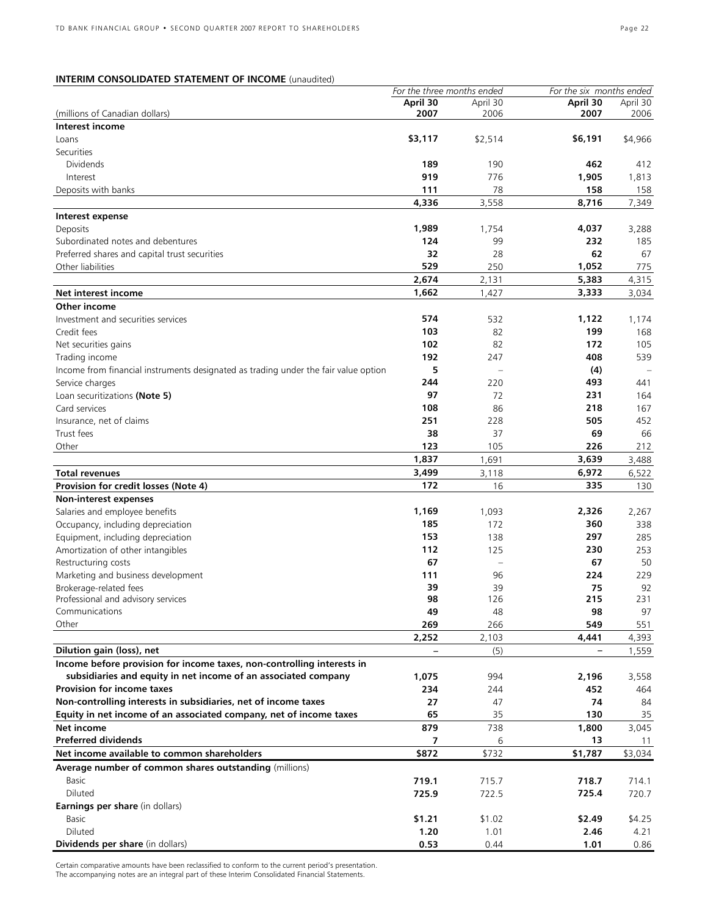### **INTERIM CONSOLIDATED STATEMENT OF INCOME** (unaudited)

|                                                                                     | For the three months ended |          |                   | For the six months ended |  |
|-------------------------------------------------------------------------------------|----------------------------|----------|-------------------|--------------------------|--|
|                                                                                     | April 30                   | April 30 | April 30          | April 30                 |  |
| (millions of Canadian dollars)                                                      | 2007                       | 2006     | 2007              | 2006                     |  |
| Interest income                                                                     |                            |          |                   |                          |  |
| Loans                                                                               | \$3,117                    | \$2,514  | \$6,191           | \$4,966                  |  |
| Securities                                                                          |                            |          |                   |                          |  |
| <b>Dividends</b>                                                                    | 189                        | 190      | 462               | 412                      |  |
| Interest                                                                            | 919                        | 776      | 1,905             | 1,813                    |  |
| Deposits with banks                                                                 | 111                        | 78       | 158               | 158                      |  |
|                                                                                     | 4,336                      | 3,558    | 8,716             | 7,349                    |  |
| Interest expense                                                                    |                            |          |                   |                          |  |
| Deposits                                                                            | 1,989                      | 1,754    | 4,037             | 3,288                    |  |
| Subordinated notes and debentures                                                   | 124                        | 99       | 232               | 185                      |  |
| Preferred shares and capital trust securities                                       | 32                         | 28       | 62                | 67                       |  |
| Other liabilities                                                                   | 529                        | 250      | 1,052             | 775                      |  |
|                                                                                     | 2,674                      | 2,131    | 5,383             | 4,315                    |  |
| Net interest income                                                                 | 1,662                      | 1,427    | 3,333             | 3,034                    |  |
| Other income                                                                        |                            |          |                   |                          |  |
| Investment and securities services                                                  | 574                        | 532      | 1,122             | 1,174                    |  |
| Credit fees                                                                         | 103                        | 82       | 199               | 168                      |  |
| Net securities gains                                                                | 102                        | 82       | 172               | 105                      |  |
| Trading income                                                                      | 192                        | 247      | 408               | 539                      |  |
|                                                                                     | 5                          |          |                   |                          |  |
| Income from financial instruments designated as trading under the fair value option |                            |          | (4)               |                          |  |
| Service charges                                                                     | 244                        | 220      | 493               | 441                      |  |
| Loan securitizations (Note 5)                                                       | 97                         | 72       | 231               | 164                      |  |
| Card services                                                                       | 108                        | 86       | 218               | 167                      |  |
| Insurance, net of claims                                                            | 251                        | 228      | 505               | 452                      |  |
| Trust fees                                                                          | 38                         | 37       | 69                | 66                       |  |
| Other                                                                               | 123                        | 105      | 226               | 212                      |  |
|                                                                                     | 1,837                      | 1,691    | 3,639             | 3,488                    |  |
| <b>Total revenues</b>                                                               | 3,499                      | 3,118    | 6,972             | 6,522                    |  |
| Provision for credit losses (Note 4)                                                | 172                        | 16       | 335               | 130                      |  |
| Non-interest expenses                                                               |                            |          |                   |                          |  |
| Salaries and employee benefits                                                      | 1,169                      | 1,093    | 2,326             | 2,267                    |  |
| Occupancy, including depreciation                                                   | 185                        | 172      | 360               | 338                      |  |
| Equipment, including depreciation                                                   | 153                        | 138      | 297               | 285                      |  |
| Amortization of other intangibles                                                   | 112                        | 125      | 230               | 253                      |  |
| Restructuring costs                                                                 | 67                         |          | 67                | 50                       |  |
| Marketing and business development                                                  | 111                        | 96       | 224               | 229                      |  |
| Brokerage-related fees                                                              | 39                         | 39       | 75                | 92                       |  |
| Professional and advisory services                                                  | 98                         | 126      | 215               | 231                      |  |
| Communications                                                                      | 49                         | 48       | 98                | 97                       |  |
| Other                                                                               | 269                        | 266      | 549               | 551                      |  |
|                                                                                     | 2,252                      | 2,103    | 4,441             | 4,393                    |  |
| Dilution gain (loss), net                                                           |                            | (5)      | $\qquad \qquad -$ | 1,559                    |  |
| Income before provision for income taxes, non-controlling interests in              |                            |          |                   |                          |  |
| subsidiaries and equity in net income of an associated company                      | 1,075                      | 994      | 2,196             | 3,558                    |  |
| <b>Provision for income taxes</b>                                                   | 234                        | 244      | 452               | 464                      |  |
| Non-controlling interests in subsidiaries, net of income taxes                      | 27                         | 47       | 74                | 84                       |  |
| Equity in net income of an associated company, net of income taxes                  | 65                         | 35       | 130               | 35                       |  |
| Net income                                                                          | 879                        | 738      | 1,800             | 3,045                    |  |
| <b>Preferred dividends</b>                                                          |                            |          |                   |                          |  |
|                                                                                     | 7                          | 6        | 13                | 11                       |  |
| Net income available to common shareholders                                         | \$872                      | \$732    | \$1,787           | \$3,034                  |  |
| Average number of common shares outstanding (millions)                              |                            |          |                   |                          |  |
| <b>Basic</b>                                                                        | 719.1                      | 715.7    | 718.7             | 714.1                    |  |
| Diluted                                                                             | 725.9                      | 722.5    | 725.4             | 720.7                    |  |
| Earnings per share (in dollars)                                                     |                            |          |                   |                          |  |
| Basic                                                                               | \$1.21                     | \$1.02   | \$2.49            | \$4.25                   |  |
| Diluted                                                                             | 1.20                       | 1.01     | 2.46              | 4.21                     |  |
| Dividends per share (in dollars)                                                    | 0.53                       | 0.44     | 1.01              | 0.86                     |  |

Certain comparative amounts have been reclassified to conform to the current period's presentation. The accompanying notes are an integral part of these Interim Consolidated Financial Statements.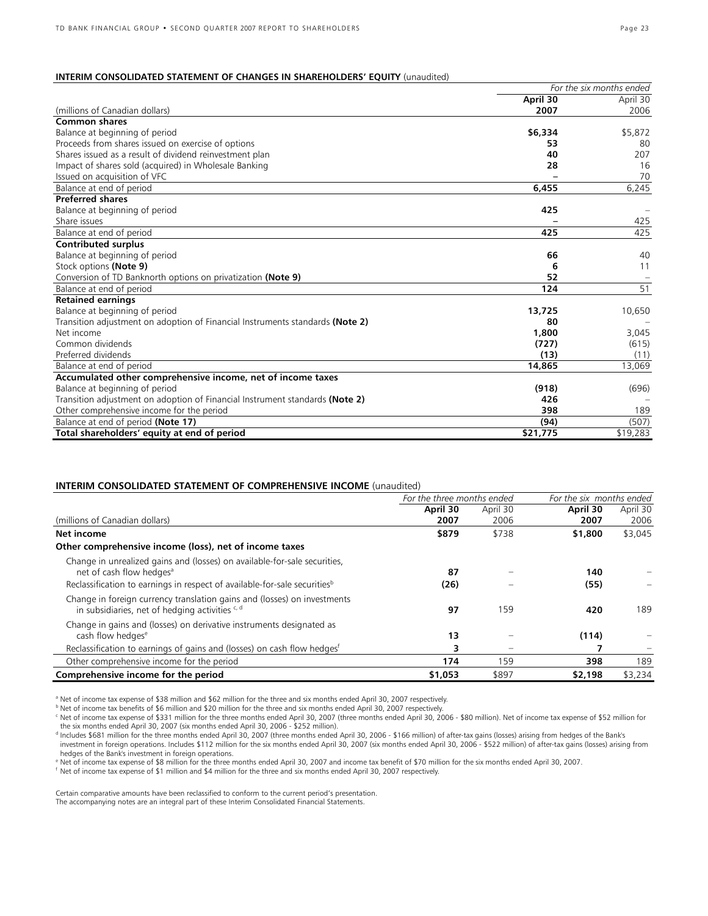### **INTERIM CONSOLIDATED STATEMENT OF CHANGES IN SHAREHOLDERS' EQUITY** (unaudited)

|                                                                               |          | For the six months ended |
|-------------------------------------------------------------------------------|----------|--------------------------|
|                                                                               | April 30 | April 30                 |
| (millions of Canadian dollars)                                                | 2007     | 2006                     |
| <b>Common shares</b>                                                          |          |                          |
| Balance at beginning of period                                                | \$6,334  | \$5,872                  |
| Proceeds from shares issued on exercise of options                            | 53       | 80                       |
| Shares issued as a result of dividend reinvestment plan                       | 40       | 207                      |
| Impact of shares sold (acquired) in Wholesale Banking                         | 28       | 16                       |
| Issued on acquisition of VFC                                                  |          | 70                       |
| Balance at end of period                                                      | 6,455    | 6,245                    |
| <b>Preferred shares</b>                                                       |          |                          |
| Balance at beginning of period                                                | 425      |                          |
| Share issues                                                                  |          | 425                      |
| Balance at end of period                                                      | 425      | 425                      |
| Contributed surplus                                                           |          |                          |
| Balance at beginning of period                                                | 66       | 40                       |
| Stock options (Note 9)                                                        | 6        | 11                       |
| Conversion of TD Banknorth options on privatization (Note 9)                  | 52       |                          |
| Balance at end of period                                                      | 124      | 51                       |
| <b>Retained earnings</b>                                                      |          |                          |
| Balance at beginning of period                                                | 13,725   | 10,650                   |
| Transition adjustment on adoption of Financial Instruments standards (Note 2) | 80       |                          |
| Net income                                                                    | 1,800    | 3,045                    |
| Common dividends                                                              | (727)    | (615)                    |
| Preferred dividends                                                           | (13)     | (11)                     |
| Balance at end of period                                                      | 14,865   | 13,069                   |
| Accumulated other comprehensive income, net of income taxes                   |          |                          |
| Balance at beginning of period                                                | (918)    | (696)                    |
| Transition adjustment on adoption of Financial Instrument standards (Note 2)  | 426      |                          |
| Other comprehensive income for the period                                     | 398      | 189                      |
| Balance at end of period (Note 17)                                            | (94)     | (507)                    |
| Total shareholders' equity at end of period                                   | \$21,775 | \$19,283                 |

### **INTERIM CONSOLIDATED STATEMENT OF COMPREHENSIVE INCOME** (unaudited)

|                                                                                                                             | For the three months ended |          | For the six months ended |          |  |
|-----------------------------------------------------------------------------------------------------------------------------|----------------------------|----------|--------------------------|----------|--|
|                                                                                                                             | April 30                   | April 30 | April 30                 | April 30 |  |
| (millions of Canadian dollars)                                                                                              | 2007                       | 2006     | 2007                     | 2006     |  |
| Net income                                                                                                                  | \$879                      | \$738    | \$1,800                  | \$3,045  |  |
| Other comprehensive income (loss), net of income taxes                                                                      |                            |          |                          |          |  |
| Change in unrealized gains and (losses) on available-for-sale securities,<br>net of cash flow hedges <sup>a</sup>           | 87                         |          | 140                      |          |  |
| Reclassification to earnings in respect of available-for-sale securities <sup>b</sup>                                       | (26)                       |          | (55)                     |          |  |
| Change in foreign currency translation gains and (losses) on investments<br>in subsidiaries, net of hedging activities c, d | 97                         | 159      | 420                      | 189      |  |
| Change in gains and (losses) on derivative instruments designated as<br>cash flow hedges <sup>e</sup>                       | 13                         |          | (114)                    |          |  |
| Reclassification to earnings of gains and (losses) on cash flow hedges <sup>t</sup>                                         | 3                          |          |                          |          |  |
| Other comprehensive income for the period                                                                                   | 174                        | 159      | 398                      | 189      |  |
| Comprehensive income for the period                                                                                         | \$1,053                    | \$897    | \$2,198                  | \$3,234  |  |

a Net of income tax expense of \$38 million and \$62 million for the three and six months ended April 30, 2007 respectively.

b Net of income tax benefits of \$6 million and \$20 million for the three and six months ended April 30, 2007 respectively.

C Net of income tax expense of \$331 million for the three months ended April 30, 2007 (three months ended April 30, 2006 - \$80 million). Net of income tax expense of \$52 million for<br>the six months ended April 30, 2007 (six

d Includes \$681 million for the three months ended April 30, 2007 (three months ended April 30, 2006 - \$166 million) of after-tax gains (losses) arising from hedges of the Bank's

investment in foreign operations. Includes \$112 million for the six months ended April 30, 2007 (six months ended April 30, 2006 - \$522 million) of after-tax gains (losses) arising from hedges of the Bank's investment in foreign operations.

e Net of income tax expense of \$8 million for the three months ended April 30, 2007 and income tax benefit of \$70 million for the six months ended April 30, 2007.<br>If Net of income tax expense of \$1 million and \$4 million f

Certain comparative amounts have been reclassified to conform to the current period's presentation.

The accompanying notes are an integral part of these Interim Consolidated Financial Statements.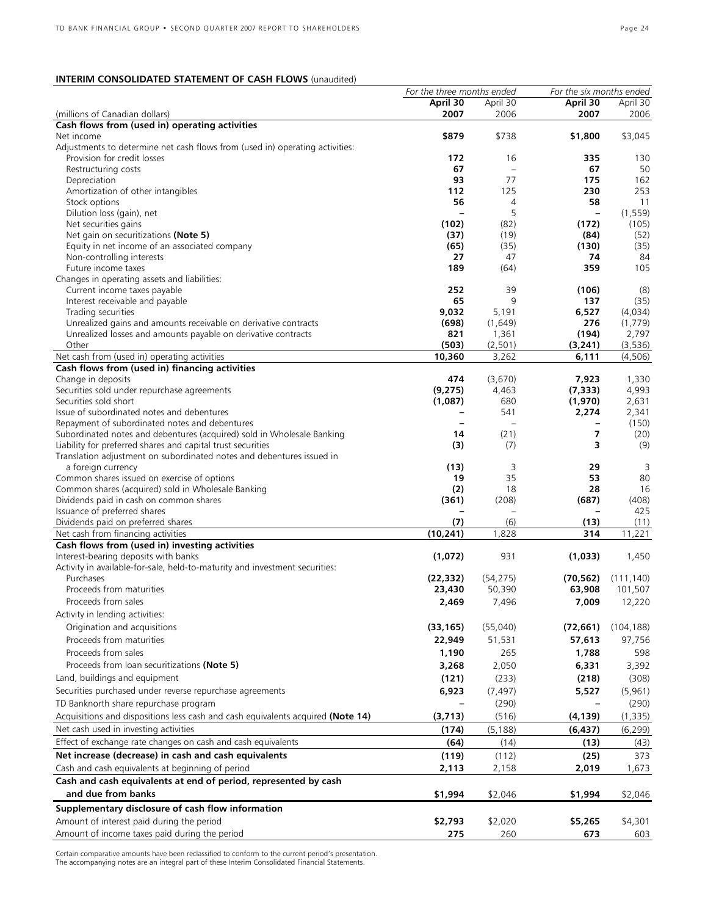### **INTERIM CONSOLIDATED STATEMENT OF CASH FLOWS** (unaudited)

|                                                                                                                          | For the three months ended     |                                  | For the six months ended |               |
|--------------------------------------------------------------------------------------------------------------------------|--------------------------------|----------------------------------|--------------------------|---------------|
|                                                                                                                          | April 30                       | April 30                         | April 30                 | April 30      |
| (millions of Canadian dollars)                                                                                           | 2007                           | 2006                             | 2007                     | 2006          |
| Cash flows from (used in) operating activities                                                                           |                                |                                  |                          |               |
| Net income                                                                                                               | \$879                          | \$738                            | \$1,800                  | \$3,045       |
| Adjustments to determine net cash flows from (used in) operating activities:                                             |                                |                                  |                          |               |
| Provision for credit losses                                                                                              | 172                            | 16                               | 335                      | 130           |
| Restructuring costs                                                                                                      | 67                             | $\overline{\phantom{a}}$         | 67                       | 50            |
| Depreciation                                                                                                             | 93                             | 77                               | 175                      | 162           |
| Amortization of other intangibles                                                                                        | 112                            | 125                              | 230                      | 253           |
| Stock options                                                                                                            | 56                             | 4                                | 58                       | 11            |
| Dilution loss (gain), net                                                                                                | $\overline{\phantom{0}}$       | 5                                | $\overline{\phantom{0}}$ | (1, 559)      |
| Net securities gains                                                                                                     | (102)                          | (82)                             | (172)                    | (105)         |
| Net gain on securitizations (Note 5)                                                                                     | (37)                           | (19)                             | (84)                     | (52)          |
| Equity in net income of an associated company                                                                            | (65)                           | (35)                             | (130)                    | (35)          |
| Non-controlling interests                                                                                                | 27                             | 47                               | 74                       | 84            |
| Future income taxes                                                                                                      | 189                            | (64)                             | 359                      | 105           |
| Changes in operating assets and liabilities:                                                                             |                                |                                  |                          |               |
| Current income taxes payable                                                                                             | 252                            | 39                               | (106)                    | (8)           |
| Interest receivable and payable                                                                                          | 65                             | 9                                | 137                      | (35)          |
| Trading securities                                                                                                       | 9,032                          | 5,191                            | 6,527                    | (4,034)       |
| Unrealized gains and amounts receivable on derivative contracts                                                          | (698)                          | (1,649)                          | 276                      | (1,779)       |
| Unrealized losses and amounts payable on derivative contracts                                                            | 821                            | 1,361                            | (194)                    | 2,797         |
| Other                                                                                                                    | (503)                          | (2, 501)                         | (3, 241)                 | (3,536)       |
| Net cash from (used in) operating activities                                                                             | 10,360                         | 3,262                            | 6,111                    | (4, 506)      |
| Cash flows from (used in) financing activities                                                                           |                                |                                  |                          |               |
| Change in deposits                                                                                                       | 474                            | (3,670)                          | 7,923                    | 1,330         |
| Securities sold under repurchase agreements<br>Securities sold short                                                     | (9, 275)                       | 4,463                            | (7, 333)                 | 4,993         |
|                                                                                                                          | (1,087)                        | 680                              | (1,970)                  | 2,631         |
| Issue of subordinated notes and debentures                                                                               |                                | 541                              | 2,274                    | 2,341         |
| Repayment of subordinated notes and debentures<br>Subordinated notes and debentures (acquired) sold in Wholesale Banking | $\overline{\phantom{0}}$<br>14 | $\overline{\phantom{0}}$<br>(21) | 7                        | (150)<br>(20) |
| Liability for preferred shares and capital trust securities                                                              | (3)                            | (7)                              | 3                        | (9)           |
| Translation adjustment on subordinated notes and debentures issued in                                                    |                                |                                  |                          |               |
| a foreign currency                                                                                                       | (13)                           | 3                                | 29                       | 3             |
| Common shares issued on exercise of options                                                                              | 19                             | 35                               | 53                       | 80            |
| Common shares (acquired) sold in Wholesale Banking                                                                       | (2)                            | 18                               | 28                       | 16            |
| Dividends paid in cash on common shares                                                                                  | (361)                          | (208)                            | (687)                    | (408)         |
| Issuance of preferred shares                                                                                             |                                |                                  |                          | 425           |
| Dividends paid on preferred shares                                                                                       | (7)                            | (6)                              | (13)                     | (11)          |
| Net cash from financing activities                                                                                       | (10, 241)                      | 1,828                            | 314                      | 11,221        |
| Cash flows from (used in) investing activities                                                                           |                                |                                  |                          |               |
| Interest-bearing deposits with banks                                                                                     | (1,072)                        | 931                              | (1,033)                  | 1,450         |
| Activity in available-for-sale, held-to-maturity and investment securities:                                              |                                |                                  |                          |               |
| Purchases                                                                                                                | (22, 332)                      | (54, 275)                        | (70, 562)                | (111, 140)    |
| Proceeds from maturities                                                                                                 | 23,430                         | 50,390                           | 63,908                   | 101,507       |
| Proceeds from sales                                                                                                      | 2,469                          | 7,496                            | 7,009                    | 12,220        |
|                                                                                                                          |                                |                                  |                          |               |
| Activity in lending activities:                                                                                          |                                |                                  |                          |               |
| Origination and acquisitions                                                                                             | (33, 165)                      | (55,040)                         | (72, 661)                | (104, 188)    |
| Proceeds from maturities                                                                                                 | 22,949                         | 51,531                           | 57,613                   | 97,756        |
| Proceeds from sales                                                                                                      | 1,190                          | 265                              | 1,788                    | 598           |
| Proceeds from loan securitizations (Note 5)                                                                              | 3,268                          | 2,050                            | 6,331                    | 3,392         |
| Land, buildings and equipment                                                                                            | (121)                          | (233)                            | (218)                    | (308)         |
| Securities purchased under reverse repurchase agreements                                                                 | 6,923                          | (7, 497)                         | 5,527                    | (5,961)       |
| TD Banknorth share repurchase program                                                                                    |                                | (290)                            |                          | (290)         |
|                                                                                                                          |                                |                                  |                          |               |
| Acquisitions and dispositions less cash and cash equivalents acquired (Note 14)                                          | (3,713)                        | (516)                            | (4, 139)                 | (1, 335)      |
| Net cash used in investing activities                                                                                    | (174)                          | (5, 188)                         | (6, 437)                 | (6, 299)      |
| Effect of exchange rate changes on cash and cash equivalents                                                             | (64)                           | (14)                             | (13)                     | (43)          |
| Net increase (decrease) in cash and cash equivalents                                                                     | (119)                          | (112)                            | (25)                     | 373           |
| Cash and cash equivalents at beginning of period                                                                         | 2,113                          | 2,158                            | 2,019                    | 1,673         |
| Cash and cash equivalents at end of period, represented by cash                                                          |                                |                                  |                          |               |
| and due from banks                                                                                                       | \$1,994                        | \$2,046                          |                          |               |
|                                                                                                                          |                                |                                  | \$1,994                  | \$2,046       |
| Supplementary disclosure of cash flow information                                                                        |                                |                                  |                          |               |
| Amount of interest paid during the period                                                                                | \$2,793                        | \$2,020                          | \$5,265                  | \$4,301       |
| Amount of income taxes paid during the period                                                                            | 275                            | 260                              | 673                      | 603           |
|                                                                                                                          |                                |                                  |                          |               |

Certain comparative amounts have been reclassified to conform to the current period's presentation. The accompanying notes are an integral part of these Interim Consolidated Financial Statements.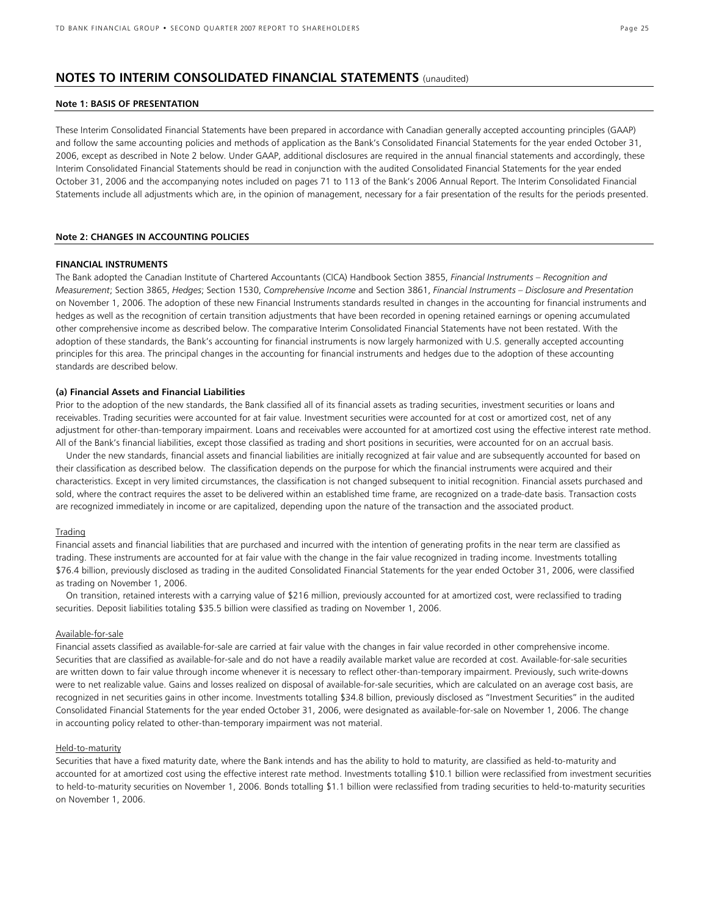### **NOTES TO INTERIM CONSOLIDATED FINANCIAL STATEMENTS** (unaudited)

### **Note 1: BASIS OF PRESENTATION**

These Interim Consolidated Financial Statements have been prepared in accordance with Canadian generally accepted accounting principles (GAAP) and follow the same accounting policies and methods of application as the Bank's Consolidated Financial Statements for the year ended October 31, 2006, except as described in Note 2 below. Under GAAP, additional disclosures are required in the annual financial statements and accordingly, these Interim Consolidated Financial Statements should be read in conjunction with the audited Consolidated Financial Statements for the year ended October 31, 2006 and the accompanying notes included on pages 71 to 113 of the Bank's 2006 Annual Report. The Interim Consolidated Financial Statements include all adjustments which are, in the opinion of management, necessary for a fair presentation of the results for the periods presented.

### **Note 2: CHANGES IN ACCOUNTING POLICIES**

#### **FINANCIAL INSTRUMENTS**

The Bank adopted the Canadian Institute of Chartered Accountants (CICA) Handbook Section 3855, *Financial Instruments – Recognition and Measurement*; Section 3865, *Hedges*; Section 1530, *Comprehensive Income* and Section 3861, *Financial Instruments – Disclosure and Presentation* on November 1, 2006. The adoption of these new Financial Instruments standards resulted in changes in the accounting for financial instruments and hedges as well as the recognition of certain transition adjustments that have been recorded in opening retained earnings or opening accumulated other comprehensive income as described below. The comparative Interim Consolidated Financial Statements have not been restated. With the adoption of these standards, the Bank's accounting for financial instruments is now largely harmonized with U.S. generally accepted accounting principles for this area. The principal changes in the accounting for financial instruments and hedges due to the adoption of these accounting standards are described below.

#### **(a) Financial Assets and Financial Liabilities**

Prior to the adoption of the new standards, the Bank classified all of its financial assets as trading securities, investment securities or loans and receivables. Trading securities were accounted for at fair value. Investment securities were accounted for at cost or amortized cost, net of any adjustment for other-than-temporary impairment. Loans and receivables were accounted for at amortized cost using the effective interest rate method. All of the Bank's financial liabilities, except those classified as trading and short positions in securities, were accounted for on an accrual basis.

Under the new standards, financial assets and financial liabilities are initially recognized at fair value and are subsequently accounted for based on their classification as described below. The classification depends on the purpose for which the financial instruments were acquired and their characteristics. Except in very limited circumstances, the classification is not changed subsequent to initial recognition. Financial assets purchased and sold, where the contract requires the asset to be delivered within an established time frame, are recognized on a trade-date basis. Transaction costs are recognized immediately in income or are capitalized, depending upon the nature of the transaction and the associated product.

#### Trading

Financial assets and financial liabilities that are purchased and incurred with the intention of generating profits in the near term are classified as trading. These instruments are accounted for at fair value with the change in the fair value recognized in trading income. Investments totalling \$76.4 billion, previously disclosed as trading in the audited Consolidated Financial Statements for the year ended October 31, 2006, were classified as trading on November 1, 2006.

On transition, retained interests with a carrying value of \$216 million, previously accounted for at amortized cost, were reclassified to trading securities. Deposit liabilities totaling \$35.5 billion were classified as trading on November 1, 2006.

### Available-for-sale

Financial assets classified as available-for-sale are carried at fair value with the changes in fair value recorded in other comprehensive income. Securities that are classified as available-for-sale and do not have a readily available market value are recorded at cost. Available-for-sale securities are written down to fair value through income whenever it is necessary to reflect other-than-temporary impairment. Previously, such write-downs were to net realizable value. Gains and losses realized on disposal of available-for-sale securities, which are calculated on an average cost basis, are recognized in net securities gains in other income. Investments totalling \$34.8 billion, previously disclosed as "Investment Securities" in the audited Consolidated Financial Statements for the year ended October 31, 2006, were designated as available-for-sale on November 1, 2006. The change in accounting policy related to other-than-temporary impairment was not material.

### Held-to-maturity

Securities that have a fixed maturity date, where the Bank intends and has the ability to hold to maturity, are classified as held-to-maturity and accounted for at amortized cost using the effective interest rate method. Investments totalling \$10.1 billion were reclassified from investment securities to held-to-maturity securities on November 1, 2006. Bonds totalling \$1.1 billion were reclassified from trading securities to held-to-maturity securities on November 1, 2006.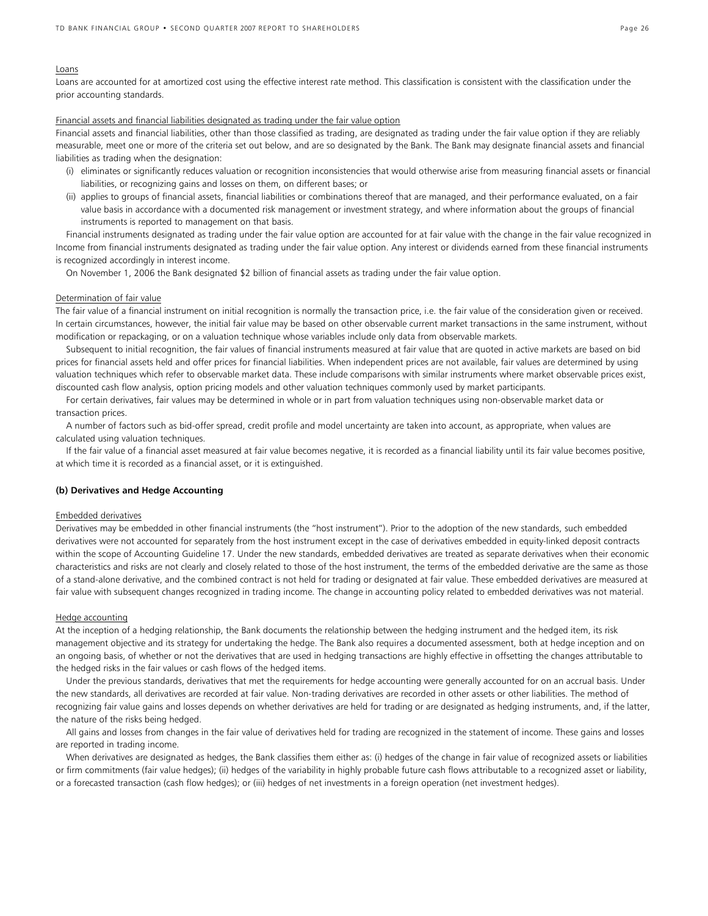#### Loans

Loans are accounted for at amortized cost using the effective interest rate method. This classification is consistent with the classification under the prior accounting standards.

### Financial assets and financial liabilities designated as trading under the fair value option

Financial assets and financial liabilities, other than those classified as trading, are designated as trading under the fair value option if they are reliably measurable, meet one or more of the criteria set out below, and are so designated by the Bank. The Bank may designate financial assets and financial liabilities as trading when the designation:

- (i) eliminates or significantly reduces valuation or recognition inconsistencies that would otherwise arise from measuring financial assets or financial liabilities, or recognizing gains and losses on them, on different bases; or
- (ii) applies to groups of financial assets, financial liabilities or combinations thereof that are managed, and their performance evaluated, on a fair value basis in accordance with a documented risk management or investment strategy, and where information about the groups of financial instruments is reported to management on that basis.

Financial instruments designated as trading under the fair value option are accounted for at fair value with the change in the fair value recognized in Income from financial instruments designated as trading under the fair value option. Any interest or dividends earned from these financial instruments is recognized accordingly in interest income.

On November 1, 2006 the Bank designated \$2 billion of financial assets as trading under the fair value option.

### Determination of fair value

The fair value of a financial instrument on initial recognition is normally the transaction price, i.e. the fair value of the consideration given or received. In certain circumstances, however, the initial fair value may be based on other observable current market transactions in the same instrument, without modification or repackaging, or on a valuation technique whose variables include only data from observable markets.

Subsequent to initial recognition, the fair values of financial instruments measured at fair value that are quoted in active markets are based on bid prices for financial assets held and offer prices for financial liabilities. When independent prices are not available, fair values are determined by using valuation techniques which refer to observable market data. These include comparisons with similar instruments where market observable prices exist, discounted cash flow analysis, option pricing models and other valuation techniques commonly used by market participants.

For certain derivatives, fair values may be determined in whole or in part from valuation techniques using non-observable market data or transaction prices.

A number of factors such as bid-offer spread, credit profile and model uncertainty are taken into account, as appropriate, when values are calculated using valuation techniques.

If the fair value of a financial asset measured at fair value becomes negative, it is recorded as a financial liability until its fair value becomes positive, at which time it is recorded as a financial asset, or it is extinguished.

### **(b) Derivatives and Hedge Accounting**

### Embedded derivatives

Derivatives may be embedded in other financial instruments (the "host instrument"). Prior to the adoption of the new standards, such embedded derivatives were not accounted for separately from the host instrument except in the case of derivatives embedded in equity-linked deposit contracts within the scope of Accounting Guideline 17. Under the new standards, embedded derivatives are treated as separate derivatives when their economic characteristics and risks are not clearly and closely related to those of the host instrument, the terms of the embedded derivative are the same as those of a stand-alone derivative, and the combined contract is not held for trading or designated at fair value. These embedded derivatives are measured at fair value with subsequent changes recognized in trading income. The change in accounting policy related to embedded derivatives was not material.

#### Hedge accounting

At the inception of a hedging relationship, the Bank documents the relationship between the hedging instrument and the hedged item, its risk management objective and its strategy for undertaking the hedge. The Bank also requires a documented assessment, both at hedge inception and on an ongoing basis, of whether or not the derivatives that are used in hedging transactions are highly effective in offsetting the changes attributable to the hedged risks in the fair values or cash flows of the hedged items.

Under the previous standards, derivatives that met the requirements for hedge accounting were generally accounted for on an accrual basis. Under the new standards, all derivatives are recorded at fair value. Non-trading derivatives are recorded in other assets or other liabilities. The method of recognizing fair value gains and losses depends on whether derivatives are held for trading or are designated as hedging instruments, and, if the latter, the nature of the risks being hedged.

All gains and losses from changes in the fair value of derivatives held for trading are recognized in the statement of income. These gains and losses are reported in trading income.

When derivatives are designated as hedges, the Bank classifies them either as: (i) hedges of the change in fair value of recognized assets or liabilities or firm commitments (fair value hedges); (ii) hedges of the variability in highly probable future cash flows attributable to a recognized asset or liability, or a forecasted transaction (cash flow hedges); or (iii) hedges of net investments in a foreign operation (net investment hedges).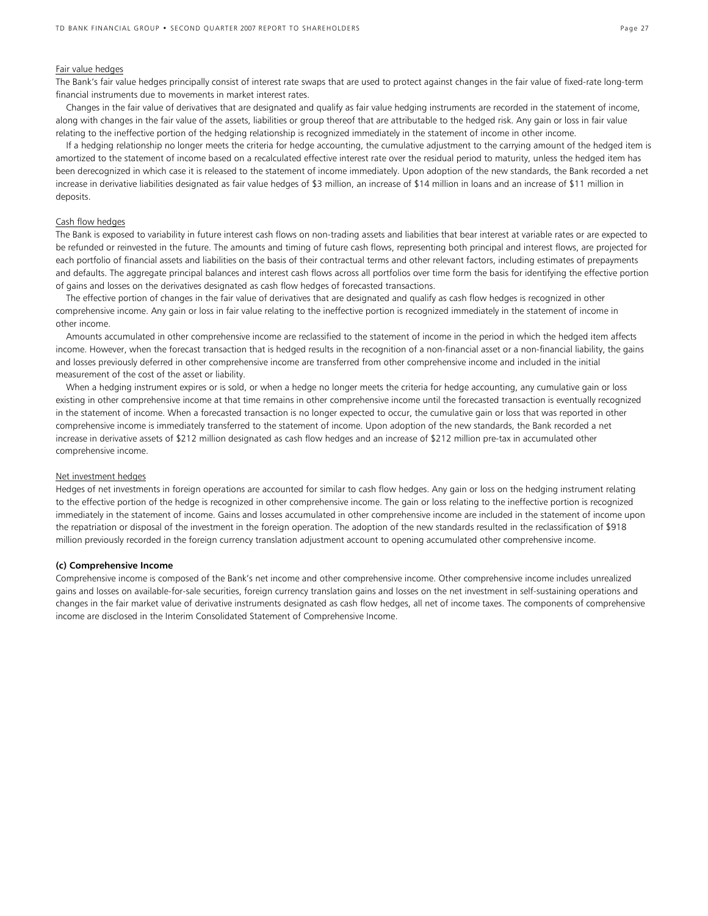### Fair value hedges

The Bank's fair value hedges principally consist of interest rate swaps that are used to protect against changes in the fair value of fixed-rate long-term financial instruments due to movements in market interest rates.

Changes in the fair value of derivatives that are designated and qualify as fair value hedging instruments are recorded in the statement of income, along with changes in the fair value of the assets, liabilities or group thereof that are attributable to the hedged risk. Any gain or loss in fair value relating to the ineffective portion of the hedging relationship is recognized immediately in the statement of income in other income.

If a hedging relationship no longer meets the criteria for hedge accounting, the cumulative adjustment to the carrying amount of the hedged item is amortized to the statement of income based on a recalculated effective interest rate over the residual period to maturity, unless the hedged item has been derecognized in which case it is released to the statement of income immediately. Upon adoption of the new standards, the Bank recorded a net increase in derivative liabilities designated as fair value hedges of \$3 million, an increase of \$14 million in loans and an increase of \$11 million in deposits.

### Cash flow hedges

The Bank is exposed to variability in future interest cash flows on non-trading assets and liabilities that bear interest at variable rates or are expected to be refunded or reinvested in the future. The amounts and timing of future cash flows, representing both principal and interest flows, are projected for each portfolio of financial assets and liabilities on the basis of their contractual terms and other relevant factors, including estimates of prepayments and defaults. The aggregate principal balances and interest cash flows across all portfolios over time form the basis for identifying the effective portion of gains and losses on the derivatives designated as cash flow hedges of forecasted transactions.

The effective portion of changes in the fair value of derivatives that are designated and qualify as cash flow hedges is recognized in other comprehensive income. Any gain or loss in fair value relating to the ineffective portion is recognized immediately in the statement of income in other income.

Amounts accumulated in other comprehensive income are reclassified to the statement of income in the period in which the hedged item affects income. However, when the forecast transaction that is hedged results in the recognition of a non-financial asset or a non-financial liability, the gains and losses previously deferred in other comprehensive income are transferred from other comprehensive income and included in the initial measurement of the cost of the asset or liability.

When a hedging instrument expires or is sold, or when a hedge no longer meets the criteria for hedge accounting, any cumulative gain or loss existing in other comprehensive income at that time remains in other comprehensive income until the forecasted transaction is eventually recognized in the statement of income. When a forecasted transaction is no longer expected to occur, the cumulative gain or loss that was reported in other comprehensive income is immediately transferred to the statement of income. Upon adoption of the new standards, the Bank recorded a net increase in derivative assets of \$212 million designated as cash flow hedges and an increase of \$212 million pre-tax in accumulated other comprehensive income.

#### Net investment hedges

Hedges of net investments in foreign operations are accounted for similar to cash flow hedges. Any gain or loss on the hedging instrument relating to the effective portion of the hedge is recognized in other comprehensive income. The gain or loss relating to the ineffective portion is recognized immediately in the statement of income. Gains and losses accumulated in other comprehensive income are included in the statement of income upon the repatriation or disposal of the investment in the foreign operation. The adoption of the new standards resulted in the reclassification of \$918 million previously recorded in the foreign currency translation adjustment account to opening accumulated other comprehensive income.

### **(c) Comprehensive Income**

Comprehensive income is composed of the Bank's net income and other comprehensive income. Other comprehensive income includes unrealized gains and losses on available-for-sale securities, foreign currency translation gains and losses on the net investment in self-sustaining operations and changes in the fair market value of derivative instruments designated as cash flow hedges, all net of income taxes. The components of comprehensive income are disclosed in the Interim Consolidated Statement of Comprehensive Income.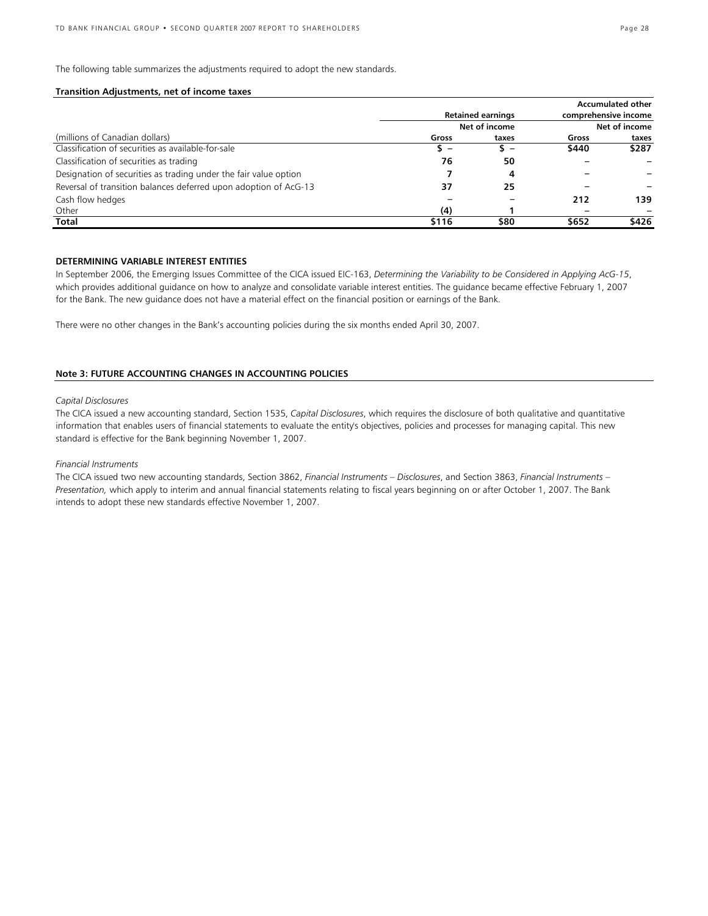The following table summarizes the adjustments required to adopt the new standards.

### **Transition Adjustments, net of income taxes**

|                                                                  |       |                          |                                       | <b>Accumulated other</b> |  |
|------------------------------------------------------------------|-------|--------------------------|---------------------------------------|--------------------------|--|
|                                                                  |       | <b>Retained earnings</b> | comprehensive income<br>Net of income |                          |  |
|                                                                  |       | Net of income            |                                       |                          |  |
| (millions of Canadian dollars)                                   | Gross | taxes                    | Gross                                 | taxes                    |  |
| Classification of securities as available-for-sale               | s –   | s –                      | \$440                                 | \$287                    |  |
| Classification of securities as trading                          | 76    | 50                       |                                       |                          |  |
| Designation of securities as trading under the fair value option |       | 4                        |                                       |                          |  |
| Reversal of transition balances deferred upon adoption of AcG-13 | 37    | 25                       |                                       |                          |  |
| Cash flow hedges                                                 |       |                          | 212                                   | 139                      |  |
| Other                                                            | (4)   |                          | $\overline{\phantom{0}}$              |                          |  |
| Total                                                            | \$116 | \$80                     | \$652                                 | \$426                    |  |

### **DETERMINING VARIABLE INTEREST ENTITIES**

In September 2006, the Emerging Issues Committee of the CICA issued EIC-163, *Determining the Variability to be Considered in Applying AcG-15*, which provides additional guidance on how to analyze and consolidate variable interest entities. The guidance became effective February 1, 2007 for the Bank. The new guidance does not have a material effect on the financial position or earnings of the Bank.

There were no other changes in the Bank's accounting policies during the six months ended April 30, 2007.

### **Note 3: FUTURE ACCOUNTING CHANGES IN ACCOUNTING POLICIES**

### *Capital Disclosures*

The CICA issued a new accounting standard, Section 1535, *Capital Disclosures*, which requires the disclosure of both qualitative and quantitative information that enables users of financial statements to evaluate the entity's objectives, policies and processes for managing capital. This new standard is effective for the Bank beginning November 1, 2007.

### *Financial Instruments*

The CICA issued two new accounting standards, Section 3862, *Financial Instruments – Disclosures*, and Section 3863, *Financial Instruments – Presentation,* which apply to interim and annual financial statements relating to fiscal years beginning on or after October 1, 2007. The Bank intends to adopt these new standards effective November 1, 2007.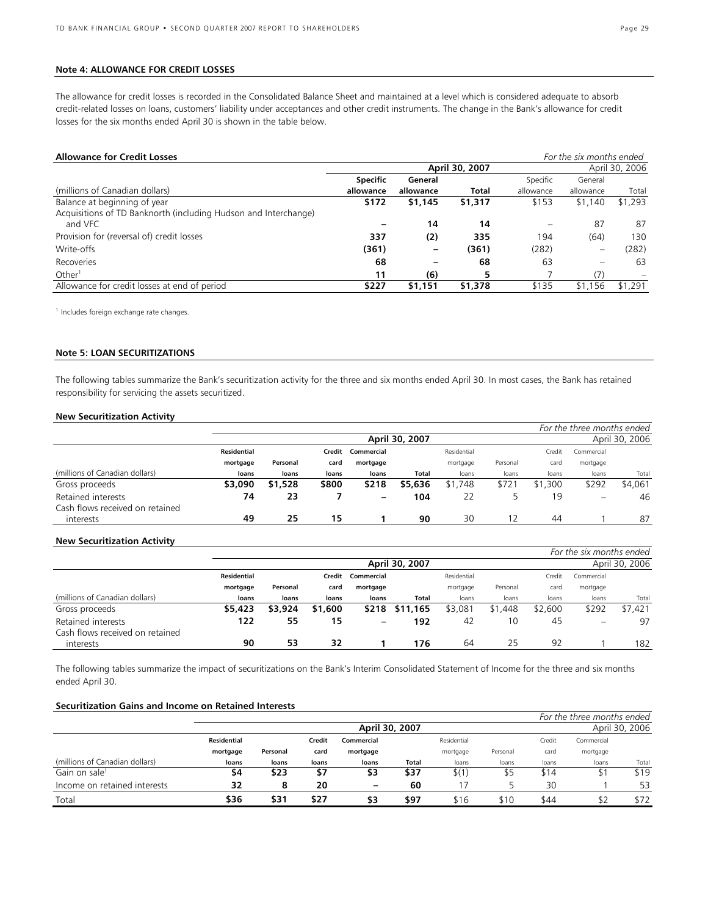### **Note 4: ALLOWANCE FOR CREDIT LOSSES**

The allowance for credit losses is recorded in the Consolidated Balance Sheet and maintained at a level which is considered adequate to absorb credit-related losses on loans, customers' liability under acceptances and other credit instruments. The change in the Bank's allowance for credit losses for the six months ended April 30 is shown in the table below.

| <b>Allowance for Credit Losses</b>                              |                 |           |                |                   | For the six months ended |                |
|-----------------------------------------------------------------|-----------------|-----------|----------------|-------------------|--------------------------|----------------|
|                                                                 |                 |           | April 30, 2007 |                   |                          | April 30, 2006 |
|                                                                 | <b>Specific</b> | General   |                | Specific          | General                  |                |
| (millions of Canadian dollars)                                  | allowance       | allowance | <b>Total</b>   | allowance         | allowance                | Total          |
| Balance at beginning of year                                    | \$172           | \$1,145   | \$1,317        | \$153             | \$1,140                  | \$1,293        |
| Acquisitions of TD Banknorth (including Hudson and Interchange) |                 |           |                |                   |                          |                |
| and VFC                                                         |                 | 14        | 14             | $\qquad \qquad =$ | 87                       | 87             |
| Provision for (reversal of) credit losses                       | 337             | (2)       | 335            | 194               | (64)                     | 130            |
| Write-offs                                                      | (361)           |           | (361)          | (282)             |                          | (282)          |
| Recoveries                                                      | 68              |           | 68             | 63                |                          | 63             |
| Other <sup>1</sup>                                              | 11              | (6)       | 5              |                   | (7)                      |                |
| Allowance for credit losses at end of period                    | \$227           | \$1,151   | \$1,378        | \$135             | \$1,156                  | \$1,291        |

<sup>1</sup> Includes foreign exchange rate changes.

### **Note 5: LOAN SECURITIZATIONS**

The following tables summarize the Bank's securitization activity for the three and six months ended April 30. In most cases, the Bank has retained responsibility for servicing the assets securitized.

### **New Securitization Activity**

|                                 |             |          |        |                   |                |             |          |         | For the three months ended     |                |
|---------------------------------|-------------|----------|--------|-------------------|----------------|-------------|----------|---------|--------------------------------|----------------|
|                                 |             |          |        |                   | April 30, 2007 |             |          |         |                                | April 30, 2006 |
|                                 | Residential |          | Credit | Commercial        |                | Residential |          | Credit  | Commercial                     |                |
|                                 | mortgage    | Personal | card   | mortgage          |                | mortgage    | Personal | card    | mortgage                       |                |
| (millions of Canadian dollars)  | loans       | loans    | loans  | loans             | Total          | loans       | loans    | loans   | loans                          | Total          |
| Gross proceeds                  | \$3,090     | \$1,528  | \$800  | \$218             | \$5,636        | \$1,748     | \$721    | \$1,300 | \$292                          | \$4.061        |
| Retained interests              | 74          | 23       |        | $\qquad \qquad -$ | 104            | 22          |          | 19      | $\qquad \qquad \longleftarrow$ | 46             |
| Cash flows received on retained |             |          |        |                   |                |             |          |         |                                |                |
| interests                       | 49          | 25       | 15     |                   | 90             | 30          | 12       | 44      |                                | 87             |

### **New Securitization Activity**

|                                 |                    |          |         |            |                |             |          |         | For the six months ended |                |
|---------------------------------|--------------------|----------|---------|------------|----------------|-------------|----------|---------|--------------------------|----------------|
|                                 |                    |          |         |            | April 30, 2007 |             |          |         |                          | April 30, 2006 |
|                                 | <b>Residential</b> |          | Credit  | Commercial |                | Residential |          | Credit  | Commercial               |                |
|                                 | mortgage           | Personal | card    | mortgage   |                | mortgage    | Personal | card    | mortgage                 |                |
| (millions of Canadian dollars)  | loans              | loans    | loans   | loans      | Total          | loans       | loans    | loans   | loans                    | Total          |
| Gross proceeds                  | \$5,423            | \$3,924  | \$1,600 | \$218      | \$11,165       | \$3,081     | \$1,448  | \$2,600 | \$292                    | \$7.421        |
| Retained interests              | 122                | 55       | 15      | -          | 192            | 42          | 10       | 45      | $\overline{\phantom{m}}$ | 97             |
| Cash flows received on retained |                    |          |         |            |                |             |          |         |                          |                |
| interests                       | 90                 | 53       | 32      |            | 176            | 64          | 25       | 92      |                          | 182            |

The following tables summarize the impact of securitizations on the Bank's Interim Consolidated Statement of Income for the three and six months ended April 30.

### **Securitization Gains and Income on Retained Interests**

|                                |                    |          |        |                   |                |             |          |        | For the three months ended |                |
|--------------------------------|--------------------|----------|--------|-------------------|----------------|-------------|----------|--------|----------------------------|----------------|
|                                |                    |          |        |                   | April 30, 2007 |             |          |        |                            | April 30, 2006 |
|                                | <b>Residential</b> |          | Credit | Commercial        |                | Residential |          | Credit | Commercial                 |                |
|                                | mortgage           | Personal | card   | mortgage          |                | mortgage    | Personal | card   | mortgage                   |                |
| (millions of Canadian dollars) | loans              | loans    | loans  | loans             | Total          | loans       | loans    | loans  | loans                      | Total          |
| Gain on sale <sup>1</sup>      | 54                 | \$23     | \$7    | \$3               | \$37           | \$(1)       | \$5      | \$14   | Τ.                         | \$19           |
| Income on retained interests   | 32                 | 8        | 20     | $\qquad \qquad -$ | 60             |             |          | 30     |                            | 53             |
| Total                          | \$36               | \$31     | \$27   | \$3               | \$97           | \$16        | \$10     | \$44   | \$2                        | \$72           |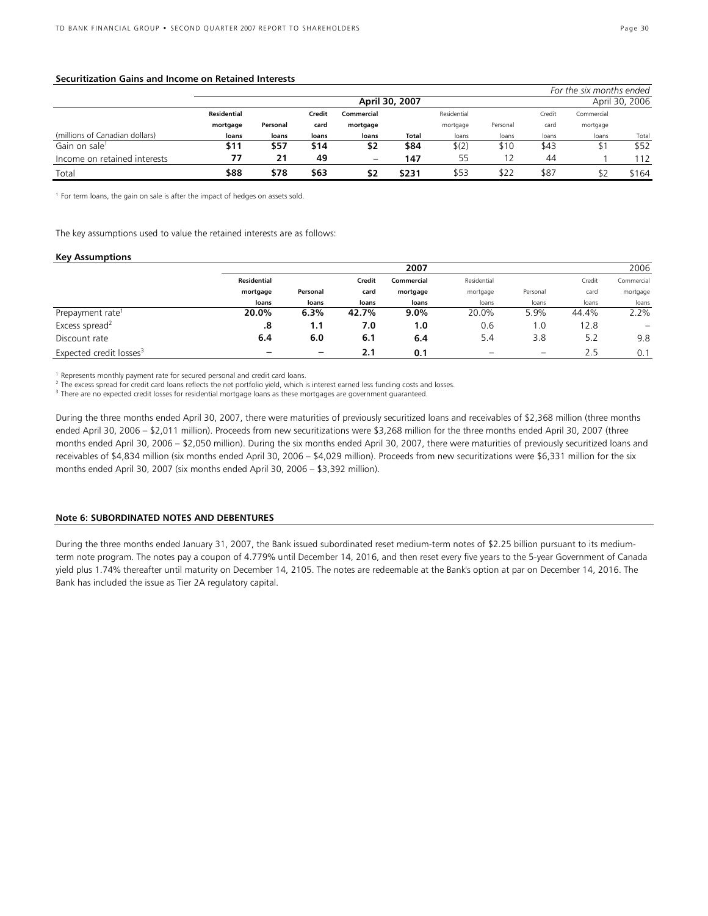### **Securitization Gains and Income on Retained Interests**

|                                |                    |          |        |                   |                |             |          |        | For the six months ended |                |
|--------------------------------|--------------------|----------|--------|-------------------|----------------|-------------|----------|--------|--------------------------|----------------|
|                                |                    |          |        |                   | April 30, 2007 |             |          |        |                          | April 30, 2006 |
|                                | <b>Residential</b> |          | Credit | Commercial        |                | Residential |          | Credit | Commercial               |                |
|                                | mortgage           | Personal | card   | mortgage          |                | mortgage    | Personal | card   | mortgage                 |                |
| (millions of Canadian dollars) | loans              | loans    | loans  | loans             | Total          | loans       | loans    | loans  | loans                    | Total          |
| Gain on sale <sup>1</sup>      | \$11               | \$57     | \$14   | \$2               | \$84           | \$(2)       | \$10     | \$43   |                          | \$52           |
| Income on retained interests   |                    | 21       | 49     | $\qquad \qquad -$ | 147            | 55          |          | 44     |                          | 112            |
| Total                          | \$88               | \$78     | \$63   | \$2               | \$231          | \$53        | \$22     | \$87   |                          | \$164          |

<sup>1</sup> For term loans, the gain on sale is after the impact of hedges on assets sold.

The key assumptions used to value the retained interests are as follows:

### **Key Assumptions**

|                                     |                    |          |            | 2007        |          |                               |            | 2006              |
|-------------------------------------|--------------------|----------|------------|-------------|----------|-------------------------------|------------|-------------------|
|                                     | <b>Residential</b> | Credit   | Commercial | Residential |          | Credit                        | Commercial |                   |
|                                     | mortgage           | Personal | card       | mortgage    | mortgage | Personal                      | card       | mortgage          |
|                                     | loans              | loans    | loans      | loans       | loans    | loans                         | loans      | loans             |
| Prepayment rate <sup>1</sup>        | 20.0%              | 6.3%     | 42.7%      | $9.0\%$     | 20.0%    | 5.9%                          | 44.4%      | 2.2%              |
| Excess spread <sup>2</sup>          | .8                 | 1.1      | 7.0        | 1.0         | 0.6      | i .O                          | 12.8       | $\qquad \qquad -$ |
| Discount rate                       | 6.4                | 6.0      | 6.1        | 6.4         | 5.4      | 3.8                           | 5.2        | 9.8               |
| Expected credit losses <sup>3</sup> |                    | -        | 2.1        | 0.1         | -        | $\qquad \qquad \qquad \qquad$ | 2.5        | 0.1               |

<sup>1</sup> Represents monthly payment rate for secured personal and credit card loans.

<sup>2</sup> The excess spread for credit card loans reflects the net portfolio yield, which is interest earned less funding costs and losses.<br><sup>3</sup> There are no expected credit losses for residential mertaage loans as these mertaage

<sup>3</sup> There are no expected credit losses for residential mortgage loans as these mortgages are government guaranteed.

During the three months ended April 30, 2007, there were maturities of previously securitized loans and receivables of \$2,368 million (three months ended April 30, 2006 – \$2,011 million). Proceeds from new securitizations were \$3,268 million for the three months ended April 30, 2007 (three months ended April 30, 2006 – \$2,050 million). During the six months ended April 30, 2007, there were maturities of previously securitized loans and receivables of \$4,834 million (six months ended April 30, 2006 – \$4,029 million). Proceeds from new securitizations were \$6,331 million for the six months ended April 30, 2007 (six months ended April 30, 2006 – \$3,392 million).

#### **Note 6: SUBORDINATED NOTES AND DEBENTURES**

During the three months ended January 31, 2007, the Bank issued subordinated reset medium-term notes of \$2.25 billion pursuant to its mediumterm note program. The notes pay a coupon of 4.779% until December 14, 2016, and then reset every five years to the 5-year Government of Canada yield plus 1.74% thereafter until maturity on December 14, 2105. The notes are redeemable at the Bank's option at par on December 14, 2016. The Bank has included the issue as Tier 2A regulatory capital.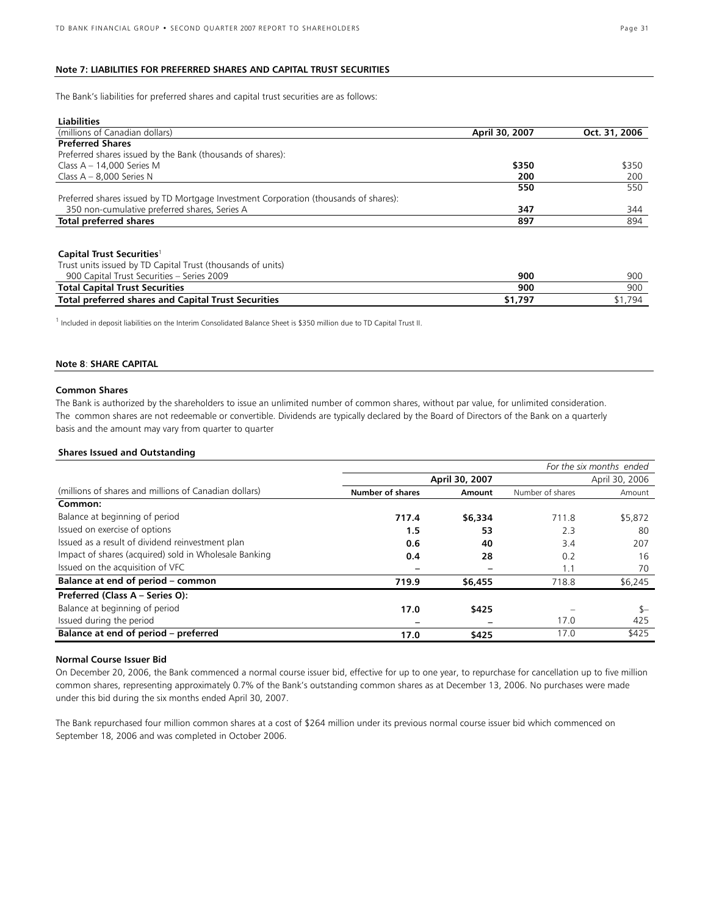### **Note 7: LIABILITIES FOR PREFERRED SHARES AND CAPITAL TRUST SECURITIES**

The Bank's liabilities for preferred shares and capital trust securities are as follows:

| <b>Liabilities</b>                                                                   |                |               |
|--------------------------------------------------------------------------------------|----------------|---------------|
| (millions of Canadian dollars)                                                       | April 30, 2007 | Oct. 31, 2006 |
| <b>Preferred Shares</b>                                                              |                |               |
| Preferred shares issued by the Bank (thousands of shares):                           |                |               |
| Class $A - 14,000$ Series M                                                          | \$350          | \$350         |
| Class $A - 8,000$ Series N                                                           | 200            | 200           |
|                                                                                      | 550            | 550           |
| Preferred shares issued by TD Mortgage Investment Corporation (thousands of shares): |                |               |
| 350 non-cumulative preferred shares, Series A                                        | 347            | 344           |
| <b>Total preferred shares</b>                                                        | 897            | 894           |
|                                                                                      |                |               |
| Capital Trust Securities <sup>1</sup>                                                |                |               |
| Trust units issued by TD Capital Trust (thousands of units)                          |                |               |
| 900 Capital Trust Securities - Series 2009                                           | 900            | 900           |
| <b>Total Capital Trust Securities</b>                                                | 900            | 900           |
| <b>Total preferred shares and Capital Trust Securities</b>                           | \$1,797        | \$1,794       |
|                                                                                      |                |               |

<sup>1</sup> Included in deposit liabilities on the Interim Consolidated Balance Sheet is \$350 million due to TD Capital Trust II.

### **Note 8**: **SHARE CAPITAL**

### **Common Shares**

The Bank is authorized by the shareholders to issue an unlimited number of common shares, without par value, for unlimited consideration. The common shares are not redeemable or convertible. Dividends are typically declared by the Board of Directors of the Bank on a quarterly basis and the amount may vary from quarter to quarter

### **Shares Issued and Outstanding**

|                                                       |                         |                |                  | For the six months ended |
|-------------------------------------------------------|-------------------------|----------------|------------------|--------------------------|
|                                                       | April 30, 2007          | April 30, 2006 |                  |                          |
| (millions of shares and millions of Canadian dollars) | <b>Number of shares</b> | Amount         | Number of shares | Amount                   |
| Common:                                               |                         |                |                  |                          |
| Balance at beginning of period                        | 717.4                   | \$6,334        | 711.8            | \$5,872                  |
| Issued on exercise of options                         | 1.5                     | 53             | 2.3              | 80                       |
| Issued as a result of dividend reinvestment plan      | 0.6                     | 40             | 3.4              | 207                      |
| Impact of shares (acquired) sold in Wholesale Banking | 0.4                     | 28             | 0.2              | 16                       |
| Issued on the acquisition of VFC                      |                         |                | 1.1              | 70                       |
| Balance at end of period - common                     | 719.9                   | \$6,455        | 718.8            | \$6,245                  |
| Preferred (Class A - Series O):                       |                         |                |                  |                          |
| Balance at beginning of period                        | 17.0                    | \$425          |                  | $S-$                     |
| Issued during the period                              |                         |                | 17.0             | 425                      |
| Balance at end of period - preferred                  | 17.0                    | \$425          | 17.0             | \$425                    |

### **Normal Course Issuer Bid**

On December 20, 2006, the Bank commenced a normal course issuer bid, effective for up to one year, to repurchase for cancellation up to five million common shares, representing approximately 0.7% of the Bank's outstanding common shares as at December 13, 2006. No purchases were made under this bid during the six months ended April 30, 2007.

The Bank repurchased four million common shares at a cost of \$264 million under its previous normal course issuer bid which commenced on September 18, 2006 and was completed in October 2006.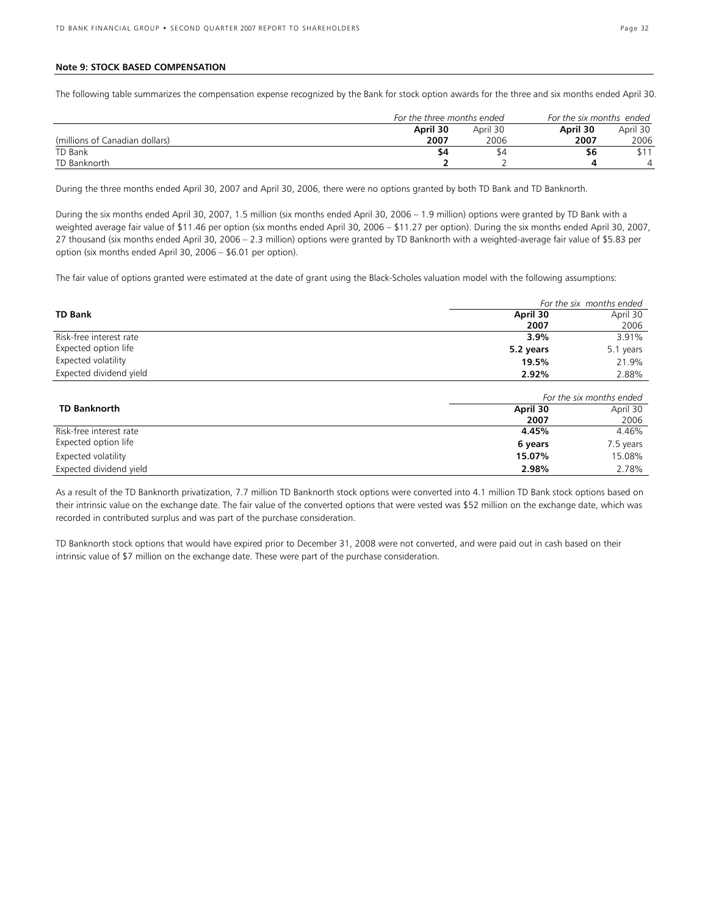### **Note 9: STOCK BASED COMPENSATION**

The following table summarizes the compensation expense recognized by the Bank for stock option awards for the three and six months ended April 30.

|                                | For the three months ended |          | For the six months  ended |          |
|--------------------------------|----------------------------|----------|---------------------------|----------|
|                                | April 30                   | April 30 | April 30                  | April 30 |
| (millions of Canadian dollars) | 2007                       | 2006     | 2007                      | 2006     |
| TD Bank                        | \$4                        |          | ახ                        |          |
| TD Banknorth                   |                            |          |                           |          |

During the three months ended April 30, 2007 and April 30, 2006, there were no options granted by both TD Bank and TD Banknorth.

During the six months ended April 30, 2007, 1.5 million (six months ended April 30, 2006 – 1.9 million) options were granted by TD Bank with a weighted average fair value of \$11.46 per option (six months ended April 30, 2006 – \$11.27 per option). During the six months ended April 30, 2007, 27 thousand (six months ended April 30, 2006 – 2.3 million) options were granted by TD Banknorth with a weighted-average fair value of \$5.83 per option (six months ended April 30, 2006 – \$6.01 per option).

The fair value of options granted were estimated at the date of grant using the Black-Scholes valuation model with the following assumptions:

|                         |           | For the six months ended |
|-------------------------|-----------|--------------------------|
| <b>TD Bank</b>          | April 30  | April 30                 |
|                         | 2007      | 2006                     |
| Risk-free interest rate | 3.9%      | 3.91%                    |
| Expected option life    | 5.2 years | 5.1 years                |
| Expected volatility     | 19.5%     | 21.9%                    |
| Expected dividend yield | 2.92%     | 2.88%                    |

|                         | For the six months ended |           |  |  |
|-------------------------|--------------------------|-----------|--|--|
| <b>TD Banknorth</b>     | April 30                 | April 30  |  |  |
|                         | 2007                     | 2006      |  |  |
| Risk-free interest rate | 4.45%                    | 4.46%     |  |  |
| Expected option life    | 6 years                  | 7.5 years |  |  |
| Expected volatility     | 15.07%                   | 15.08%    |  |  |
| Expected dividend yield | 2.98%                    | 2.78%     |  |  |

As a result of the TD Banknorth privatization, 7.7 million TD Banknorth stock options were converted into 4.1 million TD Bank stock options based on their intrinsic value on the exchange date. The fair value of the converted options that were vested was \$52 million on the exchange date, which was recorded in contributed surplus and was part of the purchase consideration.

TD Banknorth stock options that would have expired prior to December 31, 2008 were not converted, and were paid out in cash based on their intrinsic value of \$7 million on the exchange date. These were part of the purchase consideration.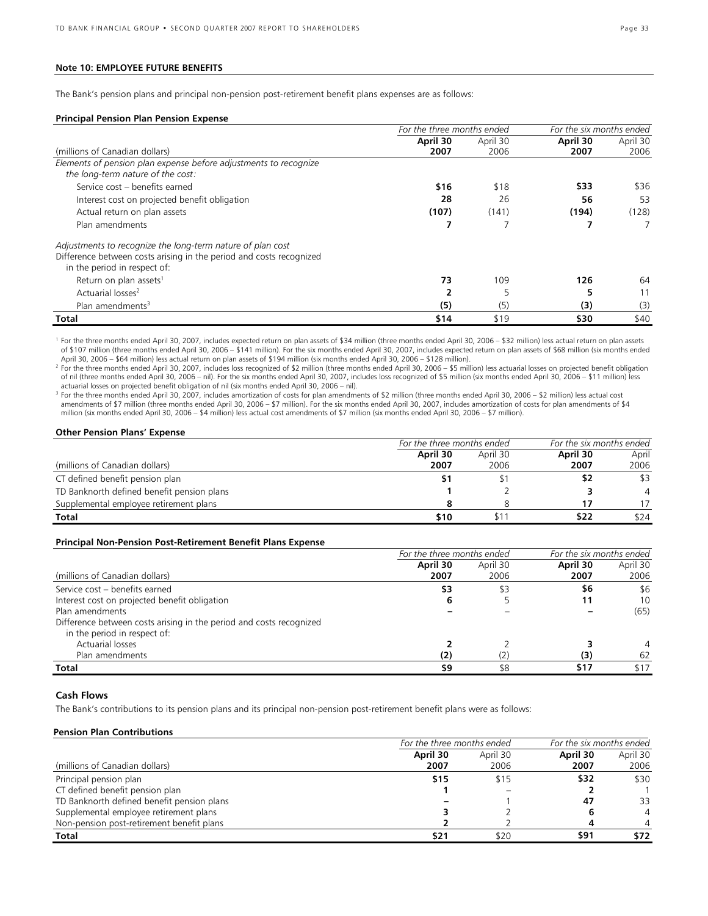### **Note 10: EMPLOYEE FUTURE BENEFITS**

The Bank's pension plans and principal non-pension post-retirement benefit plans expenses are as follows:

#### **Principal Pension Plan Pension Expense**

|                                                                                                     | For the three months ended |          | For the six months ended |          |
|-----------------------------------------------------------------------------------------------------|----------------------------|----------|--------------------------|----------|
|                                                                                                     | April 30                   | April 30 | April 30                 | April 30 |
| (millions of Canadian dollars)                                                                      | 2007                       | 2006     | 2007                     | 2006     |
| Elements of pension plan expense before adjustments to recognize                                    |                            |          |                          |          |
| the long-term nature of the cost:                                                                   |                            |          |                          |          |
| Service cost - benefits earned                                                                      | \$16                       | \$18     | \$33                     | \$36     |
| Interest cost on projected benefit obligation                                                       | 28                         | 26       | 56                       | 53       |
| Actual return on plan assets                                                                        | (107)                      | (141)    | (194)                    | (128)    |
| Plan amendments                                                                                     |                            |          |                          |          |
| Adjustments to recognize the long-term nature of plan cost                                          |                            |          |                          |          |
| Difference between costs arising in the period and costs recognized<br>in the period in respect of: |                            |          |                          |          |
| Return on plan assets <sup>1</sup>                                                                  | 73                         | 109      | 126                      | 64       |
| Actuarial losses <sup>2</sup>                                                                       |                            | 5        | 5                        |          |
| Plan amendments <sup>3</sup>                                                                        | (5)                        | (5)      | (3)                      | (3)      |
| Total                                                                                               | \$14                       | \$19     | \$30                     | \$40     |

<sup>1</sup> For the three months ended April 30, 2007, includes expected return on plan assets of \$34 million (three months ended April 30, 2006 – \$32 million) less actual return on plan assets of \$107 million (three months ended April 30, 2006 – \$141 million). For the six months ended April 30, 2007, includes expected return on plan assets of \$68 million (six months ended April 30, 2006 – \$64 million) less actual return on plan assets of \$194 million (six months ended April 30, 2006 – \$128 million). 2

<sup>2</sup> For the three months ended April 30, 2007, includes loss recognized of \$2 million (three months ended April 30, 2006 – \$5 million) less actuarial losses on projected benefit obligation of nil (three months ended April 30, 2006 – nil). For the six months ended April 30, 2007, includes loss recognized of \$5 million (six months ended April 30, 2006 – \$11 million) less actuarial losses on projected benefit obligation of nil (six months ended April 30, 2006 – nil).

<sup>3</sup> For the three months ended April 30, 2007, includes amortization of costs for plan amendments of \$2 million (three months ended April 30, 2006 – \$2 million) less actual cost<br>amendments of \$7 million (three months ended

#### **Other Pension Plans' Expense**

|                                            | For the three months ended |          | For the six months ended |       |  |
|--------------------------------------------|----------------------------|----------|--------------------------|-------|--|
|                                            | April 30                   | April 30 | April 30                 | April |  |
| (millions of Canadian dollars)             | 2007                       | 2006     | 2007                     | 2006  |  |
| CT defined benefit pension plan            |                            |          | \$2                      | \$3   |  |
| TD Banknorth defined benefit pension plans |                            |          |                          | 4     |  |
| Supplemental employee retirement plans     |                            |          |                          | 17    |  |
| <b>Total</b>                               | \$10                       |          | \$22                     | \$24  |  |

### **Principal Non-Pension Post-Retirement Benefit Plans Expense**

|                                                                                                     | For the three months ended |          | For the six months ended |          |
|-----------------------------------------------------------------------------------------------------|----------------------------|----------|--------------------------|----------|
|                                                                                                     | April 30                   | April 30 | April 30                 | April 30 |
| (millions of Canadian dollars)                                                                      | 2007                       | 2006     | 2007                     | 2006     |
| Service cost - benefits earned                                                                      | \$3                        | \$3      | \$6                      | \$6      |
| Interest cost on projected benefit obligation                                                       | 6                          |          |                          | 10       |
| Plan amendments                                                                                     |                            |          |                          | (65)     |
| Difference between costs arising in the period and costs recognized<br>in the period in respect of: |                            |          |                          |          |
| Actuarial losses                                                                                    |                            |          |                          | 4        |
| Plan amendments                                                                                     | (2)                        | (2)      | (3)                      | 62       |
| Total                                                                                               | 59                         | \$8      | \$17                     | \$17     |

### **Cash Flows**

The Bank's contributions to its pension plans and its principal non-pension post-retirement benefit plans were as follows:

#### **Pension Plan Contributions**

|                                            | For the three months ended |          | For the six months ended |                |  |
|--------------------------------------------|----------------------------|----------|--------------------------|----------------|--|
|                                            | April 30                   | April 30 | April 30                 | April 30       |  |
| (millions of Canadian dollars)             | 2007                       | 2006     | 2007                     | 2006           |  |
| Principal pension plan                     | \$15                       | \$15     | \$32                     | \$30           |  |
| CT defined benefit pension plan            |                            |          |                          |                |  |
| TD Banknorth defined benefit pension plans |                            |          | 47                       | 33             |  |
| Supplemental employee retirement plans     |                            |          |                          | $\overline{4}$ |  |
| Non-pension post-retirement benefit plans  |                            |          |                          | $\overline{4}$ |  |
| <b>Total</b>                               | \$21                       | \$20     | \$91                     | \$72           |  |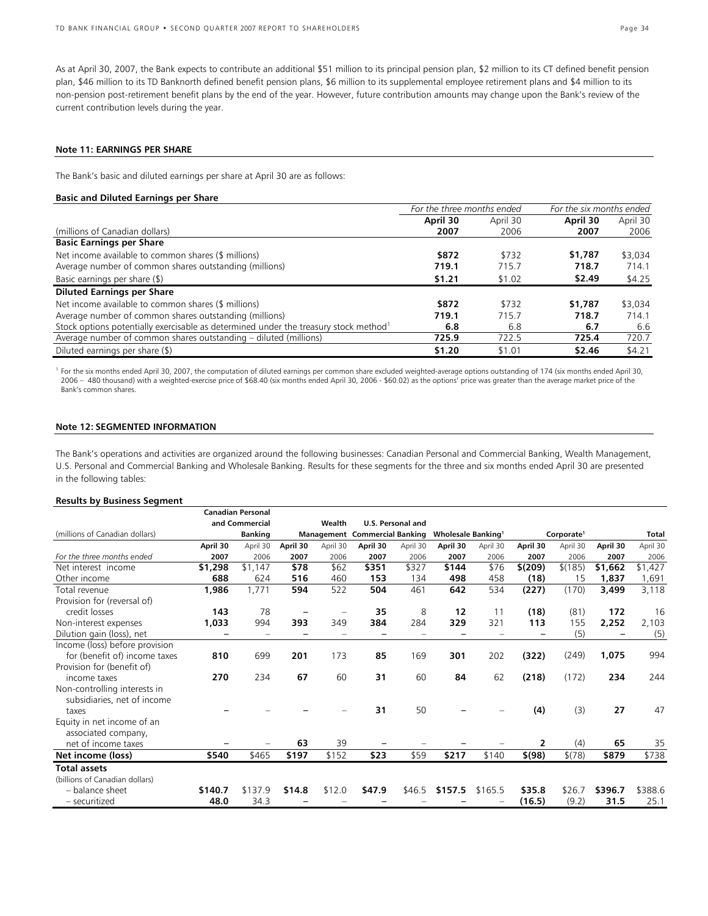As at April 30, 2007, the Bank expects to contribute an additional \$51 million to its principal pension plan, \$2 million to its CT defined benefit pension plan, \$46 million to its TD Banknorth defined benefit pension plans, \$6 million to its supplemental employee retirement plans and \$4 million to its non-pension post-retirement benefit plans by the end of the year. However, future contribution amounts may change upon the Bank's review of the current contribution levels during the year.

#### **Note 11: EARNINGS PER SHARE**

The Bank's basic and diluted earnings per share at April 30 are as follows:

### **Basic and Diluted Earnings per Share**

|                                                                                                  | For the three months ended |          | For the six months ended |          |  |
|--------------------------------------------------------------------------------------------------|----------------------------|----------|--------------------------|----------|--|
|                                                                                                  | April 30                   | April 30 | April 30                 | April 30 |  |
| (millions of Canadian dollars)                                                                   | 2007                       | 2006     | 2007                     | 2006     |  |
| <b>Basic Earnings per Share</b>                                                                  |                            |          |                          |          |  |
| Net income available to common shares (\$ millions)                                              | \$872                      | \$732    | \$1,787                  | \$3,034  |  |
| Average number of common shares outstanding (millions)                                           | 719.1                      | 715.7    | 718.7                    | 714.1    |  |
| Basic earnings per share (\$)                                                                    | \$1.21                     | \$1.02   | \$2.49                   | \$4.25   |  |
| <b>Diluted Earnings per Share</b>                                                                |                            |          |                          |          |  |
| Net income available to common shares (\$ millions)                                              | \$872                      | \$732    | \$1,787                  | \$3,034  |  |
| Average number of common shares outstanding (millions)                                           | 719.1                      | 715.7    | 718.7                    | 714.1    |  |
| Stock options potentially exercisable as determined under the treasury stock method <sup>1</sup> | 6.8                        | 6.8      | 6.7                      | 6.6      |  |
| Average number of common shares outstanding – diluted (millions)                                 | 725.9                      | 722.5    | 725.4                    | 720.7    |  |
| Diluted earnings per share (\$)                                                                  | \$1.20                     | \$1.01   | \$2.46                   | \$4.21   |  |

<sup>1</sup> For the six months ended April 30, 2007, the computation of diluted earnings per common share excluded weighted-average options outstanding of 174 (six months ended April 30, 2006 – 480 thousand) with a weighted-exercise price of \$68.40 (six months ended April 30, 2006 - \$60.02) as the options' price was greater than the average market price of the Bank's common shares.

### **Note 12: SEGMENTED INFORMATION**

The Bank's operations and activities are organized around the following businesses: Canadian Personal and Commercial Banking, Wealth Management, U.S. Personal and Commercial Banking and Wholesale Banking. Results for these segments for the three and six months ended April 30 are presented in the following tables:

### **Results by Business Segment**

|                                |          | <b>Canadian Personal</b> |          |          |                                      |                   |                                       |          |          |                        |          |          |
|--------------------------------|----------|--------------------------|----------|----------|--------------------------------------|-------------------|---------------------------------------|----------|----------|------------------------|----------|----------|
|                                |          | and Commercial           |          | Wealth   |                                      | U.S. Personal and |                                       |          |          |                        |          |          |
| (millions of Canadian dollars) |          | <b>Banking</b>           |          |          | <b>Management Commercial Banking</b> |                   | <b>Wholesale Banking</b> <sup>1</sup> |          |          | Corporate <sup>1</sup> |          | Total    |
|                                | April 30 | April 30                 | April 30 | April 30 | April 30                             | April 30          | April 30                              | April 30 | April 30 | April 30               | April 30 | April 30 |
| For the three months ended     | 2007     | 2006                     | 2007     | 2006     | 2007                                 | 2006              | 2007                                  | 2006     | 2007     | 2006                   | 2007     | 2006     |
| Net interest income            | \$1,298  | \$1,147                  | \$78     | \$62     | \$351                                | \$327             | \$144                                 | \$76     | \$(209)  | \$(185)                | \$1,662  | \$1,427  |
| Other income                   | 688      | 624                      | 516      | 460      | 153                                  | 134               | 498                                   | 458      | (18)     | 15                     | 1,837    | 1,691    |
| Total revenue                  | 1,986    | 1,771                    | 594      | 522      | 504                                  | 461               | 642                                   | 534      | (227)    | (170)                  | 3,499    | 3,118    |
| Provision for (reversal of)    |          |                          |          |          |                                      |                   |                                       |          |          |                        |          |          |
| credit losses                  | 143      | 78                       |          |          | 35                                   | 8                 | 12                                    | 11       | (18)     | (81)                   | 172      | 16       |
| Non-interest expenses          | 1,033    | 994                      | 393      | 349      | 384                                  | 284               | 329                                   | 321      | 113      | 155                    | 2,252    | 2,103    |
| Dilution gain (loss), net      |          | -                        |          |          |                                      |                   |                                       |          |          | (5)                    |          | (5)      |
| Income (loss) before provision |          |                          |          |          |                                      |                   |                                       |          |          |                        |          |          |
| for (benefit of) income taxes  | 810      | 699                      | 201      | 173      | 85                                   | 169               | 301                                   | 202      | (322)    | (249)                  | 1,075    | 994      |
| Provision for (benefit of)     |          |                          |          |          |                                      |                   |                                       |          |          |                        |          |          |
| income taxes                   | 270      | 234                      | 67       | 60       | 31                                   | 60                | 84                                    | 62       | (218)    | (172)                  | 234      | 244      |
| Non-controlling interests in   |          |                          |          |          |                                      |                   |                                       |          |          |                        |          |          |
| subsidiaries, net of income    |          |                          |          |          |                                      |                   |                                       |          |          |                        |          |          |
| taxes                          |          |                          |          |          | 31                                   | 50                |                                       |          | (4)      | (3)                    | 27       | 47       |
| Equity in net income of an     |          |                          |          |          |                                      |                   |                                       |          |          |                        |          |          |
| associated company,            |          |                          |          |          |                                      |                   |                                       |          |          |                        |          |          |
| net of income taxes            |          |                          | 63       | 39       |                                      |                   |                                       |          | 2        | (4)                    | 65       | 35       |
| Net income (loss)              | \$540    | \$465                    | \$197    | \$152    | \$23                                 | \$59              | \$217                                 | \$140    | \$(98)   | \$(78)                 | \$879    | \$738    |
| <b>Total assets</b>            |          |                          |          |          |                                      |                   |                                       |          |          |                        |          |          |
| (billions of Canadian dollars) |          |                          |          |          |                                      |                   |                                       |          |          |                        |          |          |
| - balance sheet                | \$140.7  | \$137.9                  | \$14.8   | \$12.0   | \$47.9                               | \$46.5            | \$157.5                               | \$165.5  | \$35.8   | \$26.7                 | \$396.7  | \$388.6  |
| - securitized                  | 48.0     | 34.3                     |          |          |                                      |                   |                                       |          | (16.5)   | (9.2)                  | 31.5     | 25.1     |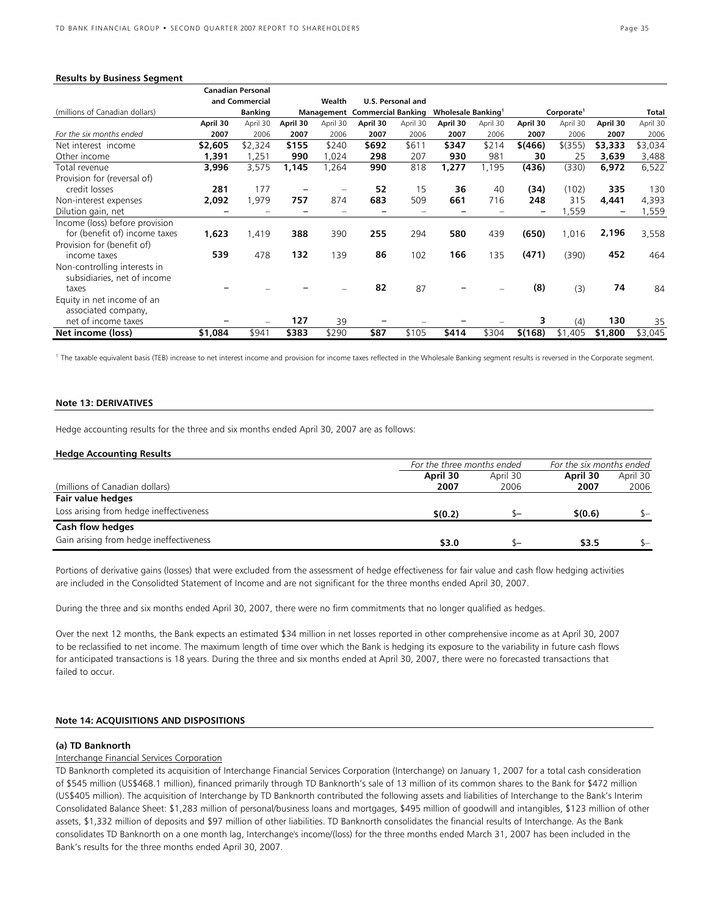#### **Results by Business Segment**

|                                |          | <b>Canadian Personal</b> |          |          |                                      |                   |                          |          |          |                        |          |          |
|--------------------------------|----------|--------------------------|----------|----------|--------------------------------------|-------------------|--------------------------|----------|----------|------------------------|----------|----------|
|                                |          | and Commercial           |          | Wealth   |                                      | U.S. Personal and |                          |          |          |                        |          |          |
| (millions of Canadian dollars) |          | <b>Banking</b>           |          |          | <b>Management Commercial Banking</b> |                   | <b>Wholesale Banking</b> |          |          | Corporate <sup>1</sup> |          | Total    |
|                                | April 30 | April 30                 | April 30 | April 30 | April 30                             | April 30          | April 30                 | April 30 | April 30 | April 30               | April 30 | April 30 |
| For the six months ended       | 2007     | 2006                     | 2007     | 2006     | 2007                                 | 2006              | 2007                     | 2006     | 2007     | 2006                   | 2007     | 2006     |
| Net interest income            | \$2,605  | \$2,324                  | \$155    | \$240    | \$692                                | \$611             | \$347                    | \$214    | \$(466)  | $$$ (355)              | \$3,333  | \$3,034  |
| Other income                   | 1,391    | ,251                     | 990      | ,024     | 298                                  | 207               | 930                      | 981      | 30       | 25                     | 3,639    | 3,488    |
| Total revenue                  | 3,996    | 3,575                    | 1,145    | ,264     | 990                                  | 818               | 1,277                    | 1,195    | (436)    | (330)                  | 6,972    | 6,522    |
| Provision for (reversal of)    |          |                          |          |          |                                      |                   |                          |          |          |                        |          |          |
| credit losses                  | 281      | 177                      |          |          | 52                                   | 15                | 36                       | 40       | (34)     | (102)                  | 335      | 130      |
| Non-interest expenses          | 2,092    | 1,979                    | 757      | 874      | 683                                  | 509               | 661                      | 716      | 248      | 315                    | 4,441    | 4,393    |
| Dilution gain, net             |          |                          |          |          |                                      |                   |                          |          |          | 559, ا                 |          | 1,559    |
| Income (loss) before provision |          |                          |          |          |                                      |                   |                          |          |          |                        |          |          |
| for (benefit of) income taxes  | 1,623    | 1,419                    | 388      | 390      | 255                                  | 294               | 580                      | 439      | (650)    | 1,016                  | 2,196    | 3,558    |
| Provision for (benefit of)     |          |                          |          |          |                                      |                   |                          |          |          |                        |          |          |
| income taxes                   | 539      | 478                      | 132      | 139      | 86                                   | 102               | 166                      | 135      | (471)    | (390)                  | 452      | 464      |
| Non-controlling interests in   |          |                          |          |          |                                      |                   |                          |          |          |                        |          |          |
| subsidiaries, net of income    |          |                          |          |          |                                      |                   |                          |          |          |                        |          |          |
| taxes                          |          |                          |          |          | 82                                   | 87                |                          |          | (8)      | (3)                    | 74       | 84       |
| Equity in net income of an     |          |                          |          |          |                                      |                   |                          |          |          |                        |          |          |
| associated company,            |          |                          |          |          |                                      |                   |                          |          |          |                        |          |          |
| net of income taxes            |          |                          | 127      | 39       |                                      |                   |                          |          | 3        | (4)                    | 130      | 35       |
| Net income (loss)              | \$1,084  | \$941                    | \$383    | \$290    | \$87                                 | \$105             | \$414                    | \$304    | \$(168)  | \$1,405                | \$1,800  | \$3,045  |

<sup>1</sup> The taxable equivalent basis (TEB) increase to net interest income and provision for income taxes reflected in the Wholesale Banking segment results is reversed in the Corporate segment.

#### **Note 13: DERIVATIVES**

Hedge accounting results for the three and six months ended April 30, 2007 are as follows:

#### **Hedge Accounting Results**

|                                         | For the three months ended |          | For the six months ended |          |  |
|-----------------------------------------|----------------------------|----------|--------------------------|----------|--|
|                                         | April 30                   | April 30 | April 30                 | April 30 |  |
| (millions of Canadian dollars)          | 2007                       | 2006     | 2007                     | 2006     |  |
| Fair value hedges                       |                            |          |                          |          |  |
| Loss arising from hedge ineffectiveness | \$(0.2)                    |          | \$(0.6)                  | \$—      |  |
| Cash flow hedges                        |                            |          |                          |          |  |
| Gain arising from hedge ineffectiveness | \$3.0                      | ზ–       | \$3.5                    | \$—      |  |

Portions of derivative gains (losses) that were excluded from the assessment of hedge effectiveness for fair value and cash flow hedging activities are included in the Consolidted Statement of Income and are not significant for the three months ended April 30, 2007.

During the three and six months ended April 30, 2007, there were no firm commitments that no longer qualified as hedges.

Over the next 12 months, the Bank expects an estimated \$34 million in net losses reported in other comprehensive income as at April 30, 2007 to be reclassified to net income. The maximum length of time over which the Bank is hedging its exposure to the variability in future cash flows for anticipated transactions is 18 years. During the three and six months ended at April 30, 2007, there were no forecasted transactions that failed to occur.

### **Note 14: ACQUISITIONS AND DISPOSITIONS**

#### **(a) TD Banknorth**

### Interchange Financial Services Corporation

TD Banknorth completed its acquisition of Interchange Financial Services Corporation (Interchange) on January 1, 2007 for a total cash consideration of \$545 million (US\$468.1 million), financed primarily through TD Banknorth's sale of 13 million of its common shares to the Bank for \$472 million (US\$405 million). The acquisition of Interchange by TD Banknorth contributed the following assets and liabilities of Interchange to the Bank's Interim Consolidated Balance Sheet: \$1,283 million of personal/business loans and mortgages, \$495 million of goodwill and intangibles, \$123 million of other assets, \$1,332 million of deposits and \$97 million of other liabilities. TD Banknorth consolidates the financial results of Interchange. As the Bank consolidates TD Banknorth on a one month lag, Interchange's income/(loss) for the three months ended March 31, 2007 has been included in the Bank's results for the three months ended April 30, 2007.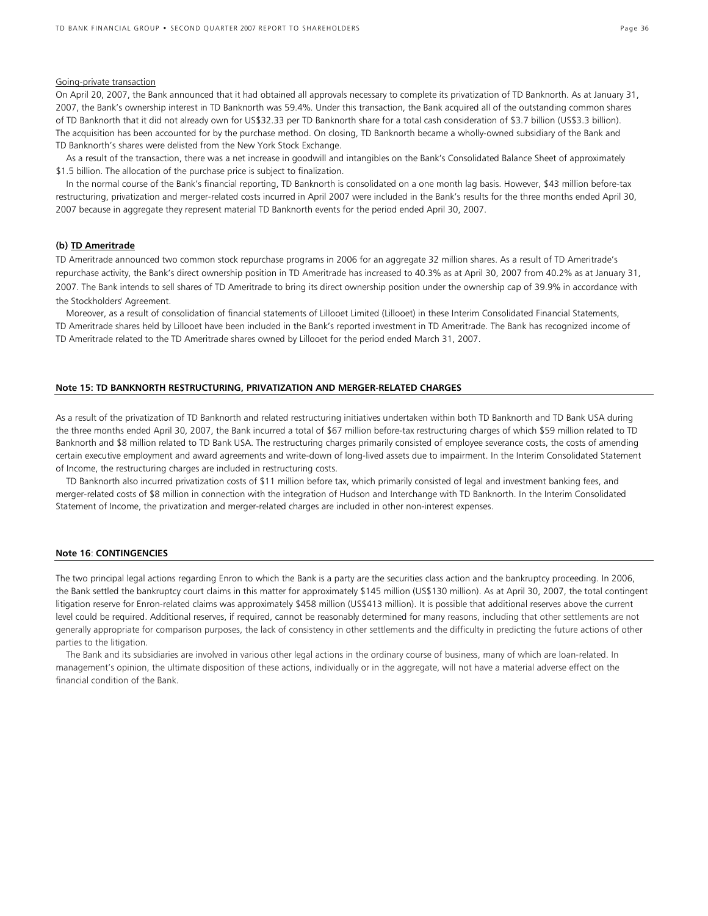### Going-private transaction

On April 20, 2007, the Bank announced that it had obtained all approvals necessary to complete its privatization of TD Banknorth. As at January 31, 2007, the Bank's ownership interest in TD Banknorth was 59.4%. Under this transaction, the Bank acquired all of the outstanding common shares of TD Banknorth that it did not already own for US\$32.33 per TD Banknorth share for a total cash consideration of \$3.7 billion (US\$3.3 billion). The acquisition has been accounted for by the purchase method. On closing, TD Banknorth became a wholly-owned subsidiary of the Bank and TD Banknorth's shares were delisted from the New York Stock Exchange.

As a result of the transaction, there was a net increase in goodwill and intangibles on the Bank's Consolidated Balance Sheet of approximately \$1.5 billion. The allocation of the purchase price is subject to finalization.

In the normal course of the Bank's financial reporting, TD Banknorth is consolidated on a one month lag basis. However, \$43 million before-tax restructuring, privatization and merger-related costs incurred in April 2007 were included in the Bank's results for the three months ended April 30, 2007 because in aggregate they represent material TD Banknorth events for the period ended April 30, 2007.

### **(b) TD Ameritrade**

TD Ameritrade announced two common stock repurchase programs in 2006 for an aggregate 32 million shares. As a result of TD Ameritrade's repurchase activity, the Bank's direct ownership position in TD Ameritrade has increased to 40.3% as at April 30, 2007 from 40.2% as at January 31, 2007. The Bank intends to sell shares of TD Ameritrade to bring its direct ownership position under the ownership cap of 39.9% in accordance with the Stockholders' Agreement.

Moreover, as a result of consolidation of financial statements of Lillooet Limited (Lillooet) in these Interim Consolidated Financial Statements, TD Ameritrade shares held by Lillooet have been included in the Bank's reported investment in TD Ameritrade. The Bank has recognized income of TD Ameritrade related to the TD Ameritrade shares owned by Lillooet for the period ended March 31, 2007.

### **Note 15: TD BANKNORTH RESTRUCTURING, PRIVATIZATION AND MERGER-RELATED CHARGES**

As a result of the privatization of TD Banknorth and related restructuring initiatives undertaken within both TD Banknorth and TD Bank USA during the three months ended April 30, 2007, the Bank incurred a total of \$67 million before-tax restructuring charges of which \$59 million related to TD Banknorth and \$8 million related to TD Bank USA. The restructuring charges primarily consisted of employee severance costs, the costs of amending certain executive employment and award agreements and write-down of long-lived assets due to impairment. In the Interim Consolidated Statement of Income, the restructuring charges are included in restructuring costs.

TD Banknorth also incurred privatization costs of \$11 million before tax, which primarily consisted of legal and investment banking fees, and merger-related costs of \$8 million in connection with the integration of Hudson and Interchange with TD Banknorth. In the Interim Consolidated Statement of Income, the privatization and merger-related charges are included in other non-interest expenses.

### **Note 16**: **CONTINGENCIES**

The two principal legal actions regarding Enron to which the Bank is a party are the securities class action and the bankruptcy proceeding. In 2006, the Bank settled the bankruptcy court claims in this matter for approximately \$145 million (US\$130 million). As at April 30, 2007, the total contingent litigation reserve for Enron-related claims was approximately \$458 million (US\$413 million). It is possible that additional reserves above the current level could be required. Additional reserves, if required, cannot be reasonably determined for many reasons, including that other settlements are not generally appropriate for comparison purposes, the lack of consistency in other settlements and the difficulty in predicting the future actions of other parties to the litigation.

The Bank and its subsidiaries are involved in various other legal actions in the ordinary course of business, many of which are loan-related. In management's opinion, the ultimate disposition of these actions, individually or in the aggregate, will not have a material adverse effect on the financial condition of the Bank.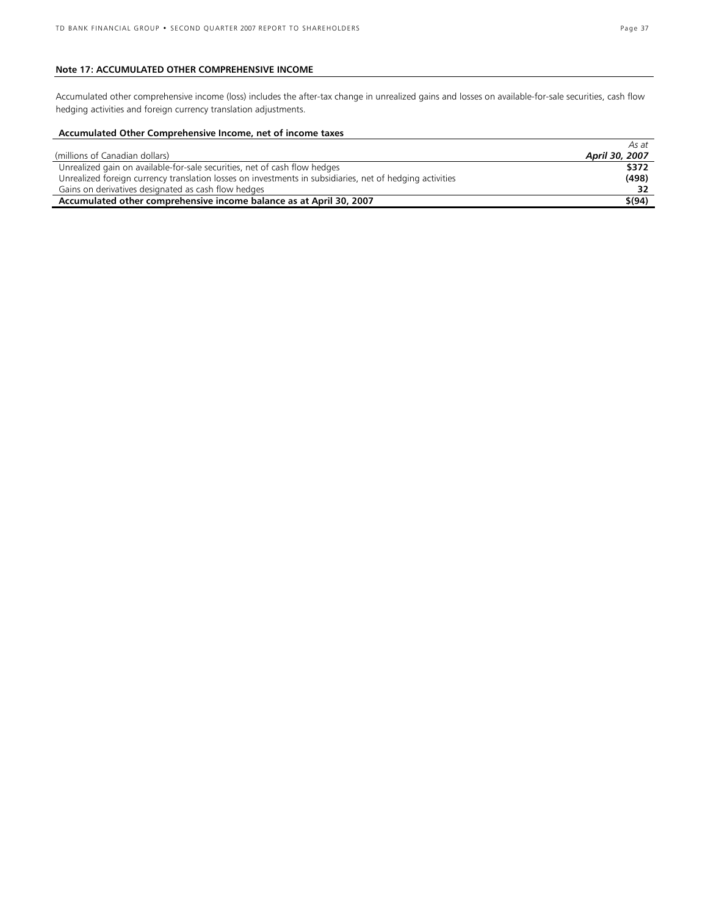### **Note 17: ACCUMULATED OTHER COMPREHENSIVE INCOME**

Accumulated other comprehensive income (loss) includes the after-tax change in unrealized gains and losses on available-for-sale securities, cash flow hedging activities and foreign currency translation adjustments.

### **Accumulated Other Comprehensive Income, net of income taxes**

|                                                                                                          | AS dl          |
|----------------------------------------------------------------------------------------------------------|----------------|
| (millions of Canadian dollars)                                                                           | April 30, 2007 |
| Unrealized gain on available-for-sale securities, net of cash flow hedges                                | \$372          |
| Unrealized foreign currency translation losses on investments in subsidiaries, net of hedging activities | (498)          |
| Gains on derivatives designated as cash flow hedges                                                      |                |
| Accumulated other comprehensive income balance as at April 30, 2007                                      | \$(94)         |

*As at*